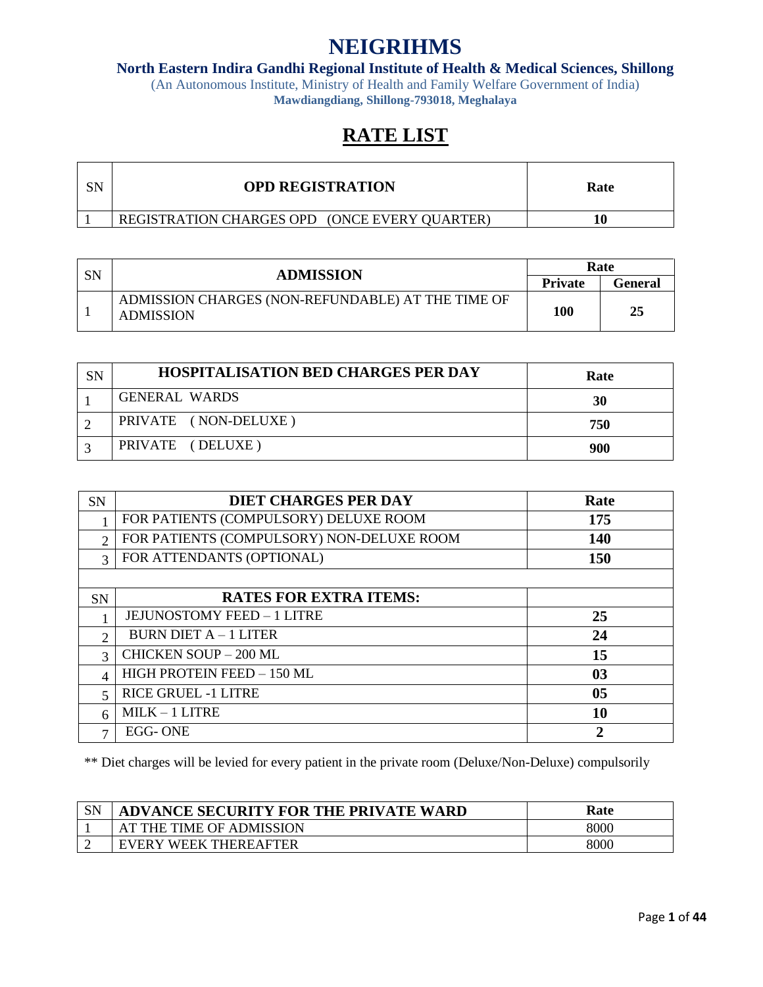**North Eastern Indira Gandhi Regional Institute of Health & Medical Sciences, Shillong**

(An Autonomous Institute, Ministry of Health and Family Welfare Government of India) **Mawdiangdiang, Shillong-793018, Meghalaya**

# **RATE LIST**

| <b>OPD REGISTRATION</b>                       | Rate |
|-----------------------------------------------|------|
| REGISTRATION CHARGES OPD (ONCE EVERY QUARTER) |      |

| SN | <b>ADMISSION</b>                                                      | Rate           |         |
|----|-----------------------------------------------------------------------|----------------|---------|
|    |                                                                       | <b>Private</b> | General |
|    | ADMISSION CHARGES (NON-REFUNDABLE) AT THE TIME OF<br><b>ADMISSION</b> | 100            | 25      |

| SN | <b>HOSPITALISATION BED CHARGES PER DAY</b> | Rate |
|----|--------------------------------------------|------|
|    | <b>GENERAL WARDS</b>                       | 30   |
|    | PRIVATE (NON-DELUXE)                       | 750  |
|    | PRIVATE (DELUXE)                           | 900  |

| <b>SN</b>                | <b>DIET CHARGES PER DAY</b>               | Rate           |
|--------------------------|-------------------------------------------|----------------|
|                          | FOR PATIENTS (COMPULSORY) DELUXE ROOM     | 175            |
| $\mathcal{D}$            | FOR PATIENTS (COMPULSORY) NON-DELUXE ROOM | <b>140</b>     |
| $\mathbf{R}$             | FOR ATTENDANTS (OPTIONAL)                 | <b>150</b>     |
|                          |                                           |                |
| <b>SN</b>                | <b>RATES FOR EXTRA ITEMS:</b>             |                |
|                          | <b>JEJUNOSTOMY FEED - 1 LITRE</b>         | 25             |
| C                        | BURN DIET $A - 1$ LITER                   | 24             |
| $\mathbf{R}$             | <b>CHICKEN SOUP - 200 ML</b>              | 15             |
| $\overline{\mathcal{A}}$ | HIGH PROTEIN FEED - 150 ML                | 0 <sub>3</sub> |
| $\overline{\mathcal{L}}$ | <b>RICE GRUEL -1 LITRE</b>                | 0 <sub>5</sub> |
| 6                        | $MILK - 1 LITRE$                          | 10             |
| $\mathbf{r}$             | EGG-ONE                                   | 2              |

\*\* Diet charges will be levied for every patient in the private room (Deluxe/Non-Deluxe) compulsorily

| <b>CNI</b><br>ົບມາ | ADVANCE SECURITY FOR THE PRIVATE WARD  | Rate |
|--------------------|----------------------------------------|------|
|                    | AT THE TIME OF ADMISSION               | 8000 |
|                    | <b>WEEK THEREAFTER</b><br><b>EVERY</b> | 8000 |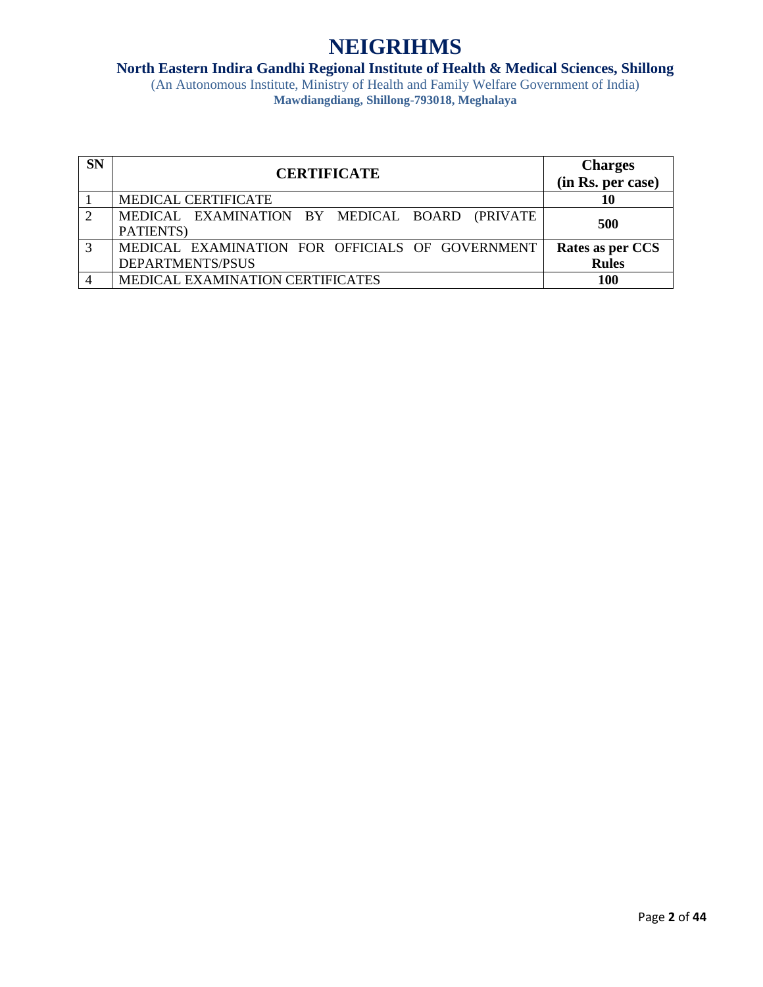# **North Eastern Indira Gandhi Regional Institute of Health & Medical Sciences, Shillong**

| <b>SN</b> | <b>CERTIFICATE</b>                                                  | <b>Charges</b><br>(in Rs. per case) |
|-----------|---------------------------------------------------------------------|-------------------------------------|
|           | MEDICAL CERTIFICATE                                                 | 10                                  |
|           | MEDICAL EXAMINATION BY MEDICAL BOARD (PRIVATE<br>PATIENTS)          | 500                                 |
| 3         | MEDICAL EXAMINATION FOR OFFICIALS OF GOVERNMENT<br>DEPARTMENTS/PSUS | Rates as per CCS<br><b>Rules</b>    |
|           | MEDICAL EXAMINATION CERTIFICATES                                    | <b>100</b>                          |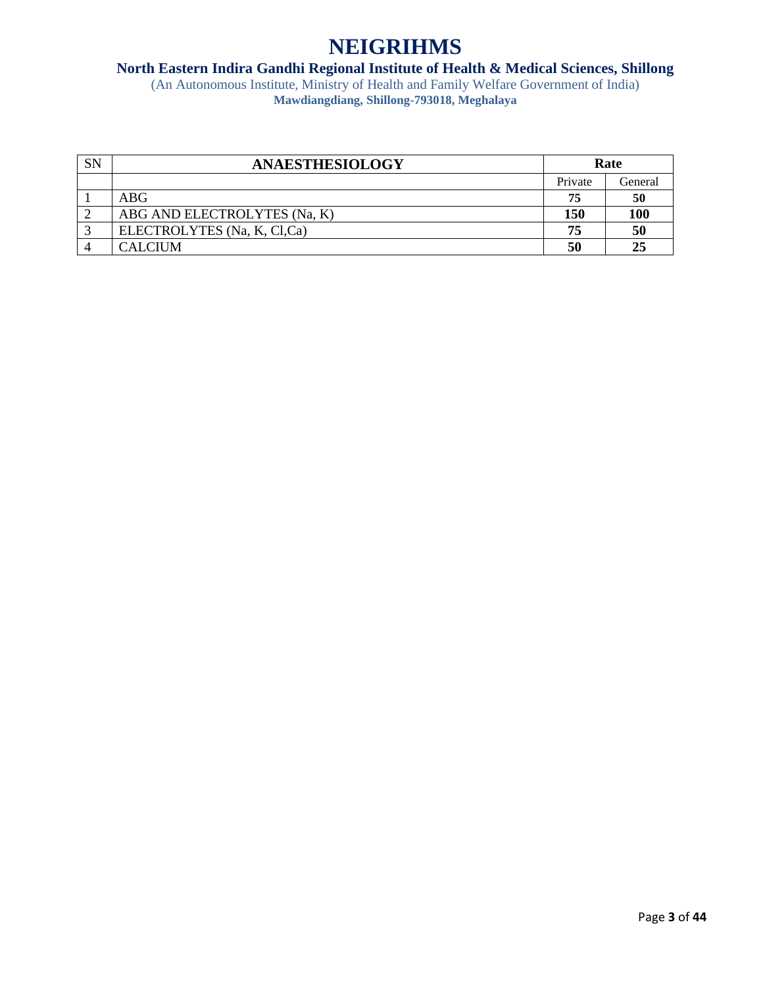### **North Eastern Indira Gandhi Regional Institute of Health & Medical Sciences, Shillong**

| <b>SN</b> | <b>ANAESTHESIOLOGY</b>       | Rate    |            |
|-----------|------------------------------|---------|------------|
|           |                              | Private | General    |
|           | ABG                          | 75      | 50         |
|           | ABG AND ELECTROLYTES (Na, K) | 150     | <b>100</b> |
|           | ELECTROLYTES (Na, K, Cl,Ca)  | 75      | 50         |
|           | <b>CALCIUM</b>               | 50      | 25         |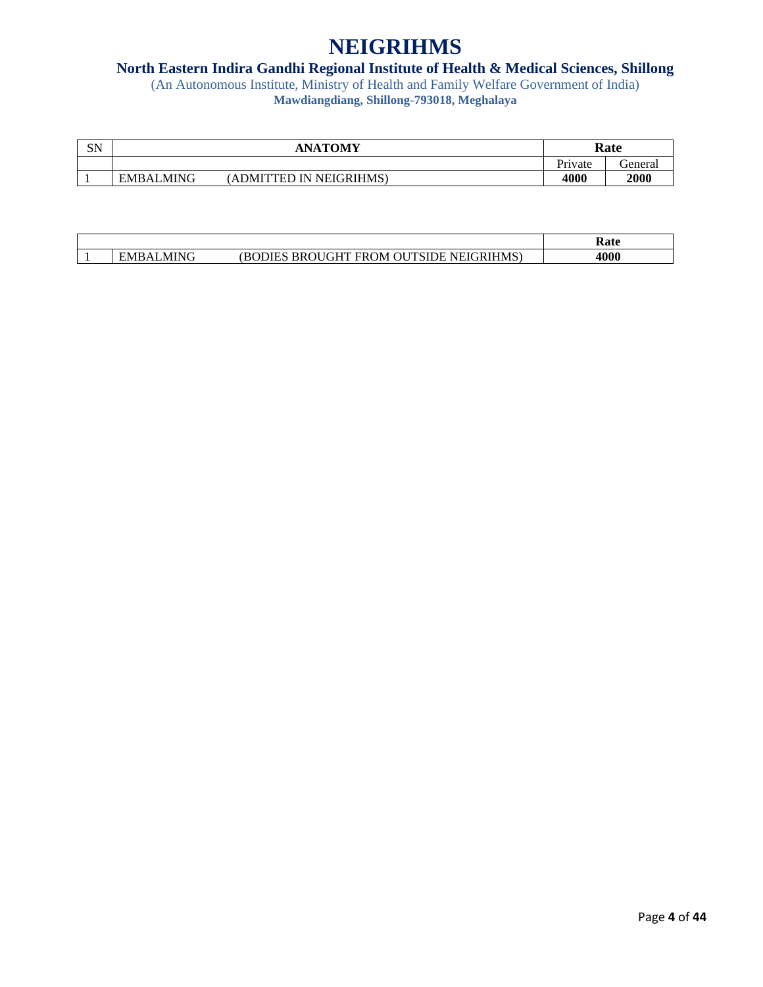### **North Eastern Indira Gandhi Regional Institute of Health & Medical Sciences, Shillong**

| SN | <b>ANATOMY</b>              |                                            | Rate    |         |
|----|-----------------------------|--------------------------------------------|---------|---------|
|    |                             |                                            | Private | General |
|    | <b>MING</b><br><b>EMBAL</b> | <b>NEIGRIHMS</b><br>ADMITT<br>ΈI<br>. I Ni | 4000    | 2000    |

|                 |                                                                                  | $\mathbf{r}$<br>Kate |
|-----------------|----------------------------------------------------------------------------------|----------------------|
| ALMING<br>EMBAI | <b>FROM OU</b><br><b>BROUGHT</b><br><b>JTSIDE</b><br>NEIGRIHMS)<br><b>BODIES</b> | 4000                 |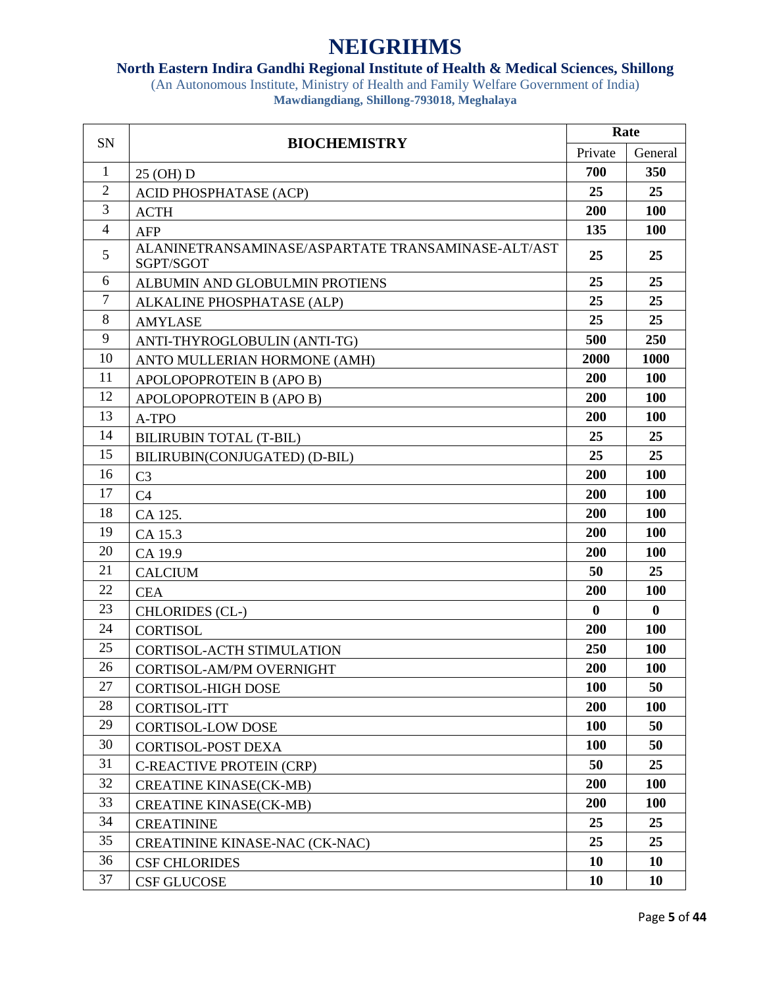### **North Eastern Indira Gandhi Regional Institute of Health & Medical Sciences, Shillong**

| <b>SN</b>      | Rate<br><b>BIOCHEMISTRY</b>                                     |                                                                                                                                                                                                                                                           |              |
|----------------|-----------------------------------------------------------------|-----------------------------------------------------------------------------------------------------------------------------------------------------------------------------------------------------------------------------------------------------------|--------------|
|                |                                                                 | Private<br>700<br>25<br>200<br>135<br>25<br>25<br>25<br>25<br>500<br>2000<br>200<br>200<br>200<br>25<br>25<br>200<br>200<br>200<br>200<br>200<br>50<br>200<br>$\bf{0}$<br>200<br>250<br>200<br><b>100</b><br>200<br><b>100</b><br><b>100</b><br>50<br>200 | General      |
| $\mathbf{1}$   | 25 (OH) D                                                       |                                                                                                                                                                                                                                                           | 350          |
| $\overline{2}$ | ACID PHOSPHATASE (ACP)                                          |                                                                                                                                                                                                                                                           | 25           |
| 3              | <b>ACTH</b>                                                     |                                                                                                                                                                                                                                                           | 100          |
| $\overline{4}$ | AFP                                                             |                                                                                                                                                                                                                                                           | 100          |
| 5              | ALANINETRANSAMINASE/ASPARTATE TRANSAMINASE-ALT/AST<br>SGPT/SGOT |                                                                                                                                                                                                                                                           | 25           |
| 6              | ALBUMIN AND GLOBULMIN PROTIENS                                  |                                                                                                                                                                                                                                                           | 25           |
| $\tau$         | ALKALINE PHOSPHATASE (ALP)                                      |                                                                                                                                                                                                                                                           | 25           |
| 8              | <b>AMYLASE</b>                                                  |                                                                                                                                                                                                                                                           | 25           |
| 9              | ANTI-THYROGLOBULIN (ANTI-TG)                                    |                                                                                                                                                                                                                                                           | 250          |
| 10             | ANTO MULLERIAN HORMONE (AMH)                                    |                                                                                                                                                                                                                                                           | 1000         |
| 11             | APOLOPOPROTEIN B (APO B)                                        |                                                                                                                                                                                                                                                           | <b>100</b>   |
| 12             | APOLOPOPROTEIN B (APO B)                                        |                                                                                                                                                                                                                                                           | 100          |
| 13             | A-TPO                                                           |                                                                                                                                                                                                                                                           | 100          |
| 14             | <b>BILIRUBIN TOTAL (T-BIL)</b>                                  |                                                                                                                                                                                                                                                           | 25           |
| 15             | BILIRUBIN(CONJUGATED) (D-BIL)                                   |                                                                                                                                                                                                                                                           | 25           |
| 16             | C <sub>3</sub>                                                  |                                                                                                                                                                                                                                                           | 100          |
| 17             | C <sub>4</sub>                                                  |                                                                                                                                                                                                                                                           | <b>100</b>   |
| 18             | CA 125.                                                         |                                                                                                                                                                                                                                                           | <b>100</b>   |
| 19             | CA 15.3                                                         |                                                                                                                                                                                                                                                           | 100          |
| 20             | CA 19.9                                                         |                                                                                                                                                                                                                                                           | <b>100</b>   |
| 21             | <b>CALCIUM</b>                                                  |                                                                                                                                                                                                                                                           | 25           |
| 22             | <b>CEA</b>                                                      |                                                                                                                                                                                                                                                           | 100          |
| 23             | <b>CHLORIDES</b> (CL-)                                          |                                                                                                                                                                                                                                                           | $\mathbf{0}$ |
| 24             | <b>CORTISOL</b>                                                 |                                                                                                                                                                                                                                                           | <b>100</b>   |
| 25             | <b>CORTISOL-ACTH STIMULATION</b>                                |                                                                                                                                                                                                                                                           | 100          |
| 26             | CORTISOL-AM/PM OVERNIGHT                                        |                                                                                                                                                                                                                                                           | <b>100</b>   |
| 27             | <b>CORTISOL-HIGH DOSE</b>                                       |                                                                                                                                                                                                                                                           | 50           |
| 28             | <b>CORTISOL-ITT</b>                                             |                                                                                                                                                                                                                                                           | 100          |
| 29             | <b>CORTISOL-LOW DOSE</b>                                        |                                                                                                                                                                                                                                                           | 50           |
| 30             | <b>CORTISOL-POST DEXA</b>                                       |                                                                                                                                                                                                                                                           | 50           |
| 31             | <b>C-REACTIVE PROTEIN (CRP)</b>                                 |                                                                                                                                                                                                                                                           | 25           |
| 32             | <b>CREATINE KINASE(CK-MB)</b>                                   |                                                                                                                                                                                                                                                           | <b>100</b>   |
| 33             | <b>CREATINE KINASE(CK-MB)</b>                                   | 200                                                                                                                                                                                                                                                       | <b>100</b>   |
| 34             | <b>CREATININE</b>                                               | 25                                                                                                                                                                                                                                                        | 25           |
| 35             | CREATININE KINASE-NAC (CK-NAC)                                  | 25                                                                                                                                                                                                                                                        | 25           |
| 36             | <b>CSF CHLORIDES</b>                                            | 10                                                                                                                                                                                                                                                        | <b>10</b>    |
| 37             | <b>CSF GLUCOSE</b>                                              | 10                                                                                                                                                                                                                                                        | <b>10</b>    |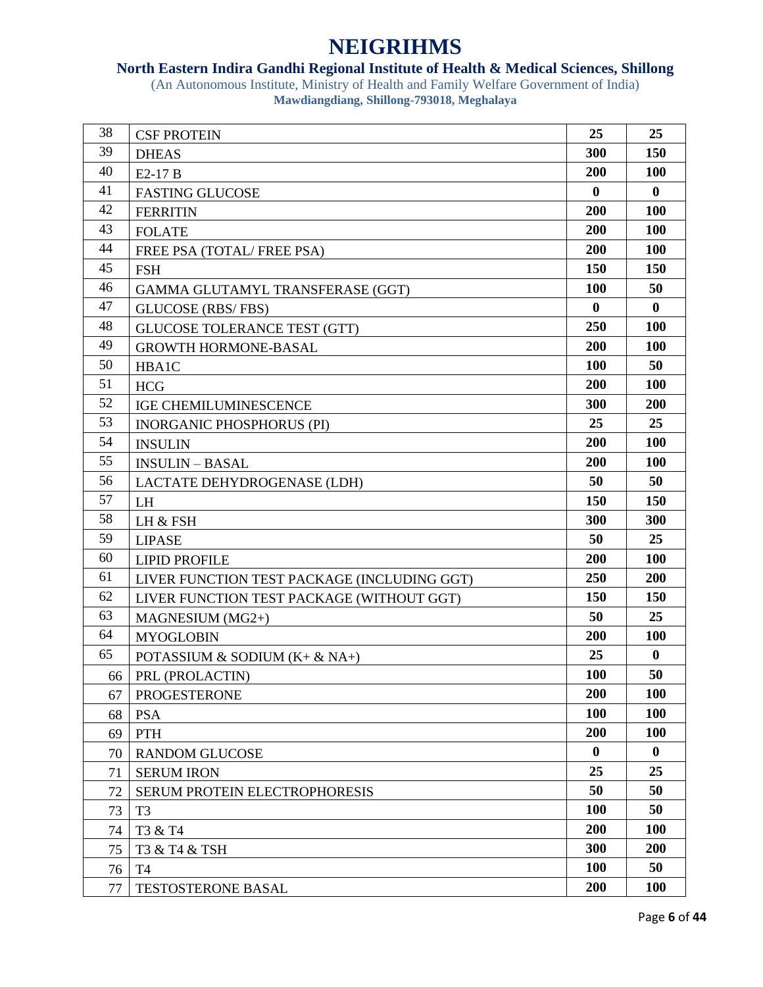### **North Eastern Indira Gandhi Regional Institute of Health & Medical Sciences, Shillong**

| 38 | <b>CSF PROTEIN</b>                          | 25         | 25           |
|----|---------------------------------------------|------------|--------------|
| 39 | <b>DHEAS</b>                                | 300        | 150          |
| 40 | E2-17 B                                     | 200        | <b>100</b>   |
| 41 | <b>FASTING GLUCOSE</b>                      | $\bf{0}$   | $\bf{0}$     |
| 42 | <b>FERRITIN</b>                             | 200        | <b>100</b>   |
| 43 | <b>FOLATE</b>                               | 200        | <b>100</b>   |
| 44 | FREE PSA (TOTAL/FREE PSA)                   | 200        | <b>100</b>   |
| 45 | <b>FSH</b>                                  | 150        | 150          |
| 46 | GAMMA GLUTAMYL TRANSFERASE (GGT)            | <b>100</b> | 50           |
| 47 | <b>GLUCOSE</b> (RBS/FBS)                    | $\bf{0}$   | $\bf{0}$     |
| 48 | <b>GLUCOSE TOLERANCE TEST (GTT)</b>         | 250        | 100          |
| 49 | <b>GROWTH HORMONE-BASAL</b>                 | 200        | <b>100</b>   |
| 50 | HBA1C                                       | <b>100</b> | 50           |
| 51 | <b>HCG</b>                                  | 200        | <b>100</b>   |
| 52 | <b>IGE CHEMILUMINESCENCE</b>                | 300        | 200          |
| 53 | <b>INORGANIC PHOSPHORUS (PI)</b>            | 25         | 25           |
| 54 | <b>INSULIN</b>                              | 200        | <b>100</b>   |
| 55 | <b>INSULIN - BASAL</b>                      | 200        | 100          |
| 56 | LACTATE DEHYDROGENASE (LDH)                 | 50         | 50           |
| 57 | <b>LH</b>                                   | 150        | 150          |
| 58 | LH & FSH                                    | 300        | 300          |
| 59 | <b>LIPASE</b>                               | 50         | 25           |
| 60 | <b>LIPID PROFILE</b>                        | 200        | <b>100</b>   |
| 61 | LIVER FUNCTION TEST PACKAGE (INCLUDING GGT) | 250        | 200          |
| 62 | LIVER FUNCTION TEST PACKAGE (WITHOUT GGT)   | <b>150</b> | <b>150</b>   |
| 63 | MAGNESIUM (MG2+)                            | 50         | 25           |
| 64 | <b>MYOGLOBIN</b>                            | 200        | <b>100</b>   |
| 65 | POTASSIUM & SODIUM $(K + \& NA+)$           | 25         | $\mathbf{0}$ |
| 66 | PRL (PROLACTIN)                             | <b>100</b> | 50           |
| 67 | <b>PROGESTERONE</b>                         | 200        | <b>100</b>   |
| 68 | <b>PSA</b>                                  | 100        | 100          |
| 69 | <b>PTH</b>                                  | 200        | 100          |
| 70 | <b>RANDOM GLUCOSE</b>                       | $\bf{0}$   | $\bf{0}$     |
| 71 | <b>SERUM IRON</b>                           | 25         | 25           |
| 72 | SERUM PROTEIN ELECTROPHORESIS               | 50         | 50           |
| 73 | T <sub>3</sub>                              | 100        | 50           |
| 74 | T3 & T4                                     | 200        | <b>100</b>   |
| 75 | T3 & T4 & TSH                               | 300        | 200          |
| 76 | T <sub>4</sub>                              | <b>100</b> | 50           |
| 77 | <b>TESTOSTERONE BASAL</b>                   | 200        | <b>100</b>   |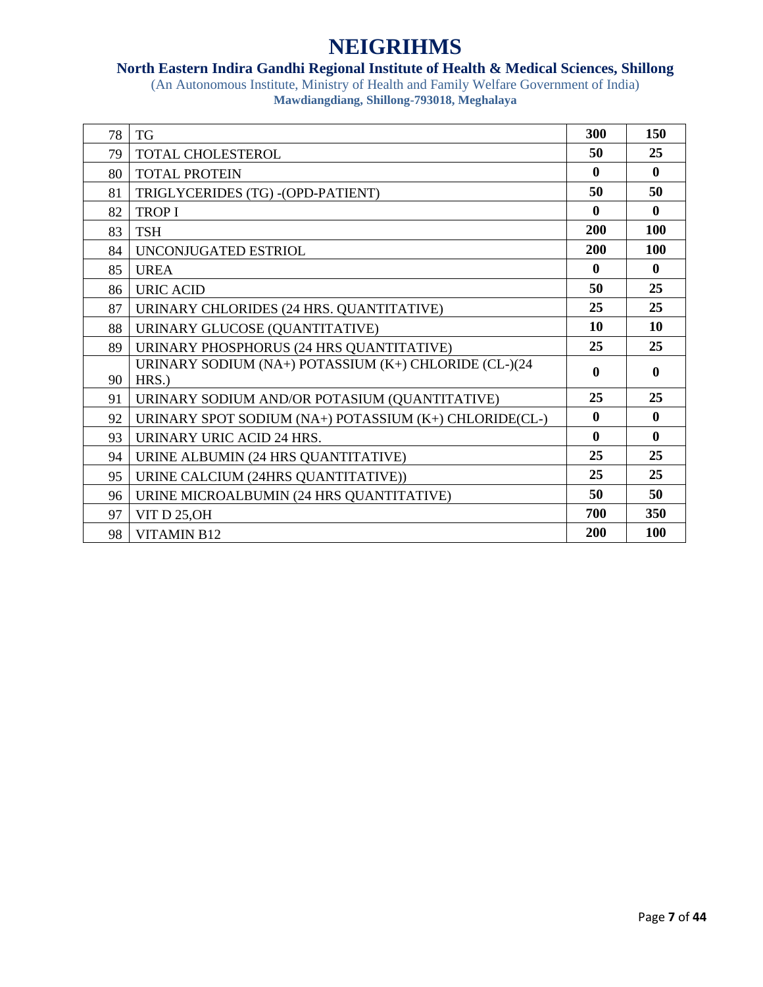### **North Eastern Indira Gandhi Regional Institute of Health & Medical Sciences, Shillong**

| 78 | <b>TG</b>                                                      | 300          | 150          |
|----|----------------------------------------------------------------|--------------|--------------|
| 79 | TOTAL CHOLESTEROL                                              | 50           | 25           |
| 80 | <b>TOTAL PROTEIN</b>                                           | $\mathbf{0}$ | $\mathbf{0}$ |
| 81 | TRIGLYCERIDES (TG) - (OPD-PATIENT)                             | 50           | 50           |
| 82 | <b>TROPI</b>                                                   | $\mathbf{0}$ | $\mathbf{0}$ |
| 83 | <b>TSH</b>                                                     | 200          | <b>100</b>   |
| 84 | UNCONJUGATED ESTRIOL                                           | <b>200</b>   | <b>100</b>   |
| 85 | <b>UREA</b>                                                    | $\mathbf{0}$ | $\mathbf{0}$ |
| 86 | <b>URIC ACID</b>                                               | 50           | 25           |
| 87 | URINARY CHLORIDES (24 HRS. QUANTITATIVE)                       | 25           | 25           |
| 88 | URINARY GLUCOSE (QUANTITATIVE)                                 | 10           | <b>10</b>    |
| 89 | URINARY PHOSPHORUS (24 HRS QUANTITATIVE)                       | 25           | 25           |
| 90 | URINARY SODIUM (NA+) POTASSIUM (K+) CHLORIDE (CL-)(24<br>HRS.) | $\mathbf{0}$ | $\mathbf{0}$ |
| 91 | URINARY SODIUM AND/OR POTASIUM (QUANTITATIVE)                  | 25           | 25           |
| 92 | URINARY SPOT SODIUM (NA+) POTASSIUM (K+) CHLORIDE(CL-)         | $\mathbf{0}$ | $\mathbf{0}$ |
| 93 | URINARY URIC ACID 24 HRS.                                      | $\mathbf{0}$ | $\mathbf{0}$ |
| 94 | URINE ALBUMIN (24 HRS QUANTITATIVE)                            | 25           | 25           |
| 95 | URINE CALCIUM (24HRS QUANTITATIVE))                            | 25           | 25           |
| 96 | URINE MICROALBUMIN (24 HRS QUANTITATIVE)                       | 50           | 50           |
| 97 | <b>VIT D 25, OH</b>                                            | 700          | 350          |
| 98 | <b>VITAMIN B12</b>                                             | <b>200</b>   | <b>100</b>   |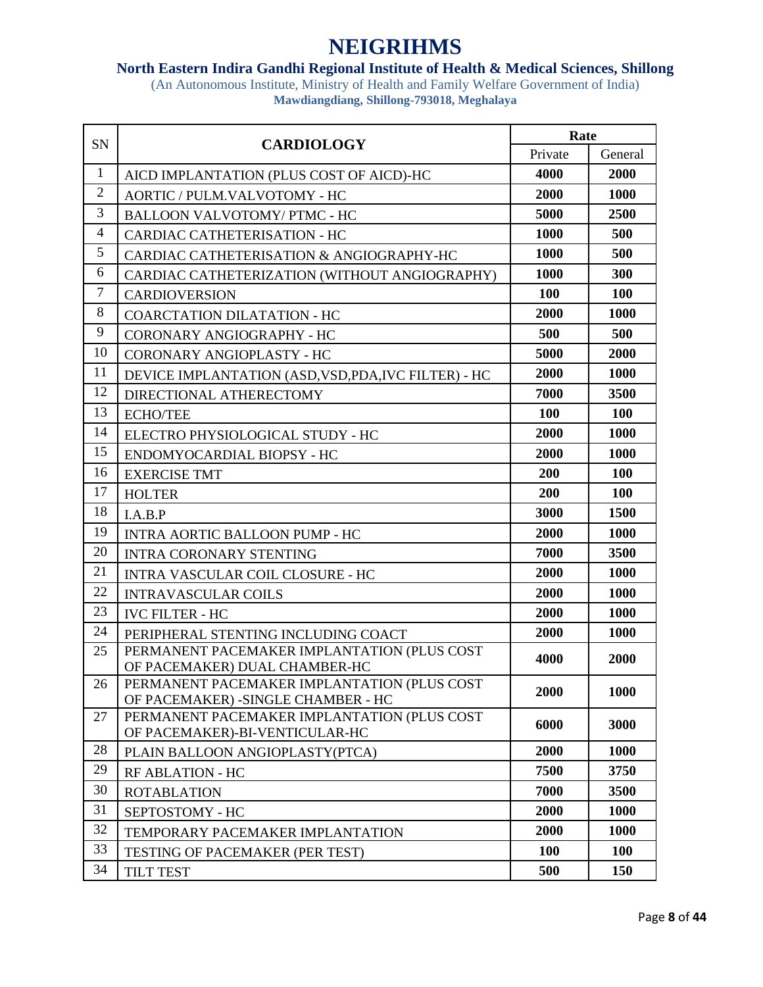### **North Eastern Indira Gandhi Regional Institute of Health & Medical Sciences, Shillong**

| SN             | <b>CARDIOLOGY</b>                                                                  | Rate        |            |
|----------------|------------------------------------------------------------------------------------|-------------|------------|
|                |                                                                                    | Private     | General    |
| $\mathbf{1}$   | AICD IMPLANTATION (PLUS COST OF AICD)-HC                                           | 4000        | 2000       |
| $\overline{2}$ | AORTIC / PULM.VALVOTOMY - HC                                                       | 2000        | 1000       |
| 3              | <b>BALLOON VALVOTOMY/ PTMC - HC</b>                                                | 5000        | 2500       |
| 4              | <b>CARDIAC CATHETERISATION - HC</b>                                                | <b>1000</b> | 500        |
| 5              | CARDIAC CATHETERISATION & ANGIOGRAPHY-HC                                           | 1000        | 500        |
| 6              | CARDIAC CATHETERIZATION (WITHOUT ANGIOGRAPHY)                                      | 1000        | 300        |
| $\overline{7}$ | <b>CARDIOVERSION</b>                                                               | <b>100</b>  | <b>100</b> |
| 8              | <b>COARCTATION DILATATION - HC</b>                                                 | 2000        | 1000       |
| 9              | CORONARY ANGIOGRAPHY - HC                                                          | 500         | 500        |
| 10             | CORONARY ANGIOPLASTY - HC                                                          | 5000        | 2000       |
| 11             | DEVICE IMPLANTATION (ASD, VSD, PDA, IVC FILTER) - HC                               | 2000        | 1000       |
| 12             | DIRECTIONAL ATHERECTOMY                                                            | 7000        | 3500       |
| 13             | <b>ECHO/TEE</b>                                                                    | 100         | <b>100</b> |
| 14             | ELECTRO PHYSIOLOGICAL STUDY - HC                                                   | 2000        | 1000       |
| 15             | ENDOMYOCARDIAL BIOPSY - HC                                                         | 2000        | 1000       |
| 16             | <b>EXERCISE TMT</b>                                                                | 200         | <b>100</b> |
| 17             | <b>HOLTER</b>                                                                      | 200         | 100        |
| 18             | I.A.B.P                                                                            | 3000        | 1500       |
| 19             | <b>INTRA AORTIC BALLOON PUMP - HC</b>                                              | 2000        | 1000       |
| 20             | <b>INTRA CORONARY STENTING</b>                                                     | 7000        | 3500       |
| 21             | INTRA VASCULAR COIL CLOSURE - HC                                                   | 2000        | 1000       |
| 22             | <b>INTRAVASCULAR COILS</b>                                                         | 2000        | 1000       |
| 23             | <b>IVC FILTER - HC</b>                                                             | 2000        | 1000       |
| 24             | PERIPHERAL STENTING INCLUDING COACT                                                | 2000        | 1000       |
| 25             | PERMANENT PACEMAKER IMPLANTATION (PLUS COST<br>OF PACEMAKER) DUAL CHAMBER-HC       | 4000        | 2000       |
| 26             | PERMANENT PACEMAKER IMPLANTATION (PLUS COST<br>OF PACEMAKER) - SINGLE CHAMBER - HC | 2000        | 1000       |
| 27             | PERMANENT PACEMAKER IMPLANTATION (PLUS COST<br>OF PACEMAKER)-BI-VENTICULAR-HC      | 6000        | 3000       |
| 28             | PLAIN BALLOON ANGIOPLASTY(PTCA)                                                    | 2000        | 1000       |
| 29             | <b>RF ABLATION - HC</b>                                                            | 7500        | 3750       |
| 30             | <b>ROTABLATION</b>                                                                 | 7000        | 3500       |
| 31             | SEPTOSTOMY - HC                                                                    | 2000        | 1000       |
| 32             | TEMPORARY PACEMAKER IMPLANTATION                                                   | 2000        | 1000       |
| 33             | <b>TESTING OF PACEMAKER (PER TEST)</b>                                             | 100         | <b>100</b> |
| 34             | <b>TILT TEST</b>                                                                   | 500         | 150        |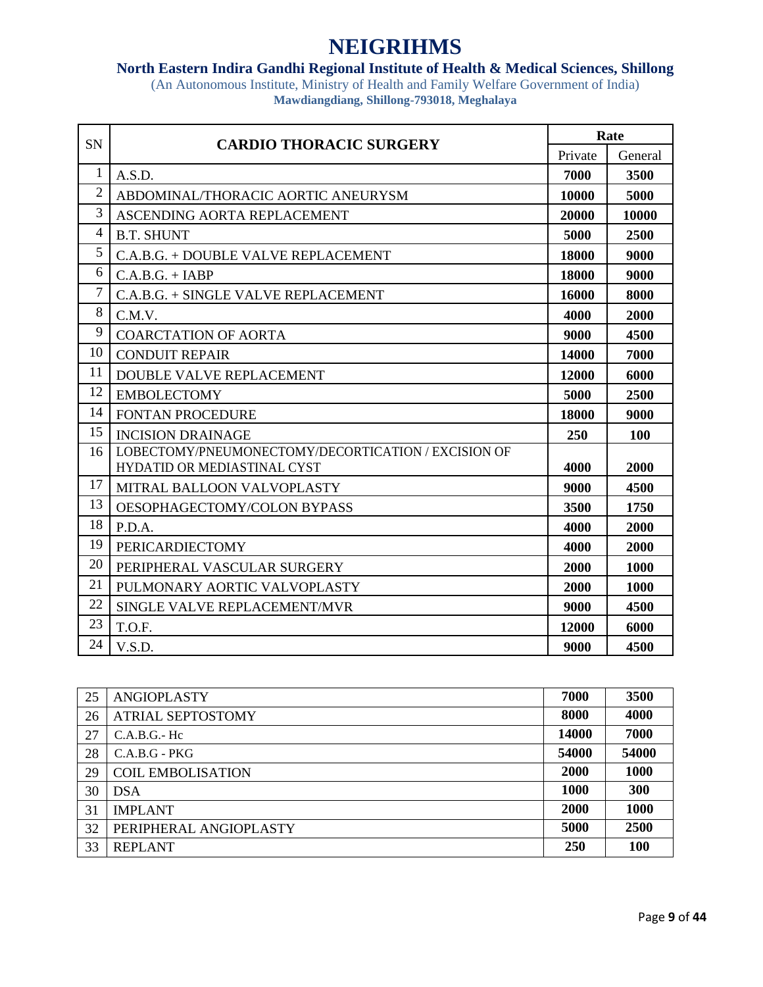### **North Eastern Indira Gandhi Regional Institute of Health & Medical Sciences, Shillong**

| SN             | <b>CARDIO THORACIC SURGERY</b>                      | Rate    |             |
|----------------|-----------------------------------------------------|---------|-------------|
|                |                                                     | Private | General     |
| 1              | A.S.D.                                              | 7000    | 3500        |
| $\overline{2}$ | ABDOMINAL/THORACIC AORTIC ANEURYSM                  | 10000   | 5000        |
| 3              | ASCENDING AORTA REPLACEMENT                         | 20000   | 10000       |
| 4              | <b>B.T. SHUNT</b>                                   | 5000    | 2500        |
| 5              | C.A.B.G. + DOUBLE VALVE REPLACEMENT                 | 18000   | 9000        |
| 6              | $C.A.B.G. + IABP$                                   | 18000   | 9000        |
| $\overline{7}$ | C.A.B.G. + SINGLE VALVE REPLACEMENT                 | 16000   | 8000        |
| 8              | C.M.V.                                              | 4000    | 2000        |
| 9              | <b>COARCTATION OF AORTA</b>                         | 9000    | 4500        |
| 10             | <b>CONDUIT REPAIR</b>                               | 14000   | 7000        |
| 11             | <b>DOUBLE VALVE REPLACEMENT</b>                     | 12000   | 6000        |
| 12             | <b>EMBOLECTOMY</b>                                  | 5000    | 2500        |
| 14             | <b>FONTAN PROCEDURE</b>                             | 18000   | 9000        |
| 15             | <b>INCISION DRAINAGE</b>                            | 250     | 100         |
| 16             | LOBECTOMY/PNEUMONECTOMY/DECORTICATION / EXCISION OF |         |             |
|                | <b>HYDATID OR MEDIASTINAL CYST</b>                  | 4000    | 2000        |
| 17             | MITRAL BALLOON VALVOPLASTY                          | 9000    | 4500        |
| 13             | OESOPHAGECTOMY/COLON BYPASS                         | 3500    | 1750        |
| 18             | P.D.A.                                              | 4000    | 2000        |
| 19             | <b>PERICARDIECTOMY</b>                              | 4000    | 2000        |
| 20             | PERIPHERAL VASCULAR SURGERY                         | 2000    | <b>1000</b> |
| 21             | PULMONARY AORTIC VALVOPLASTY                        | 2000    | <b>1000</b> |
| 22             | <b>SINGLE VALVE REPLACEMENT/MVR</b>                 | 9000    | 4500        |
| 23             | T.O.F.                                              | 12000   | 6000        |
| 24             | V.S.D.                                              | 9000    | 4500        |

| 25 | <b>ANGIOPLASTY</b>       | 7000        | 3500  |
|----|--------------------------|-------------|-------|
| 26 | <b>ATRIAL SEPTOSTOMY</b> | 8000        | 4000  |
| 27 | $C.A.B.G.-Hc$            | 14000       | 7000  |
| 28 | $C.A.B.G - PKG$          | 54000       | 54000 |
| 29 | <b>COIL EMBOLISATION</b> | 2000        | 1000  |
| 30 | <b>DSA</b>               | <b>1000</b> | 300   |
| 31 | <b>IMPLANT</b>           | 2000        | 1000  |
| 32 | PERIPHERAL ANGIOPLASTY   | 5000        | 2500  |
| 33 | <b>REPLANT</b>           | 250         | 100   |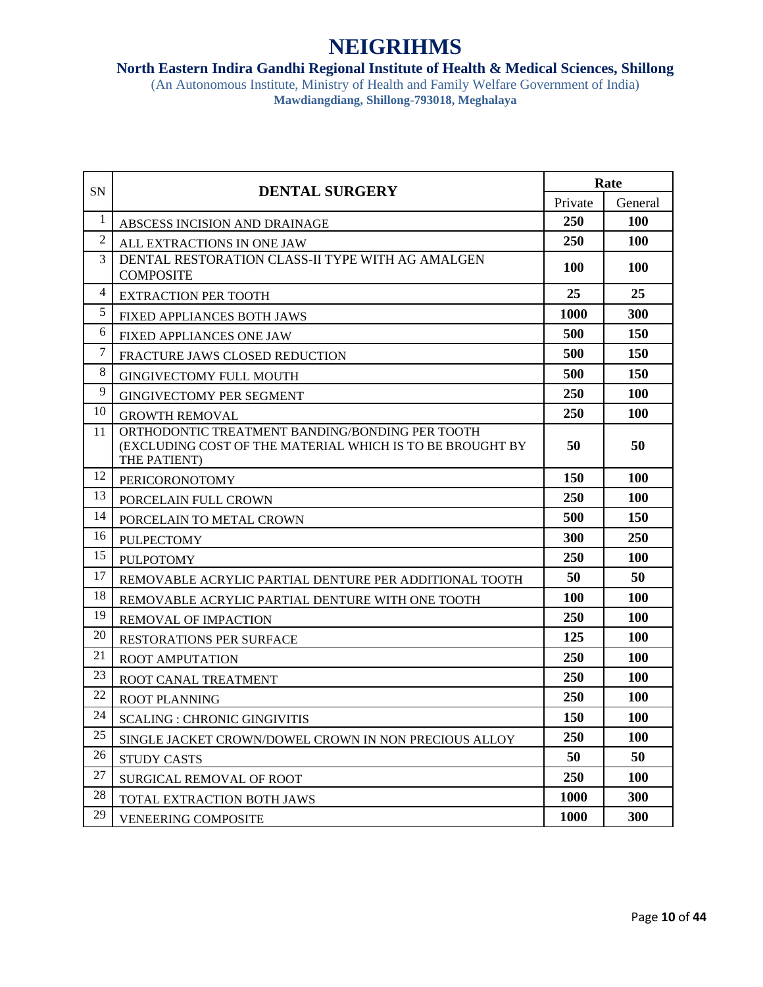#### **North Eastern Indira Gandhi Regional Institute of Health & Medical Sciences, Shillong**

| <b>SN</b>      | <b>DENTAL SURGERY</b>                                                                                                               | Rate        |            |
|----------------|-------------------------------------------------------------------------------------------------------------------------------------|-------------|------------|
|                |                                                                                                                                     | Private     | General    |
| 1              | ABSCESS INCISION AND DRAINAGE                                                                                                       | 250         | <b>100</b> |
| $\overline{2}$ | ALL EXTRACTIONS IN ONE JAW                                                                                                          | 250         | 100        |
| 3              | DENTAL RESTORATION CLASS-II TYPE WITH AG AMALGEN<br><b>COMPOSITE</b>                                                                | <b>100</b>  | <b>100</b> |
| 4              | <b>EXTRACTION PER TOOTH</b>                                                                                                         | 25          | 25         |
| 5              | FIXED APPLIANCES BOTH JAWS                                                                                                          | 1000        | 300        |
| 6              | <b>FIXED APPLIANCES ONE JAW</b>                                                                                                     | 500         | 150        |
| $\overline{7}$ | FRACTURE JAWS CLOSED REDUCTION                                                                                                      | 500         | <b>150</b> |
| 8              | <b>GINGIVECTOMY FULL MOUTH</b>                                                                                                      | 500         | 150        |
| 9              | <b>GINGIVECTOMY PER SEGMENT</b>                                                                                                     | 250         | <b>100</b> |
| 10             | <b>GROWTH REMOVAL</b>                                                                                                               | 250         | 100        |
| 11             | ORTHODONTIC TREATMENT BANDING/BONDING PER TOOTH<br><b>(EXCLUDING COST OF THE MATERIAL WHICH IS TO BE BROUGHT BY</b><br>THE PATIENT) | 50          | 50         |
| 12             | <b>PERICORONOTOMY</b>                                                                                                               | <b>150</b>  | 100        |
| 13             | PORCELAIN FULL CROWN                                                                                                                | 250         | <b>100</b> |
| 14             | PORCELAIN TO METAL CROWN                                                                                                            | 500         | <b>150</b> |
| 16             | <b>PULPECTOMY</b>                                                                                                                   | 300         | <b>250</b> |
| 15             | <b>PULPOTOMY</b>                                                                                                                    | 250         | <b>100</b> |
| 17             | REMOVABLE ACRYLIC PARTIAL DENTURE PER ADDITIONAL TOOTH                                                                              | 50          | 50         |
| 18             | REMOVABLE ACRYLIC PARTIAL DENTURE WITH ONE TOOTH                                                                                    | <b>100</b>  | 100        |
| 19             | <b>REMOVAL OF IMPACTION</b>                                                                                                         | 250         | <b>100</b> |
| 20             | <b>RESTORATIONS PER SURFACE</b>                                                                                                     | 125         | <b>100</b> |
| 21             | <b>ROOT AMPUTATION</b>                                                                                                              | 250         | 100        |
| 23             | ROOT CANAL TREATMENT                                                                                                                | 250         | <b>100</b> |
| 22             | <b>ROOT PLANNING</b>                                                                                                                | 250         | <b>100</b> |
| 24             | <b>SCALING: CHRONIC GINGIVITIS</b>                                                                                                  | <b>150</b>  | 100        |
| 25             | SINGLE JACKET CROWN/DOWEL CROWN IN NON PRECIOUS ALLOY                                                                               | 250         | 100        |
| 26             | <b>STUDY CASTS</b>                                                                                                                  | 50          | 50         |
| 27             | SURGICAL REMOVAL OF ROOT                                                                                                            | 250         | <b>100</b> |
| 28             | TOTAL EXTRACTION BOTH JAWS                                                                                                          | <b>1000</b> | 300        |
| 29             | <b>VENEERING COMPOSITE</b>                                                                                                          | 1000        | 300        |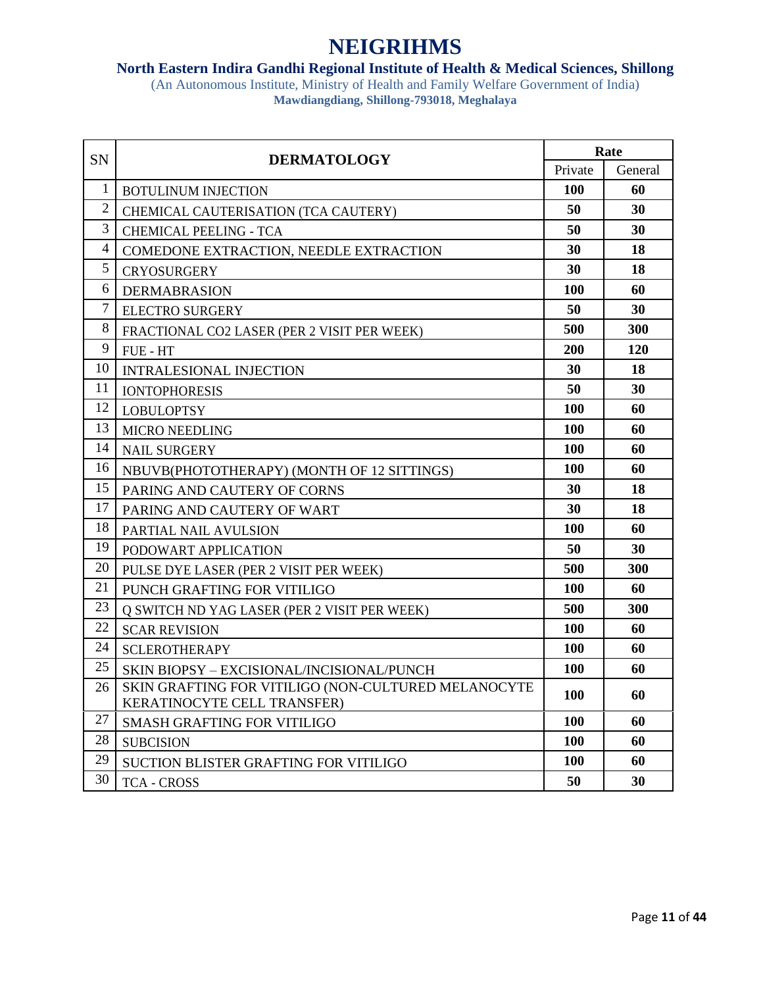#### **North Eastern Indira Gandhi Regional Institute of Health & Medical Sciences, Shillong**

| <b>SN</b>      | <b>DERMATOLOGY</b>                                                                 | Rate       |            |
|----------------|------------------------------------------------------------------------------------|------------|------------|
|                |                                                                                    | Private    | General    |
| $\mathbf{1}$   | <b>BOTULINUM INJECTION</b>                                                         | 100        | 60         |
| $\overline{2}$ | CHEMICAL CAUTERISATION (TCA CAUTERY)                                               | 50         | 30         |
| 3              | <b>CHEMICAL PEELING - TCA</b>                                                      | 50         | 30         |
| $\overline{4}$ | COMEDONE EXTRACTION, NEEDLE EXTRACTION                                             | 30         | 18         |
| 5              | <b>CRYOSURGERY</b>                                                                 | 30         | 18         |
| 6              | <b>DERMABRASION</b>                                                                | 100        | 60         |
| $\tau$         | <b>ELECTRO SURGERY</b>                                                             | 50         | 30         |
| 8              | FRACTIONAL CO2 LASER (PER 2 VISIT PER WEEK)                                        | 500        | <b>300</b> |
| 9              | FUE - HT                                                                           | 200        | 120        |
| 10             | <b>INTRALESIONAL INJECTION</b>                                                     | 30         | 18         |
| 11             | <b>IONTOPHORESIS</b>                                                               | 50         | 30         |
| 12             | <b>LOBULOPTSY</b>                                                                  | 100        | 60         |
| 13             | <b>MICRO NEEDLING</b>                                                              | 100        | 60         |
| 14             | <b>NAIL SURGERY</b>                                                                | <b>100</b> | 60         |
| 16             | NBUVB(PHOTOTHERAPY) (MONTH OF 12 SITTINGS)                                         | <b>100</b> | 60         |
| 15             | PARING AND CAUTERY OF CORNS                                                        | 30         | 18         |
| 17             | PARING AND CAUTERY OF WART                                                         | 30         | 18         |
| 18             | PARTIAL NAIL AVULSION                                                              | 100        | 60         |
| 19             | PODOWART APPLICATION                                                               | 50         | 30         |
| 20             | PULSE DYE LASER (PER 2 VISIT PER WEEK)                                             | 500        | 300        |
| 21             | PUNCH GRAFTING FOR VITILIGO                                                        | <b>100</b> | 60         |
| 23             | Q SWITCH ND YAG LASER (PER 2 VISIT PER WEEK)                                       | 500        | 300        |
| 22             | <b>SCAR REVISION</b>                                                               | 100        | 60         |
| 24             | <b>SCLEROTHERAPY</b>                                                               | <b>100</b> | 60         |
| 25             | SKIN BIOPSY - EXCISIONAL/INCISIONAL/PUNCH                                          | 100        | 60         |
| 26             | SKIN GRAFTING FOR VITILIGO (NON-CULTURED MELANOCYTE<br>KERATINOCYTE CELL TRANSFER) | 100        | 60         |
| 27             | <b>SMASH GRAFTING FOR VITILIGO</b>                                                 | 100        | 60         |
| 28             | <b>SUBCISION</b>                                                                   | <b>100</b> | 60         |
| 29             | SUCTION BLISTER GRAFTING FOR VITILIGO                                              | 100        | 60         |
| 30             | <b>TCA - CROSS</b>                                                                 | 50         | 30         |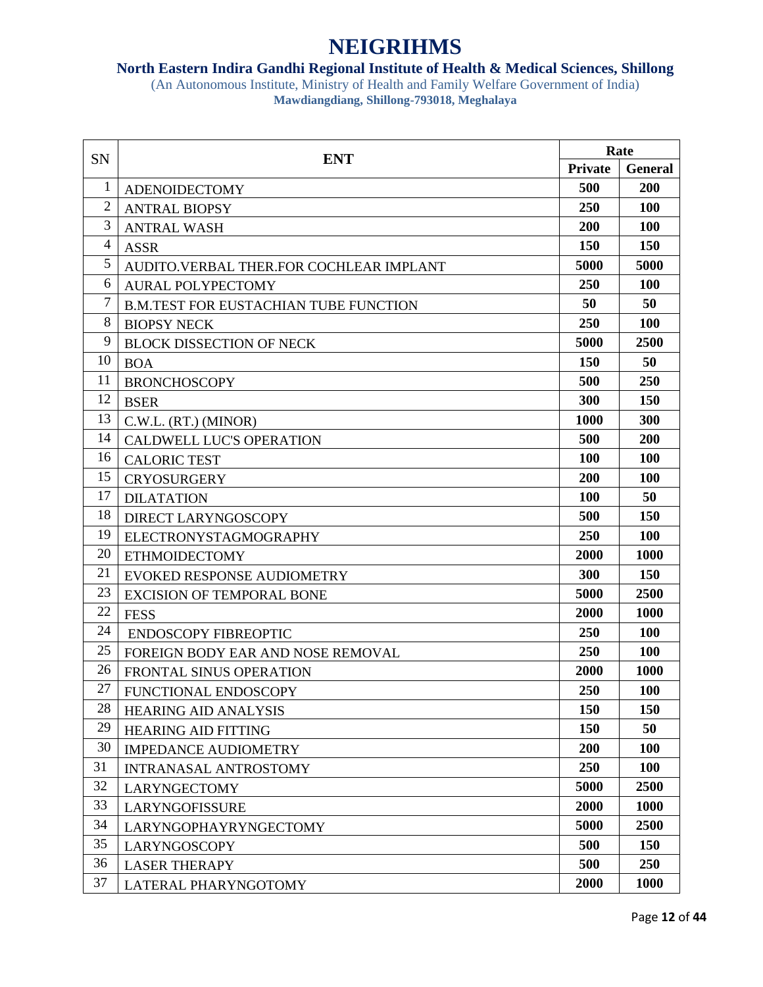### **North Eastern Indira Gandhi Regional Institute of Health & Medical Sciences, Shillong**

| SN             | <b>ENT</b>                                   | Rate           |                |
|----------------|----------------------------------------------|----------------|----------------|
|                |                                              | <b>Private</b> | <b>General</b> |
| 1              | <b>ADENOIDECTOMY</b>                         | 500            | 200            |
| $\overline{2}$ | <b>ANTRAL BIOPSY</b>                         | 250            | <b>100</b>     |
| 3              | <b>ANTRAL WASH</b>                           | 200            | <b>100</b>     |
| $\overline{4}$ | <b>ASSR</b>                                  | 150            | <b>150</b>     |
| 5              | AUDITO.VERBAL THER.FOR COCHLEAR IMPLANT      | 5000           | 5000           |
| 6              | <b>AURAL POLYPECTOMY</b>                     | 250            | <b>100</b>     |
| $\tau$         | <b>B.M.TEST FOR EUSTACHIAN TUBE FUNCTION</b> | 50             | 50             |
| 8              | <b>BIOPSY NECK</b>                           | 250            | 100            |
| 9              | <b>BLOCK DISSECTION OF NECK</b>              | 5000           | 2500           |
| 10             | <b>BOA</b>                                   | <b>150</b>     | 50             |
| 11             | <b>BRONCHOSCOPY</b>                          | 500            | <b>250</b>     |
| 12             | <b>BSER</b>                                  | 300            | <b>150</b>     |
| 13             | C.W.L. (RT.) (MINOR)                         | 1000           | 300            |
| 14             | <b>CALDWELL LUC'S OPERATION</b>              | 500            | <b>200</b>     |
| 16             | <b>CALORIC TEST</b>                          | <b>100</b>     | <b>100</b>     |
| 15             | <b>CRYOSURGERY</b>                           | 200            | 100            |
| 17             | <b>DILATATION</b>                            | <b>100</b>     | 50             |
| 18             | DIRECT LARYNGOSCOPY                          | 500            | <b>150</b>     |
| 19             | ELECTRONYSTAGMOGRAPHY                        | 250            | <b>100</b>     |
| 20             | <b>ETHMOIDECTOMY</b>                         | 2000           | 1000           |
| 21             | <b>EVOKED RESPONSE AUDIOMETRY</b>            | 300            | <b>150</b>     |
| 23             | <b>EXCISION OF TEMPORAL BONE</b>             | 5000           | 2500           |
| 22             | <b>FESS</b>                                  | 2000           | 1000           |
| 24             | <b>ENDOSCOPY FIBREOPTIC</b>                  | 250            | <b>100</b>     |
| 25             | FOREIGN BODY EAR AND NOSE REMOVAL            | 250            | <b>100</b>     |
| 26             | <b>FRONTAL SINUS OPERATION</b>               | 2000           | 1000           |
| 27             | FUNCTIONAL ENDOSCOPY                         | 250            | <b>100</b>     |
| 28             | <b>HEARING AID ANALYSIS</b>                  | 150            | 150            |
| 29             | <b>HEARING AID FITTING</b>                   | 150            | 50             |
| 30             | <b>IMPEDANCE AUDIOMETRY</b>                  | 200            | 100            |
| 31             | <b>INTRANASAL ANTROSTOMY</b>                 | 250            | <b>100</b>     |
| 32             | <b>LARYNGECTOMY</b>                          | 5000           | 2500           |
| 33             | LARYNGOFISSURE                               | 2000           | 1000           |
| 34             | <b>LARYNGOPHAYRYNGECTOMY</b>                 | 5000           | 2500           |
| 35             | <b>LARYNGOSCOPY</b>                          | 500            | 150            |
| 36             | <b>LASER THERAPY</b>                         | 500            | 250            |
| 37             | LATERAL PHARYNGOTOMY                         | 2000           | <b>1000</b>    |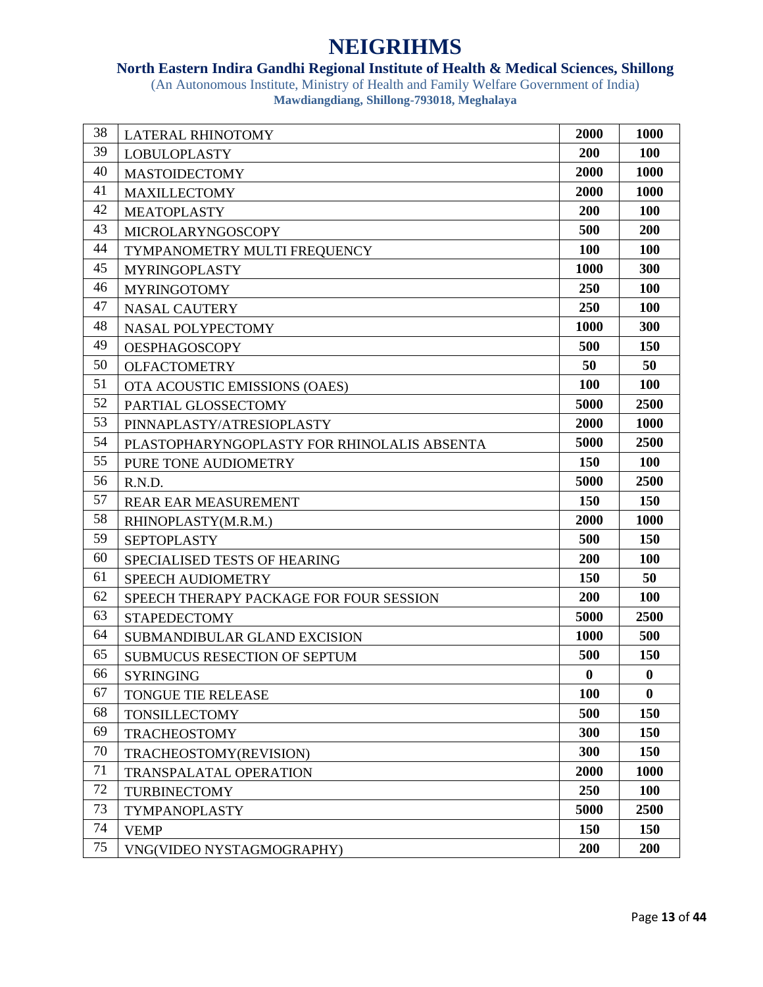### **North Eastern Indira Gandhi Regional Institute of Health & Medical Sciences, Shillong**

| 38 | <b>LATERAL RHINOTOMY</b>                    | 2000       | 1000       |
|----|---------------------------------------------|------------|------------|
| 39 | <b>LOBULOPLASTY</b>                         | 200        | 100        |
| 40 | <b>MASTOIDECTOMY</b>                        | 2000       | 1000       |
| 41 | <b>MAXILLECTOMY</b>                         | 2000       | 1000       |
| 42 | <b>MEATOPLASTY</b>                          | 200        | <b>100</b> |
| 43 | <b>MICROLARYNGOSCOPY</b>                    | 500        | 200        |
| 44 | TYMPANOMETRY MULTI FREQUENCY                | 100        | 100        |
| 45 | <b>MYRINGOPLASTY</b>                        | 1000       | 300        |
| 46 | <b>MYRINGOTOMY</b>                          | 250        | <b>100</b> |
| 47 | <b>NASAL CAUTERY</b>                        | 250        | <b>100</b> |
| 48 | <b>NASAL POLYPECTOMY</b>                    | 1000       | 300        |
| 49 | <b>OESPHAGOSCOPY</b>                        | 500        | <b>150</b> |
| 50 | <b>OLFACTOMETRY</b>                         | 50         | 50         |
| 51 | OTA ACOUSTIC EMISSIONS (OAES)               | 100        | 100        |
| 52 | PARTIAL GLOSSECTOMY                         | 5000       | 2500       |
| 53 | PINNAPLASTY/ATRESIOPLASTY                   | 2000       | 1000       |
| 54 | PLASTOPHARYNGOPLASTY FOR RHINOLALIS ABSENTA | 5000       | 2500       |
| 55 | PURE TONE AUDIOMETRY                        | <b>150</b> | <b>100</b> |
| 56 | R.N.D.                                      | 5000       | 2500       |
| 57 | REAR EAR MEASUREMENT                        | <b>150</b> | <b>150</b> |
| 58 | RHINOPLASTY(M.R.M.)                         | 2000       | 1000       |
| 59 | <b>SEPTOPLASTY</b>                          | 500        | 150        |
| 60 | SPECIALISED TESTS OF HEARING                | 200        | <b>100</b> |
| 61 | SPEECH AUDIOMETRY                           | 150        | 50         |
| 62 | SPEECH THERAPY PACKAGE FOR FOUR SESSION     | 200        | <b>100</b> |
| 63 | <b>STAPEDECTOMY</b>                         | 5000       | 2500       |
| 64 | SUBMANDIBULAR GLAND EXCISION                | 1000       | 500        |
| 65 | <b>SUBMUCUS RESECTION OF SEPTUM</b>         | 500        | 150        |
| 66 | <b>SYRINGING</b>                            | $\bf{0}$   | $\bf{0}$   |
| 67 | <b>TONGUE TIE RELEASE</b>                   | <b>100</b> | $\bf{0}$   |
| 68 | <b>TONSILLECTOMY</b>                        | 500        | 150        |
| 69 | <b>TRACHEOSTOMY</b>                         | 300        | 150        |
| 70 | TRACHEOSTOMY(REVISION)                      | 300        | 150        |
| 71 | <b>TRANSPALATAL OPERATION</b>               | 2000       | 1000       |
| 72 | <b>TURBINECTOMY</b>                         | 250        | <b>100</b> |
| 73 | <b>TYMPANOPLASTY</b>                        | 5000       | 2500       |
| 74 | <b>VEMP</b>                                 | 150        | 150        |
| 75 | VNG(VIDEO NYSTAGMOGRAPHY)                   | 200        | 200        |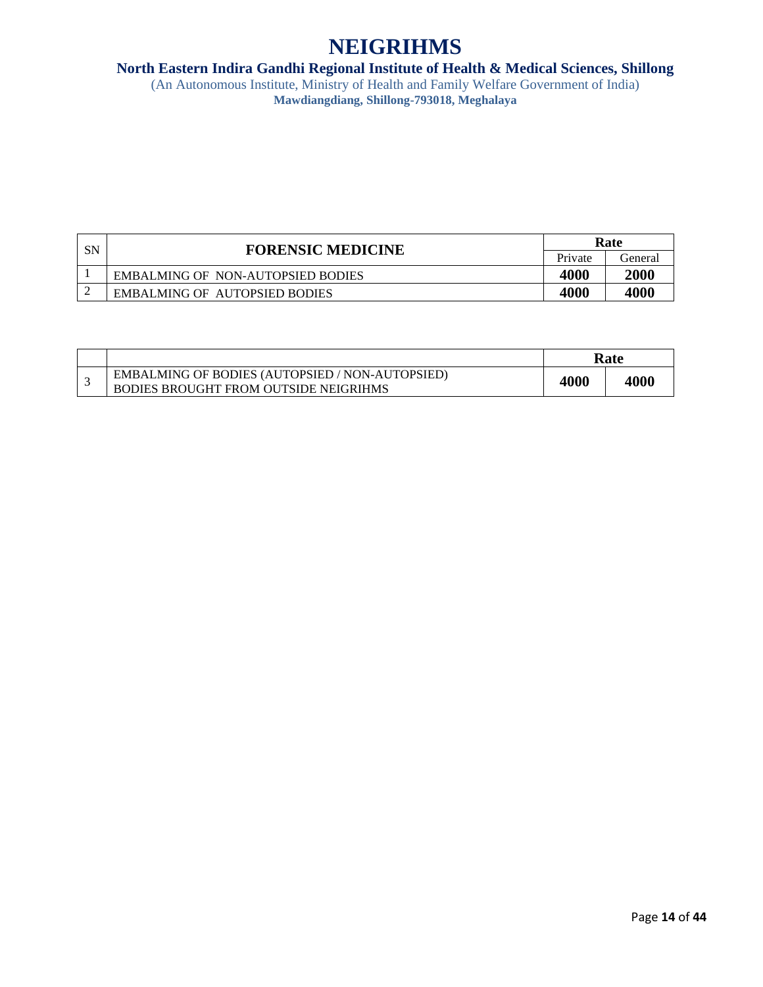### **North Eastern Indira Gandhi Regional Institute of Health & Medical Sciences, Shillong**

| SN | <b>FORENSIC MEDICINE</b>             | Rate    |         |
|----|--------------------------------------|---------|---------|
|    |                                      | Private | General |
|    | EMBALMING OF NON-AUTOPSIED BODIES    | 4000    | 2000    |
|    | <b>EMBALMING OF AUTOPSIED BODIES</b> | 4000    | 4000    |

|                                                                                                 | Rate |      |
|-------------------------------------------------------------------------------------------------|------|------|
| <b>EMBALMING OF BODIES (AUTOPSIED / NON-AUTOPSIED)</b><br>BODIES BROUGHT FROM OUTSIDE NEIGRIHMS | 4000 | 4000 |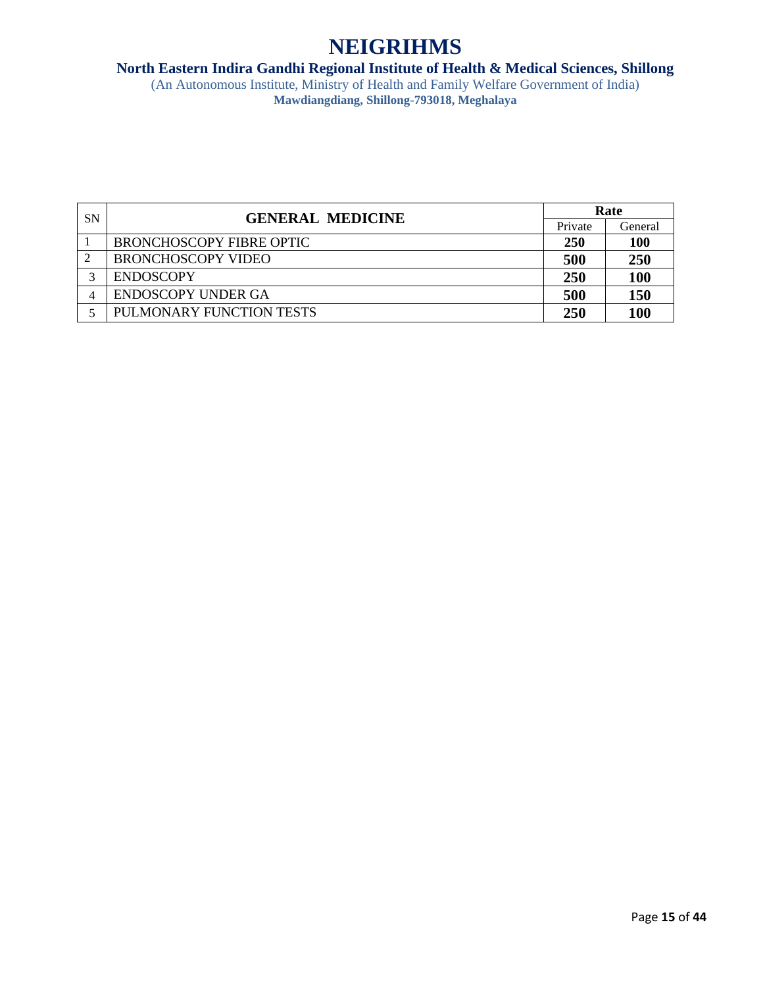### **North Eastern Indira Gandhi Regional Institute of Health & Medical Sciences, Shillong**

| <b>SN</b> | <b>GENERAL MEDICINE</b>         | Rate       |            |
|-----------|---------------------------------|------------|------------|
|           |                                 | Private    | General    |
|           | <b>BRONCHOSCOPY FIBRE OPTIC</b> | <b>250</b> | <b>100</b> |
|           | <b>BRONCHOSCOPY VIDEO</b>       | 500        | 250        |
| 2         | <b>ENDOSCOPY</b>                | 250        | <b>100</b> |
|           | <b>ENDOSCOPY UNDER GA</b>       | 500        | 150        |
|           | PULMONARY FUNCTION TESTS        | 250        | <b>100</b> |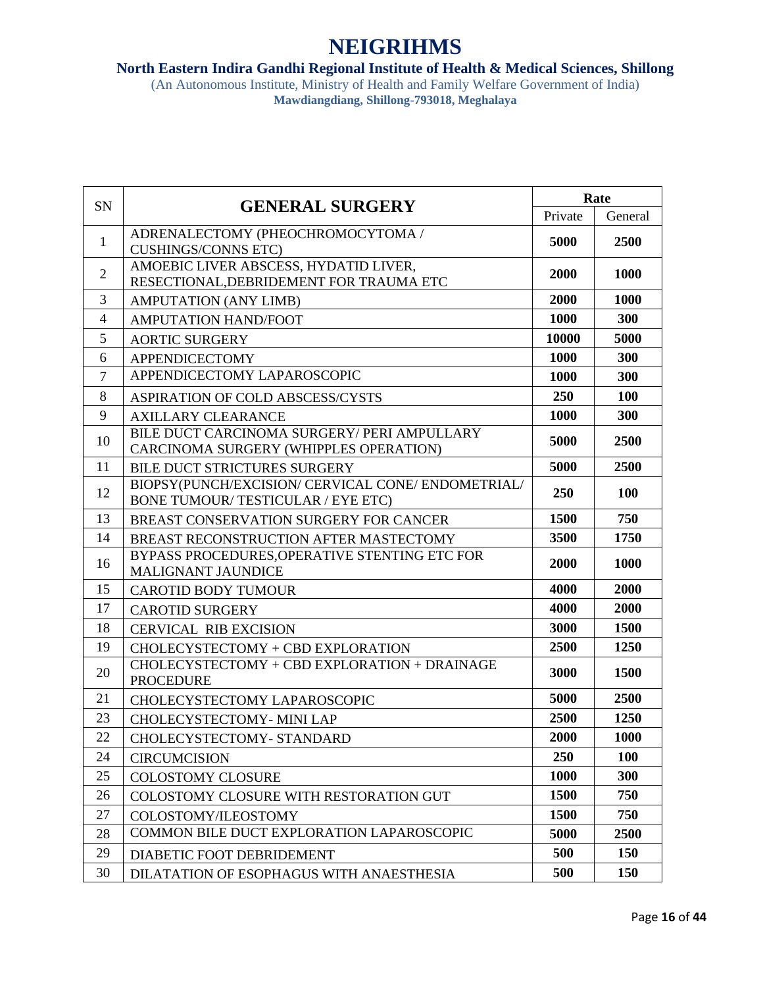#### **North Eastern Indira Gandhi Regional Institute of Health & Medical Sciences, Shillong**

| SN             | <b>GENERAL SURGERY</b>                                                                  | Rate    |            |
|----------------|-----------------------------------------------------------------------------------------|---------|------------|
|                |                                                                                         | Private | General    |
| $\mathbf{1}$   | ADRENALECTOMY (PHEOCHROMOCYTOMA /<br><b>CUSHINGS/CONNS ETC)</b>                         | 5000    | 2500       |
| $\overline{2}$ | AMOEBIC LIVER ABSCESS, HYDATID LIVER,<br>RESECTIONAL, DEBRIDEMENT FOR TRAUMA ETC        | 2000    | 1000       |
| 3              | <b>AMPUTATION (ANY LIMB)</b>                                                            | 2000    | 1000       |
| $\overline{4}$ | <b>AMPUTATION HAND/FOOT</b>                                                             | 1000    | 300        |
| 5              | <b>AORTIC SURGERY</b>                                                                   | 10000   | 5000       |
| 6              | <b>APPENDICECTOMY</b>                                                                   | 1000    | 300        |
| $\overline{7}$ | APPENDICECTOMY LAPAROSCOPIC                                                             | 1000    | 300        |
| 8              | ASPIRATION OF COLD ABSCESS/CYSTS                                                        | 250     | 100        |
| 9              | <b>AXILLARY CLEARANCE</b>                                                               | 1000    | 300        |
| 10             | BILE DUCT CARCINOMA SURGERY/ PERI AMPULLARY<br>CARCINOMA SURGERY (WHIPPLES OPERATION)   | 5000    | 2500       |
| 11             | <b>BILE DUCT STRICTURES SURGERY</b>                                                     | 5000    | 2500       |
| 12             | BIOPSY(PUNCH/EXCISION/ CERVICAL CONE/ ENDOMETRIAL/<br>BONE TUMOUR/TESTICULAR / EYE ETC) | 250     | <b>100</b> |
| 13             | BREAST CONSERVATION SURGERY FOR CANCER                                                  | 1500    | 750        |
| 14             | BREAST RECONSTRUCTION AFTER MASTECTOMY                                                  | 3500    | 1750       |
| 16             | BYPASS PROCEDURES, OPERATIVE STENTING ETC FOR<br><b>MALIGNANT JAUNDICE</b>              | 2000    | 1000       |
| 15             | <b>CAROTID BODY TUMOUR</b>                                                              | 4000    | 2000       |
| 17             | <b>CAROTID SURGERY</b>                                                                  | 4000    | 2000       |
| 18             | <b>CERVICAL RIB EXCISION</b>                                                            | 3000    | 1500       |
| 19             | CHOLECYSTECTOMY + CBD EXPLORATION                                                       | 2500    | 1250       |
| 20             | CHOLECYSTECTOMY + CBD EXPLORATION + DRAINAGE<br><b>PROCEDURE</b>                        | 3000    | 1500       |
| 21             | CHOLECYSTECTOMY LAPAROSCOPIC                                                            | 5000    | 2500       |
| 23             | CHOLECYSTECTOMY- MINI LAP                                                               | 2500    | 1250       |
| 22             | CHOLECYSTECTOMY- STANDARD                                                               | 2000    | 1000       |
| 24             | <b>CIRCUMCISION</b>                                                                     | 250     | <b>100</b> |
| 25             | <b>COLOSTOMY CLOSURE</b>                                                                | 1000    | 300        |
| 26             | COLOSTOMY CLOSURE WITH RESTORATION GUT                                                  | 1500    | 750        |
| 27             | COLOSTOMY/ILEOSTOMY                                                                     | 1500    | 750        |
| 28             | COMMON BILE DUCT EXPLORATION LAPAROSCOPIC                                               | 5000    | 2500       |
| 29             | DIABETIC FOOT DEBRIDEMENT                                                               | 500     | 150        |
| 30             | DILATATION OF ESOPHAGUS WITH ANAESTHESIA                                                | 500     | <b>150</b> |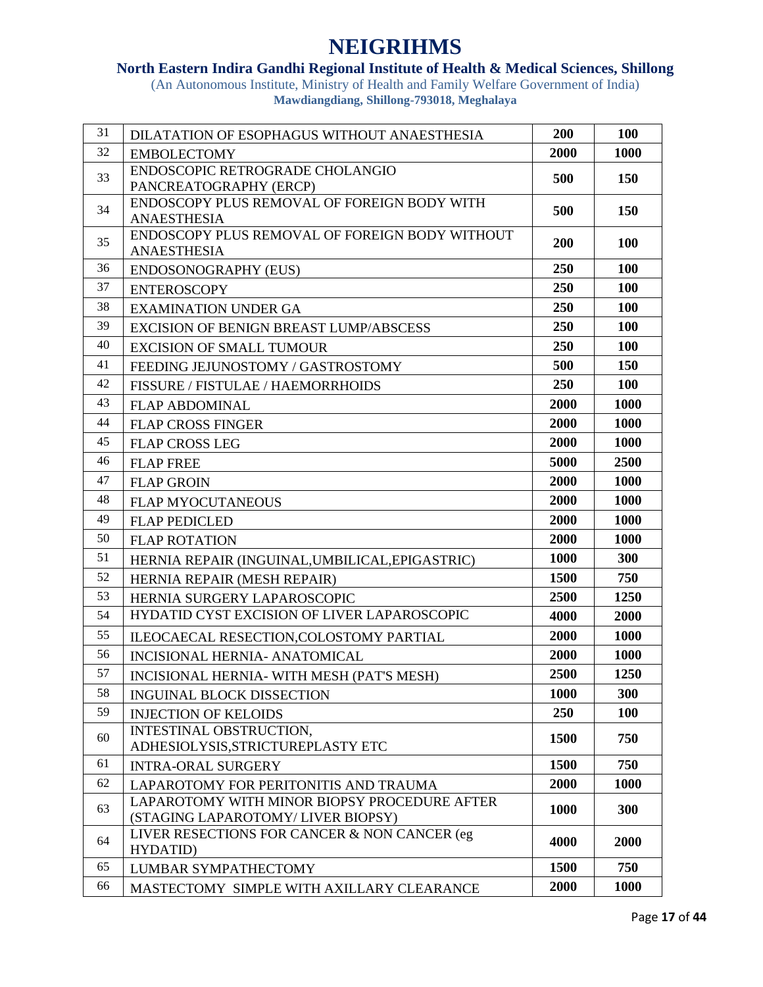### **North Eastern Indira Gandhi Regional Institute of Health & Medical Sciences, Shillong**

| 31 | DILATATION OF ESOPHAGUS WITHOUT ANAESTHESIA                          | 200  | 100         |
|----|----------------------------------------------------------------------|------|-------------|
| 32 | <b>EMBOLECTOMY</b>                                                   | 2000 | 1000        |
| 33 | ENDOSCOPIC RETROGRADE CHOLANGIO                                      | 500  | 150         |
|    | PANCREATOGRAPHY (ERCP)                                               |      |             |
| 34 | ENDOSCOPY PLUS REMOVAL OF FOREIGN BODY WITH                          | 500  | 150         |
|    | <b>ANAESTHESIA</b><br>ENDOSCOPY PLUS REMOVAL OF FOREIGN BODY WITHOUT |      |             |
| 35 | <b>ANAESTHESIA</b>                                                   | 200  | <b>100</b>  |
| 36 | <b>ENDOSONOGRAPHY (EUS)</b>                                          | 250  | 100         |
| 37 | <b>ENTEROSCOPY</b>                                                   | 250  | <b>100</b>  |
| 38 | <b>EXAMINATION UNDER GA</b>                                          | 250  | <b>100</b>  |
| 39 | <b>EXCISION OF BENIGN BREAST LUMP/ABSCESS</b>                        | 250  | 100         |
| 40 | <b>EXCISION OF SMALL TUMOUR</b>                                      | 250  | <b>100</b>  |
| 41 |                                                                      | 500  | 150         |
| 42 | FEEDING JEJUNOSTOMY / GASTROSTOMY                                    |      |             |
|    | FISSURE / FISTULAE / HAEMORRHOIDS                                    | 250  | 100         |
| 43 | <b>FLAP ABDOMINAL</b>                                                | 2000 | 1000        |
| 44 | <b>FLAP CROSS FINGER</b>                                             | 2000 | 1000        |
| 45 | <b>FLAP CROSS LEG</b>                                                | 2000 | 1000        |
| 46 | <b>FLAP FREE</b>                                                     | 5000 | 2500        |
| 47 | <b>FLAP GROIN</b>                                                    | 2000 | <b>1000</b> |
| 48 | <b>FLAP MYOCUTANEOUS</b>                                             | 2000 | <b>1000</b> |
| 49 | <b>FLAP PEDICLED</b>                                                 | 2000 | 1000        |
| 50 | <b>FLAP ROTATION</b>                                                 | 2000 | 1000        |
| 51 | HERNIA REPAIR (INGUINAL, UMBILICAL, EPIGASTRIC)                      | 1000 | 300         |
| 52 | HERNIA REPAIR (MESH REPAIR)                                          | 1500 | 750         |
| 53 | HERNIA SURGERY LAPAROSCOPIC                                          | 2500 | 1250        |
| 54 | HYDATID CYST EXCISION OF LIVER LAPAROSCOPIC                          | 4000 | 2000        |
| 55 | ILEOCAECAL RESECTION, COLOSTOMY PARTIAL                              | 2000 | 1000        |
| 56 | INCISIONAL HERNIA- ANATOMICAL                                        | 2000 | 1000        |
| 57 | INCISIONAL HERNIA- WITH MESH (PAT'S MESH)                            | 2500 | 1250        |
| 58 | <b>INGUINAL BLOCK DISSECTION</b>                                     | 1000 | 300         |
| 59 | <b>INJECTION OF KELOIDS</b>                                          | 250  | <b>100</b>  |
|    | INTESTINAL OBSTRUCTION,                                              |      |             |
| 60 | ADHESIOLYSIS, STRICTUREPLASTY ETC                                    | 1500 | 750         |
| 61 | <b>INTRA-ORAL SURGERY</b>                                            | 1500 | 750         |
| 62 | LAPAROTOMY FOR PERITONITIS AND TRAUMA                                | 2000 | 1000        |
| 63 | LAPAROTOMY WITH MINOR BIOPSY PROCEDURE AFTER                         | 1000 | 300         |
|    | (STAGING LAPAROTOMY/LIVER BIOPSY)                                    |      |             |
| 64 | LIVER RESECTIONS FOR CANCER & NON CANCER (eg                         | 4000 | 2000        |
|    | HYDATID)                                                             |      |             |
| 65 | LUMBAR SYMPATHECTOMY                                                 | 1500 | 750         |
| 66 | MASTECTOMY SIMPLE WITH AXILLARY CLEARANCE                            | 2000 | 1000        |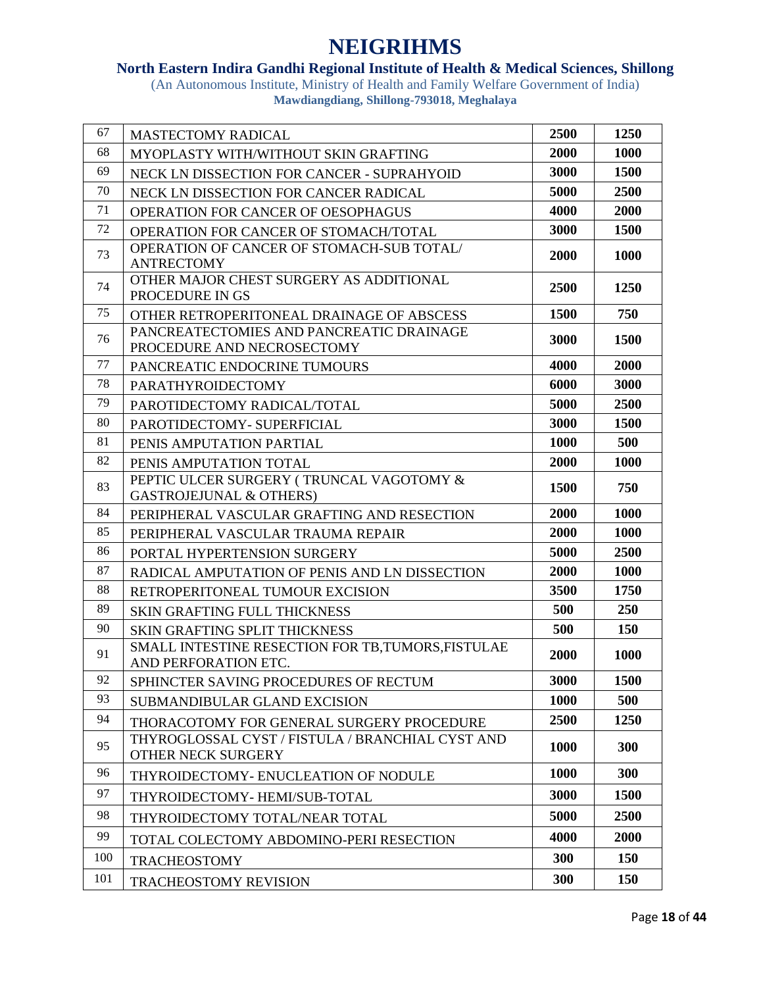### **North Eastern Indira Gandhi Regional Institute of Health & Medical Sciences, Shillong**

| 67  | <b>MASTECTOMY RADICAL</b>                                                      | 2500        | 1250       |
|-----|--------------------------------------------------------------------------------|-------------|------------|
| 68  | MYOPLASTY WITH/WITHOUT SKIN GRAFTING                                           | 2000        | 1000       |
| 69  | NECK LN DISSECTION FOR CANCER - SUPRAHYOID                                     | 3000        | 1500       |
| 70  | NECK LN DISSECTION FOR CANCER RADICAL                                          | 5000        | 2500       |
| 71  | OPERATION FOR CANCER OF OESOPHAGUS                                             | 4000        | 2000       |
| 72  | OPERATION FOR CANCER OF STOMACH/TOTAL                                          | 3000        | 1500       |
| 73  | OPERATION OF CANCER OF STOMACH-SUB TOTAL/<br><b>ANTRECTOMY</b>                 | 2000        | 1000       |
| 74  | OTHER MAJOR CHEST SURGERY AS ADDITIONAL<br>PROCEDURE IN GS                     | 2500        | 1250       |
| 75  | OTHER RETROPERITONEAL DRAINAGE OF ABSCESS                                      | 1500        | 750        |
| 76  | PANCREATECTOMIES AND PANCREATIC DRAINAGE<br>PROCEDURE AND NECROSECTOMY         | 3000        | 1500       |
| 77  | PANCREATIC ENDOCRINE TUMOURS                                                   | 4000        | 2000       |
| 78  | <b>PARATHYROIDECTOMY</b>                                                       | 6000        | 3000       |
| 79  | PAROTIDECTOMY RADICAL/TOTAL                                                    | 5000        | 2500       |
| 80  | PAROTIDECTOMY- SUPERFICIAL                                                     | 3000        | 1500       |
| 81  | PENIS AMPUTATION PARTIAL                                                       | 1000        | 500        |
| 82  | PENIS AMPUTATION TOTAL                                                         | 2000        | 1000       |
| 83  | PEPTIC ULCER SURGERY (TRUNCAL VAGOTOMY &<br><b>GASTROJEJUNAL &amp; OTHERS)</b> | 1500        | 750        |
| 84  | PERIPHERAL VASCULAR GRAFTING AND RESECTION                                     | 2000        | 1000       |
| 85  | PERIPHERAL VASCULAR TRAUMA REPAIR                                              | 2000        | 1000       |
| 86  | PORTAL HYPERTENSION SURGERY                                                    | 5000        | 2500       |
| 87  | RADICAL AMPUTATION OF PENIS AND LN DISSECTION                                  | 2000        | 1000       |
| 88  | RETROPERITONEAL TUMOUR EXCISION                                                | 3500        | 1750       |
| 89  | <b>SKIN GRAFTING FULL THICKNESS</b>                                            | 500         | 250        |
| 90  | <b>SKIN GRAFTING SPLIT THICKNESS</b>                                           | 500         | 150        |
| 91  | SMALL INTESTINE RESECTION FOR TB, TUMORS, FISTULAE<br>AND PERFORATION ETC.     | 2000        | 1000       |
| 92  | SPHINCTER SAVING PROCEDURES OF RECTUM                                          | 3000        | 1500       |
| 93  | SUBMANDIBULAR GLAND EXCISION                                                   | <b>1000</b> | 500        |
| 94  | THORACOTOMY FOR GENERAL SURGERY PROCEDURE                                      | 2500        | 1250       |
| 95  | THYROGLOSSAL CYST / FISTULA / BRANCHIAL CYST AND<br>OTHER NECK SURGERY         | 1000        | 300        |
| 96  | THYROIDECTOMY- ENUCLEATION OF NODULE                                           | 1000        | 300        |
| 97  | THYROIDECTOMY-HEMI/SUB-TOTAL                                                   | 3000        | 1500       |
| 98  | THYROIDECTOMY TOTAL/NEAR TOTAL                                                 | 5000        | 2500       |
| 99  | TOTAL COLECTOMY ABDOMINO-PERI RESECTION                                        | 4000        | 2000       |
| 100 | <b>TRACHEOSTOMY</b>                                                            | 300         | <b>150</b> |
| 101 | <b>TRACHEOSTOMY REVISION</b>                                                   | 300         | 150        |
|     |                                                                                |             |            |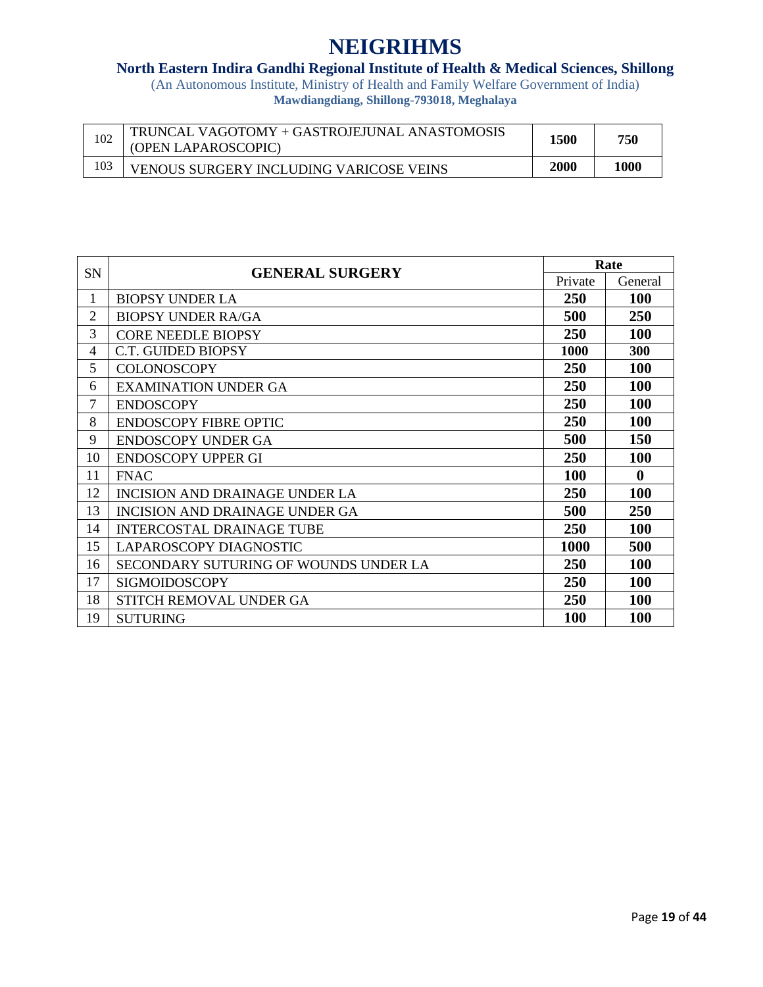### **North Eastern Indira Gandhi Regional Institute of Health & Medical Sciences, Shillong**

| 102 | TRUNCAL VAGOTOMY + GASTROJEJUNAL ANASTOMOSIS<br>(OPEN LAPAROSCOPIC) | 1500        | 750  |
|-----|---------------------------------------------------------------------|-------------|------|
|     | <b>VENOUS SURGERY INCLUDING VARICOSE VEINS</b>                      | <b>2000</b> | 1000 |

|                | SN<br><b>GENERAL SURGERY</b>          | Rate        |              |
|----------------|---------------------------------------|-------------|--------------|
|                |                                       | Private     | General      |
| 1              | <b>BIOPSY UNDER LA</b>                | <b>250</b>  | 100          |
| $\overline{2}$ | <b>BIOPSY UNDER RA/GA</b>             | 500         | 250          |
| 3              | <b>CORE NEEDLE BIOPSY</b>             | 250         | <b>100</b>   |
| 4              | C.T. GUIDED BIOPSY                    | 1000        | <b>300</b>   |
| 5              | <b>COLONOSCOPY</b>                    | 250         | 100          |
| 6              | <b>EXAMINATION UNDER GA</b>           | 250         | <b>100</b>   |
| $\overline{7}$ | <b>ENDOSCOPY</b>                      | 250         | <b>100</b>   |
| 8              | <b>ENDOSCOPY FIBRE OPTIC</b>          | <b>250</b>  | <b>100</b>   |
| 9              | <b>ENDOSCOPY UNDER GA</b>             | 500         | 150          |
| 10             | <b>ENDOSCOPY UPPER GI</b>             | <b>250</b>  | <b>100</b>   |
| 11             | <b>FNAC</b>                           | <b>100</b>  | $\mathbf{0}$ |
| 12             | <b>INCISION AND DRAINAGE UNDER LA</b> | 250         | 100          |
| 13             | <b>INCISION AND DRAINAGE UNDER GA</b> | 500         | 250          |
| 14             | <b>INTERCOSTAL DRAINAGE TUBE</b>      | 250         | <b>100</b>   |
| 15             | LAPAROSCOPY DIAGNOSTIC                | <b>1000</b> | 500          |
| 16             | SECONDARY SUTURING OF WOUNDS UNDER LA | 250         | 100          |
| 17             | <b>SIGMOIDOSCOPY</b>                  | 250         | <b>100</b>   |
| 18             | STITCH REMOVAL UNDER GA               | 250         | <b>100</b>   |
| 19             | <b>SUTURING</b>                       | <b>100</b>  | 100          |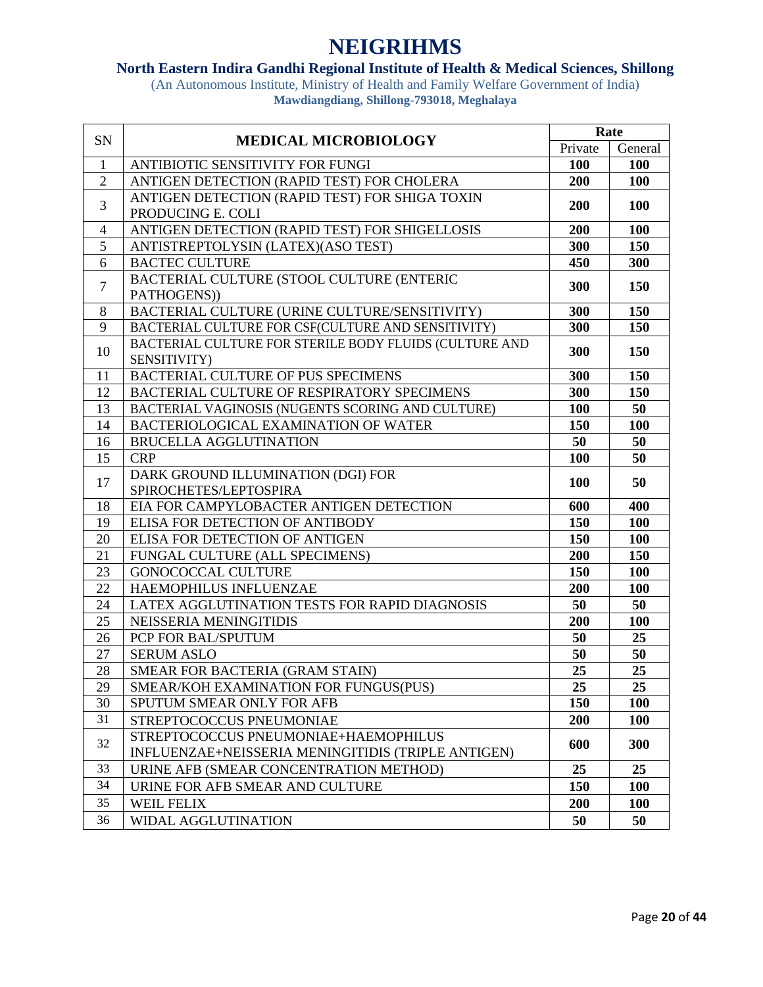### **North Eastern Indira Gandhi Regional Institute of Health & Medical Sciences, Shillong**

| SN             | <b>MEDICAL MICROBIOLOGY</b>                            | Rate    |            |
|----------------|--------------------------------------------------------|---------|------------|
|                |                                                        | Private | General    |
| -1             | ANTIBIOTIC SENSITIVITY FOR FUNGI                       | 100     | 100        |
| $\overline{2}$ | ANTIGEN DETECTION (RAPID TEST) FOR CHOLERA             | 200     | 100        |
| 3              | ANTIGEN DETECTION (RAPID TEST) FOR SHIGA TOXIN         | 200     | 100        |
|                | PRODUCING E. COLI                                      |         |            |
| 4              | ANTIGEN DETECTION (RAPID TEST) FOR SHIGELLOSIS         | 200     | 100        |
| 5              | ANTISTREPTOLYSIN (LATEX)(ASO TEST)                     | 300     | 150        |
| 6              | <b>BACTEC CULTURE</b>                                  | 450     | 300        |
| $\overline{7}$ | BACTERIAL CULTURE (STOOL CULTURE (ENTERIC              | 300     | 150        |
|                | PATHOGENS))                                            |         |            |
| 8              | BACTERIAL CULTURE (URINE CULTURE/SENSITIVITY)          | 300     | 150        |
| 9              | BACTERIAL CULTURE FOR CSF(CULTURE AND SENSITIVITY)     | 300     | 150        |
| 10             | BACTERIAL CULTURE FOR STERILE BODY FLUIDS (CULTURE AND | 300     | 150        |
|                | SENSITIVITY)                                           |         |            |
| 11             | BACTERIAL CULTURE OF PUS SPECIMENS                     | 300     | 150        |
| 12             | BACTERIAL CULTURE OF RESPIRATORY SPECIMENS             | 300     | 150        |
| 13             | BACTERIAL VAGINOSIS (NUGENTS SCORING AND CULTURE)      | 100     | 50         |
| 14             | <b>BACTERIOLOGICAL EXAMINATION OF WATER</b>            | 150     | 100        |
| 16             | <b>BRUCELLA AGGLUTINATION</b>                          | 50      | 50         |
| 15             | <b>CRP</b>                                             | 100     | 50         |
| 17             | DARK GROUND ILLUMINATION (DGI) FOR                     | 100     | 50         |
|                | SPIROCHETES/LEPTOSPIRA                                 |         |            |
| 18             | EIA FOR CAMPYLOBACTER ANTIGEN DETECTION                | 600     | 400        |
| 19             | ELISA FOR DETECTION OF ANTIBODY                        | 150     | 100        |
| 20             | ELISA FOR DETECTION OF ANTIGEN                         | 150     | <b>100</b> |
| 21             | FUNGAL CULTURE (ALL SPECIMENS)                         | 200     | 150        |
| 23             | <b>GONOCOCCAL CULTURE</b>                              | 150     | <b>100</b> |
| 22             | HAEMOPHILUS INFLUENZAE                                 | 200     | 100        |
| 24             | LATEX AGGLUTINATION TESTS FOR RAPID DIAGNOSIS          | 50      | 50         |
| 25             | NEISSERIA MENINGITIDIS                                 | 200     | 100        |
| 26             | PCP FOR BAL/SPUTUM                                     | 50      | 25         |
| 27             | <b>SERUM ASLO</b>                                      | 50      | 50         |
| 28             | SMEAR FOR BACTERIA (GRAM STAIN)                        | 25      | 25         |
| 29             | SMEAR/KOH EXAMINATION FOR FUNGUS(PUS)                  | 25      | 25         |
| 30             | SPUTUM SMEAR ONLY FOR AFB                              | 150     | <b>100</b> |
| 31             | STREPTOCOCCUS PNEUMONIAE                               | 200     | 100        |
| 32             | STREPTOCOCCUS PNEUMONIAE+HAEMOPHILUS                   | 600     | 300        |
|                | INFLUENZAE+NEISSERIA MENINGITIDIS (TRIPLE ANTIGEN)     |         |            |
| 33             | URINE AFB (SMEAR CONCENTRATION METHOD)                 | 25      | 25         |
| 34             | URINE FOR AFB SMEAR AND CULTURE                        | 150     | <b>100</b> |
| 35             | <b>WEIL FELIX</b>                                      | 200     | <b>100</b> |
| 36             | WIDAL AGGLUTINATION                                    | 50      | 50         |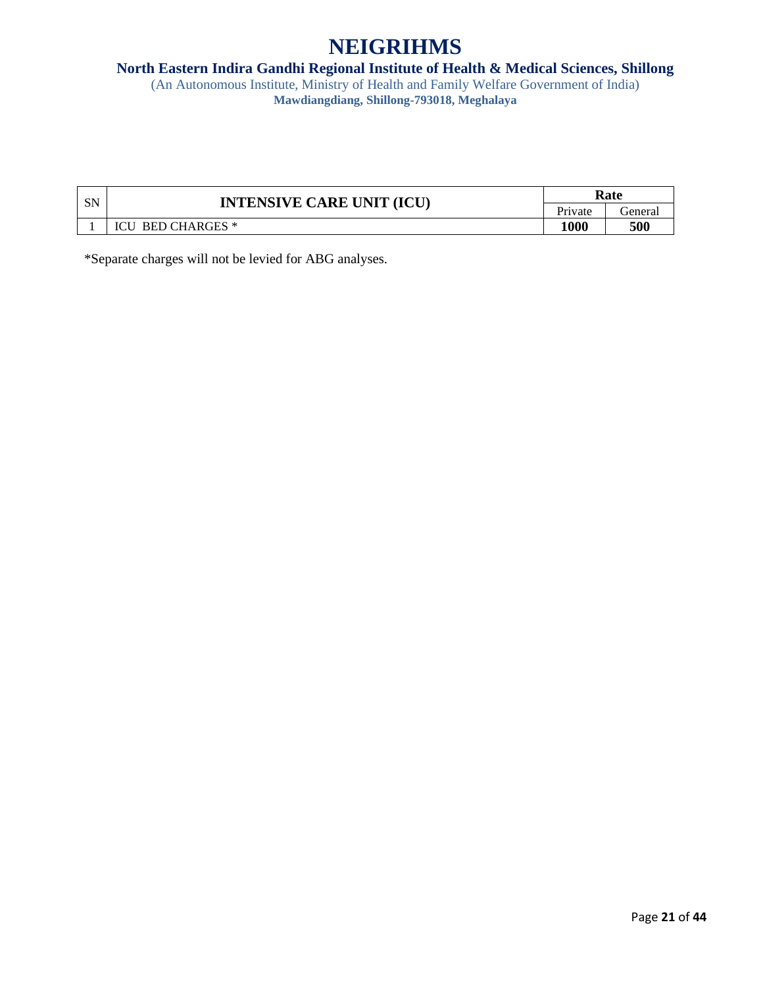#### **North Eastern Indira Gandhi Regional Institute of Health & Medical Sciences, Shillong**

(An Autonomous Institute, Ministry of Health and Family Welfare Government of India) **Mawdiangdiang, Shillong-793018, Meghalaya**

| <b>SN</b> | <b>INTENSIVE CARE UNIT (ICU)</b> | Rate    |         |
|-----------|----------------------------------|---------|---------|
|           |                                  | Private | ieneral |
|           | <b>BED CHARGES</b> *<br>ICU)     | 1000    | 500     |

\*Separate charges will not be levied for ABG analyses.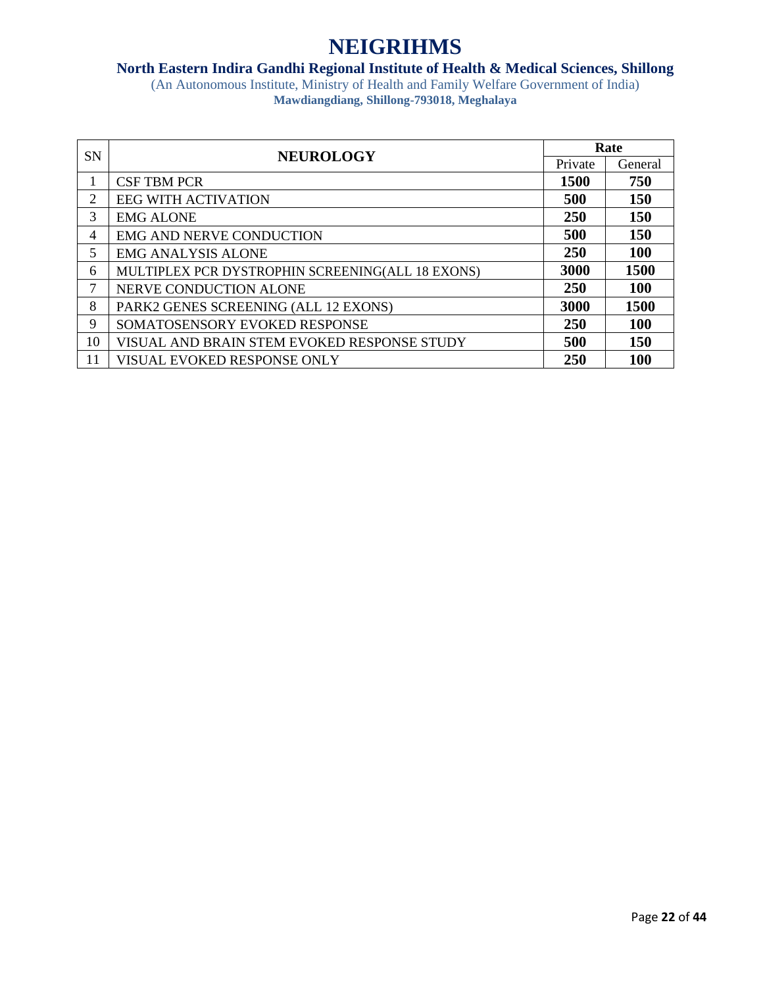### **North Eastern Indira Gandhi Regional Institute of Health & Medical Sciences, Shillong**

| <b>SN</b> | <b>NEUROLOGY</b>                                 |         | Rate       |
|-----------|--------------------------------------------------|---------|------------|
|           |                                                  | Private | General    |
|           | <b>CSF TBM PCR</b>                               | 1500    | 750        |
| 2         | <b>EEG WITH ACTIVATION</b>                       | 500     | <b>150</b> |
| 3         | <b>EMG ALONE</b>                                 | 250     | 150        |
| 4         | <b>EMG AND NERVE CONDUCTION</b>                  | 500     | 150        |
| 5         | <b>EMG ANALYSIS ALONE</b>                        | 250     | <b>100</b> |
| 6         | MULTIPLEX PCR DYSTROPHIN SCREENING(ALL 18 EXONS) | 3000    | 1500       |
| 7         | NERVE CONDUCTION ALONE                           | 250     | 100        |
| 8         | PARK2 GENES SCREENING (ALL 12 EXONS)             | 3000    | 1500       |
| 9         | SOMATOSENSORY EVOKED RESPONSE                    | 250     | 100        |
| 10        | VISUAL AND BRAIN STEM EVOKED RESPONSE STUDY      | 500     | 150        |
| 11        | VISUAL EVOKED RESPONSE ONLY                      | 250     | 100        |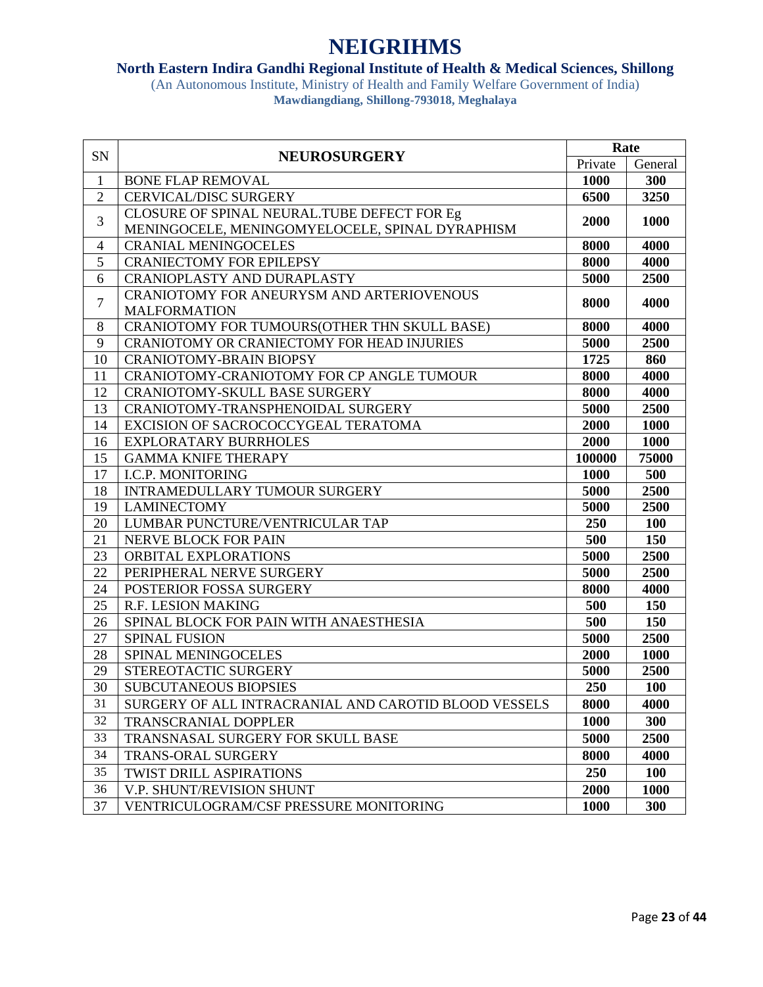### **North Eastern Indira Gandhi Regional Institute of Health & Medical Sciences, Shillong**

| SN             | <b>NEUROSURGERY</b>                                   | Rate    |            |
|----------------|-------------------------------------------------------|---------|------------|
|                |                                                       | Private | General    |
| $\mathbf{1}$   | <b>BONE FLAP REMOVAL</b>                              | 1000    | 300        |
| $\overline{2}$ | <b>CERVICAL/DISC SURGERY</b>                          | 6500    | 3250       |
| 3              | CLOSURE OF SPINAL NEURAL. TUBE DEFECT FOR Eg          | 2000    | 1000       |
|                | MENINGOCELE, MENINGOMYELOCELE, SPINAL DYRAPHISM       |         |            |
| 4              | <b>CRANIAL MENINGOCELES</b>                           | 8000    | 4000       |
| 5              | <b>CRANIECTOMY FOR EPILEPSY</b>                       | 8000    | 4000       |
| 6              | <b>CRANIOPLASTY AND DURAPLASTY</b>                    | 5000    | 2500       |
| $\overline{7}$ | CRANIOTOMY FOR ANEURYSM AND ARTERIOVENOUS             | 8000    | 4000       |
|                | <b>MALFORMATION</b>                                   |         |            |
| 8              | CRANIOTOMY FOR TUMOURS (OTHER THN SKULL BASE)         | 8000    | 4000       |
| 9              | CRANIOTOMY OR CRANIECTOMY FOR HEAD INJURIES           | 5000    | 2500       |
| 10             | <b>CRANIOTOMY-BRAIN BIOPSY</b>                        | 1725    | 860        |
| 11             | CRANIOTOMY-CRANIOTOMY FOR CP ANGLE TUMOUR             | 8000    | 4000       |
| 12             | <b>CRANIOTOMY-SKULL BASE SURGERY</b>                  | 8000    | 4000       |
| 13             | CRANIOTOMY-TRANSPHENOIDAL SURGERY                     | 5000    | 2500       |
| 14             | EXCISION OF SACROCOCCYGEAL TERATOMA                   | 2000    | 1000       |
| 16             | <b>EXPLORATARY BURRHOLES</b>                          | 2000    | 1000       |
| 15             | <b>GAMMA KNIFE THERAPY</b>                            | 100000  | 75000      |
| 17             | <b>I.C.P. MONITORING</b>                              | 1000    | 500        |
| 18             | INTRAMEDULLARY TUMOUR SURGERY                         | 5000    | 2500       |
| 19             | <b>LAMINECTOMY</b>                                    | 5000    | 2500       |
| 20             | LUMBAR PUNCTURE/VENTRICULAR TAP                       | 250     | <b>100</b> |
| 21             | NERVE BLOCK FOR PAIN                                  | 500     | 150        |
| 23             | ORBITAL EXPLORATIONS                                  | 5000    | 2500       |
| 22             | PERIPHERAL NERVE SURGERY                              | 5000    | 2500       |
| 24             | POSTERIOR FOSSA SURGERY                               | 8000    | 4000       |
| 25             | <b>R.F. LESION MAKING</b>                             | 500     | 150        |
| 26             | SPINAL BLOCK FOR PAIN WITH ANAESTHESIA                | 500     | 150        |
| 27             | <b>SPINAL FUSION</b>                                  | 5000    | 2500       |
| 28             | SPINAL MENINGOCELES                                   | 2000    | 1000       |
| 29             | STEREOTACTIC SURGERY                                  | 5000    | 2500       |
| 30             | <b>SUBCUTANEOUS BIOPSIES</b>                          | 250     | <b>100</b> |
| 31             | SURGERY OF ALL INTRACRANIAL AND CAROTID BLOOD VESSELS | 8000    | 4000       |
| 32             | <b>TRANSCRANIAL DOPPLER</b>                           | 1000    | 300        |
| 33             | TRANSNASAL SURGERY FOR SKULL BASE                     | 5000    | 2500       |
| 34             | <b>TRANS-ORAL SURGERY</b>                             | 8000    | 4000       |
| 35             | TWIST DRILL ASPIRATIONS                               | 250     | <b>100</b> |
| 36             | V.P. SHUNT/REVISION SHUNT                             | 2000    | 1000       |
| 37             | VENTRICULOGRAM/CSF PRESSURE MONITORING                | 1000    | 300        |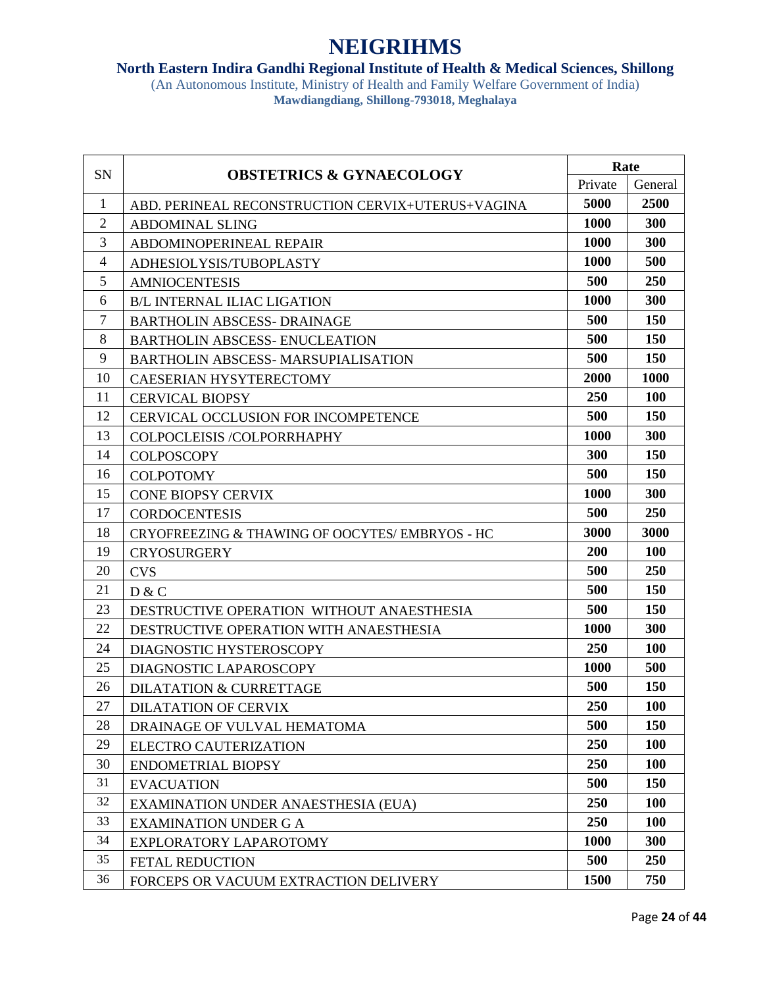### **North Eastern Indira Gandhi Regional Institute of Health & Medical Sciences, Shillong**

|                | <b>OBSTETRICS &amp; GYNAECOLOGY</b>               | Rate        |            |
|----------------|---------------------------------------------------|-------------|------------|
| <b>SN</b>      |                                                   | Private     | General    |
| 1              | ABD. PERINEAL RECONSTRUCTION CERVIX+UTERUS+VAGINA | 5000        | 2500       |
| $\mathfrak{2}$ | <b>ABDOMINAL SLING</b>                            | 1000        | 300        |
| 3              | ABDOMINOPERINEAL REPAIR                           | 1000        | 300        |
| 4              | ADHESIOLYSIS/TUBOPLASTY                           | <b>1000</b> | 500        |
| 5              | <b>AMNIOCENTESIS</b>                              | 500         | 250        |
| 6              | <b>B/L INTERNAL ILIAC LIGATION</b>                | 1000        | 300        |
| 7              | <b>BARTHOLIN ABSCESS- DRAINAGE</b>                | 500         | <b>150</b> |
| 8              | <b>BARTHOLIN ABSCESS- ENUCLEATION</b>             | 500         | 150        |
| 9              | <b>BARTHOLIN ABSCESS- MARSUPIALISATION</b>        | 500         | 150        |
| 10             | <b>CAESERIAN HYSYTERECTOMY</b>                    | 2000        | 1000       |
| 11             | <b>CERVICAL BIOPSY</b>                            | 250         | <b>100</b> |
| 12             | CERVICAL OCCLUSION FOR INCOMPETENCE               | 500         | <b>150</b> |
| 13             | COLPOCLEISIS /COLPORRHAPHY                        | 1000        | 300        |
| 14             | <b>COLPOSCOPY</b>                                 | 300         | <b>150</b> |
| 16             | <b>COLPOTOMY</b>                                  | 500         | <b>150</b> |
| 15             | <b>CONE BIOPSY CERVIX</b>                         | 1000        | 300        |
| 17             | <b>CORDOCENTESIS</b>                              | 500         | 250        |
| 18             | CRYOFREEZING & THAWING OF OOCYTES/EMBRYOS - HC    | 3000        | 3000       |
| 19             | <b>CRYOSURGERY</b>                                | <b>200</b>  | 100        |
| 20             | <b>CVS</b>                                        | 500         | 250        |
| 21             | D & C                                             | 500         | <b>150</b> |
| 23             | DESTRUCTIVE OPERATION WITHOUT ANAESTHESIA         | 500         | 150        |
| 22             | DESTRUCTIVE OPERATION WITH ANAESTHESIA            | 1000        | 300        |
| 24             | DIAGNOSTIC HYSTEROSCOPY                           | 250         | 100        |
| 25             | DIAGNOSTIC LAPAROSCOPY                            | 1000        | 500        |
| 26             | <b>DILATATION &amp; CURRETTAGE</b>                | 500         | 150        |
| 27             | DILATATION OF CERVIX                              | 250         | <b>100</b> |
| 28             | DRAINAGE OF VULVAL HEMATOMA                       | 500         | 150        |
| 29             | ELECTRO CAUTERIZATION                             | 250         | 100        |
| 30             | <b>ENDOMETRIAL BIOPSY</b>                         | 250         | <b>100</b> |
| 31             | <b>EVACUATION</b>                                 | 500         | 150        |
| 32             | EXAMINATION UNDER ANAESTHESIA (EUA)               | 250         | <b>100</b> |
| 33             | <b>EXAMINATION UNDER G A</b>                      | 250         | <b>100</b> |
| 34             | EXPLORATORY LAPAROTOMY                            | 1000        | 300        |
| 35             | FETAL REDUCTION                                   | 500         | 250        |
| 36             | FORCEPS OR VACUUM EXTRACTION DELIVERY             | 1500        | 750        |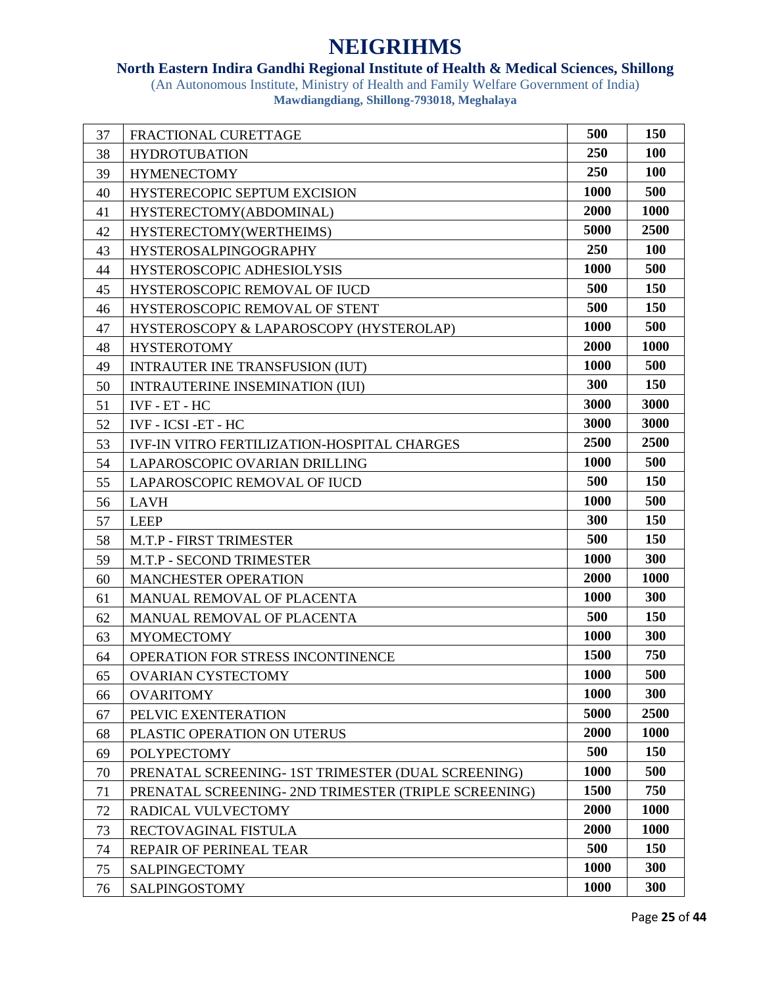### **North Eastern Indira Gandhi Regional Institute of Health & Medical Sciences, Shillong**

| 37 | FRACTIONAL CURETTAGE                                | 500  | 150        |
|----|-----------------------------------------------------|------|------------|
| 38 | <b>HYDROTUBATION</b>                                | 250  | <b>100</b> |
| 39 | <b>HYMENECTOMY</b>                                  | 250  | 100        |
| 40 | HYSTERECOPIC SEPTUM EXCISION                        | 1000 | 500        |
| 41 | HYSTERECTOMY(ABDOMINAL)                             | 2000 | 1000       |
| 42 | HYSTERECTOMY(WERTHEIMS)                             | 5000 | 2500       |
| 43 | <b>HYSTEROSALPINGOGRAPHY</b>                        | 250  | 100        |
| 44 | HYSTEROSCOPIC ADHESIOLYSIS                          | 1000 | 500        |
| 45 | HYSTEROSCOPIC REMOVAL OF IUCD                       | 500  | 150        |
| 46 | HYSTEROSCOPIC REMOVAL OF STENT                      | 500  | 150        |
| 47 | HYSTEROSCOPY & LAPAROSCOPY (HYSTEROLAP)             | 1000 | 500        |
| 48 | <b>HYSTEROTOMY</b>                                  | 2000 | 1000       |
| 49 | <b>INTRAUTER INE TRANSFUSION (IUT)</b>              | 1000 | 500        |
| 50 | <b>INTRAUTERINE INSEMINATION (IUI)</b>              | 300  | 150        |
| 51 | IVF - ET - HC                                       | 3000 | 3000       |
| 52 | IVF - ICSI -ET - HC                                 | 3000 | 3000       |
| 53 | <b>IVF-IN VITRO FERTILIZATION-HOSPITAL CHARGES</b>  | 2500 | 2500       |
| 54 | LAPAROSCOPIC OVARIAN DRILLING                       | 1000 | 500        |
| 55 | LAPAROSCOPIC REMOVAL OF IUCD                        | 500  | 150        |
| 56 | <b>LAVH</b>                                         | 1000 | 500        |
| 57 | <b>LEEP</b>                                         | 300  | 150        |
| 58 | M.T.P - FIRST TRIMESTER                             | 500  | 150        |
| 59 | M.T.P - SECOND TRIMESTER                            | 1000 | 300        |
| 60 | <b>MANCHESTER OPERATION</b>                         | 2000 | 1000       |
| 61 | MANUAL REMOVAL OF PLACENTA                          | 1000 | 300        |
| 62 | MANUAL REMOVAL OF PLACENTA                          | 500  | 150        |
| 63 | <b>MYOMECTOMY</b>                                   | 1000 | 300        |
| 64 | OPERATION FOR STRESS INCONTINENCE                   | 1500 | 750        |
| 65 | <b>OVARIAN CYSTECTOMY</b>                           | 1000 | 500        |
| 66 | <b>OVARITOMY</b>                                    | 1000 | 300        |
| 67 | PELVIC EXENTERATION                                 | 5000 | 2500       |
| 68 | PLASTIC OPERATION ON UTERUS                         | 2000 | 1000       |
| 69 | <b>POLYPECTOMY</b>                                  | 500  | 150        |
| 70 | PRENATAL SCREENING- 1ST TRIMESTER (DUAL SCREENING)  | 1000 | 500        |
| 71 | PRENATAL SCREENING-2ND TRIMESTER (TRIPLE SCREENING) | 1500 | 750        |
| 72 | RADICAL VULVECTOMY                                  | 2000 | 1000       |
| 73 | RECTOVAGINAL FISTULA                                | 2000 | 1000       |
| 74 | REPAIR OF PERINEAL TEAR                             | 500  | 150        |
| 75 | <b>SALPINGECTOMY</b>                                | 1000 | 300        |
| 76 | SALPINGOSTOMY                                       | 1000 | 300        |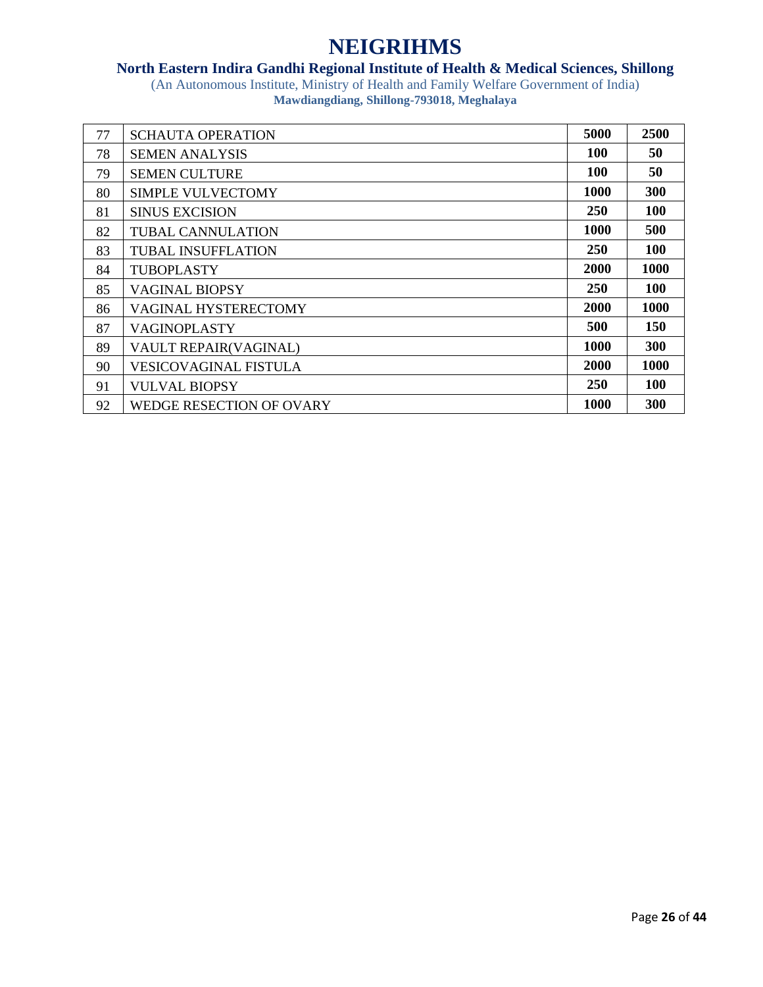### **North Eastern Indira Gandhi Regional Institute of Health & Medical Sciences, Shillong**

| 77 | <b>SCHAUTA OPERATION</b>        | 5000        | 2500       |
|----|---------------------------------|-------------|------------|
| 78 | <b>SEMEN ANALYSIS</b>           | 100         | 50         |
| 79 | <b>SEMEN CULTURE</b>            | 100         | 50         |
| 80 | SIMPLE VULVECTOMY               | 1000        | 300        |
| 81 | <b>SINUS EXCISION</b>           | <b>250</b>  | <b>100</b> |
| 82 | <b>TUBAL CANNULATION</b>        | 1000        | 500        |
| 83 | <b>TUBAL INSUFFLATION</b>       | <b>250</b>  | 100        |
| 84 | TUBOPLASTY                      | <b>2000</b> | 1000       |
| 85 | <b>VAGINAL BIOPSY</b>           | <b>250</b>  | <b>100</b> |
| 86 | <b>VAGINAL HYSTERECTOMY</b>     | 2000        | 1000       |
| 87 | <b>VAGINOPLASTY</b>             | 500         | <b>150</b> |
| 89 | VAULT REPAIR(VAGINAL)           | 1000        | 300        |
| 90 | <b>VESICOVAGINAL FISTULA</b>    | 2000        | 1000       |
| 91 | <b>VULVAL BIOPSY</b>            | 250         | <b>100</b> |
| 92 | <b>WEDGE RESECTION OF OVARY</b> | 1000        | <b>300</b> |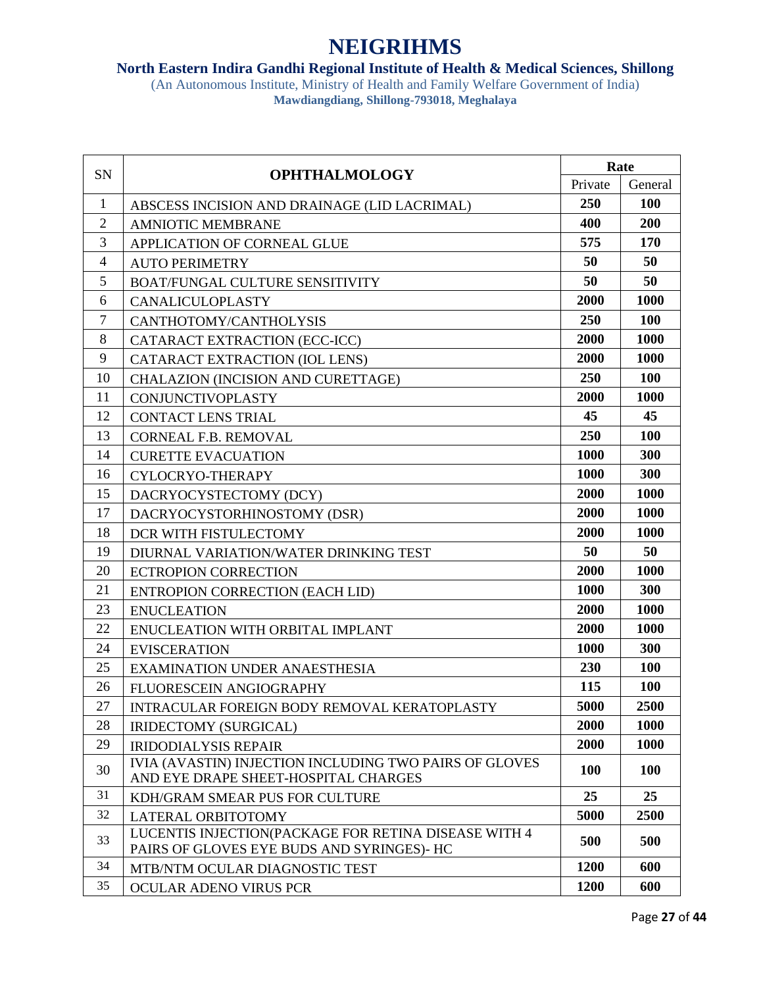### **North Eastern Indira Gandhi Regional Institute of Health & Medical Sciences, Shillong**

| Private<br>General<br>250<br>100<br>1<br>ABSCESS INCISION AND DRAINAGE (LID LACRIMAL)<br>200<br>$\overline{2}$<br>400<br><b>AMNIOTIC MEMBRANE</b><br>3<br>575<br>170<br>APPLICATION OF CORNEAL GLUE<br>$\overline{4}$<br>50<br>50<br><b>AUTO PERIMETRY</b><br>50<br>5<br>50<br>BOAT/FUNGAL CULTURE SENSITIVITY<br>2000<br>6<br>1000<br><b>CANALICULOPLASTY</b><br>$\tau$<br>250<br>100<br>CANTHOTOMY/CANTHOLYSIS<br>8<br>2000<br>1000<br>CATARACT EXTRACTION (ECC-ICC)<br>9<br>1000<br>2000<br>CATARACT EXTRACTION (IOL LENS)<br>250<br>100<br>10<br>CHALAZION (INCISION AND CURETTAGE)<br>2000<br>1000<br>11<br><b>CONJUNCTIVOPLASTY</b><br>45<br>45<br>12<br><b>CONTACT LENS TRIAL</b><br>250<br>100<br>13<br>CORNEAL F.B. REMOVAL<br>300<br>1000<br>14<br><b>CURETTE EVACUATION</b><br>300<br>1000<br>16<br>CYLOCRYO-THERAPY<br>1000<br>15<br>2000<br>DACRYOCYSTECTOMY (DCY)<br>17<br>2000<br>1000<br>DACRYOCYSTORHINOSTOMY (DSR)<br>2000<br>1000<br>18<br>DCR WITH FISTULECTOMY<br>50<br>19<br>50<br>DIURNAL VARIATION/WATER DRINKING TEST<br>2000<br>20<br>1000<br><b>ECTROPION CORRECTION</b><br>21<br>1000<br>300<br>ENTROPION CORRECTION (EACH LID)<br>2000<br>1000<br>23<br><b>ENUCLEATION</b><br>22<br>2000<br>1000<br>ENUCLEATION WITH ORBITAL IMPLANT<br>1000<br>300<br>24<br><b>EVISCERATION</b><br>25<br>230<br>100<br><b>EXAMINATION UNDER ANAESTHESIA</b><br>115<br>26<br>100<br>FLUORESCEIN ANGIOGRAPHY<br>27<br>5000<br>2500<br>INTRACULAR FOREIGN BODY REMOVAL KERATOPLASTY<br>2000<br>1000<br>28<br>IRIDECTOMY (SURGICAL)<br>1000<br>29<br>2000<br><b>IRIDODIALYSIS REPAIR</b><br>IVIA (AVASTIN) INJECTION INCLUDING TWO PAIRS OF GLOVES<br>30<br><b>100</b><br>100<br>AND EYE DRAPE SHEET-HOSPITAL CHARGES<br>31<br>25<br>25<br>KDH/GRAM SMEAR PUS FOR CULTURE<br>32<br>5000<br>2500<br>LATERAL ORBITOTOMY<br>LUCENTIS INJECTION(PACKAGE FOR RETINA DISEASE WITH 4<br>33<br>500<br>500<br>PAIRS OF GLOVES EYE BUDS AND SYRINGES)- HC<br>34<br>1200<br>600<br>MTB/NTM OCULAR DIAGNOSTIC TEST<br>35<br>1200<br>600<br><b>OCULAR ADENO VIRUS PCR</b> | SN | <b>OPHTHALMOLOGY</b> | Rate |  |
|------------------------------------------------------------------------------------------------------------------------------------------------------------------------------------------------------------------------------------------------------------------------------------------------------------------------------------------------------------------------------------------------------------------------------------------------------------------------------------------------------------------------------------------------------------------------------------------------------------------------------------------------------------------------------------------------------------------------------------------------------------------------------------------------------------------------------------------------------------------------------------------------------------------------------------------------------------------------------------------------------------------------------------------------------------------------------------------------------------------------------------------------------------------------------------------------------------------------------------------------------------------------------------------------------------------------------------------------------------------------------------------------------------------------------------------------------------------------------------------------------------------------------------------------------------------------------------------------------------------------------------------------------------------------------------------------------------------------------------------------------------------------------------------------------------------------------------------------------------------------------------------------------------------------------------------------------------------------------------------------------------------------------------------------------------------------|----|----------------------|------|--|
|                                                                                                                                                                                                                                                                                                                                                                                                                                                                                                                                                                                                                                                                                                                                                                                                                                                                                                                                                                                                                                                                                                                                                                                                                                                                                                                                                                                                                                                                                                                                                                                                                                                                                                                                                                                                                                                                                                                                                                                                                                                                        |    |                      |      |  |
|                                                                                                                                                                                                                                                                                                                                                                                                                                                                                                                                                                                                                                                                                                                                                                                                                                                                                                                                                                                                                                                                                                                                                                                                                                                                                                                                                                                                                                                                                                                                                                                                                                                                                                                                                                                                                                                                                                                                                                                                                                                                        |    |                      |      |  |
|                                                                                                                                                                                                                                                                                                                                                                                                                                                                                                                                                                                                                                                                                                                                                                                                                                                                                                                                                                                                                                                                                                                                                                                                                                                                                                                                                                                                                                                                                                                                                                                                                                                                                                                                                                                                                                                                                                                                                                                                                                                                        |    |                      |      |  |
|                                                                                                                                                                                                                                                                                                                                                                                                                                                                                                                                                                                                                                                                                                                                                                                                                                                                                                                                                                                                                                                                                                                                                                                                                                                                                                                                                                                                                                                                                                                                                                                                                                                                                                                                                                                                                                                                                                                                                                                                                                                                        |    |                      |      |  |
|                                                                                                                                                                                                                                                                                                                                                                                                                                                                                                                                                                                                                                                                                                                                                                                                                                                                                                                                                                                                                                                                                                                                                                                                                                                                                                                                                                                                                                                                                                                                                                                                                                                                                                                                                                                                                                                                                                                                                                                                                                                                        |    |                      |      |  |
|                                                                                                                                                                                                                                                                                                                                                                                                                                                                                                                                                                                                                                                                                                                                                                                                                                                                                                                                                                                                                                                                                                                                                                                                                                                                                                                                                                                                                                                                                                                                                                                                                                                                                                                                                                                                                                                                                                                                                                                                                                                                        |    |                      |      |  |
|                                                                                                                                                                                                                                                                                                                                                                                                                                                                                                                                                                                                                                                                                                                                                                                                                                                                                                                                                                                                                                                                                                                                                                                                                                                                                                                                                                                                                                                                                                                                                                                                                                                                                                                                                                                                                                                                                                                                                                                                                                                                        |    |                      |      |  |
|                                                                                                                                                                                                                                                                                                                                                                                                                                                                                                                                                                                                                                                                                                                                                                                                                                                                                                                                                                                                                                                                                                                                                                                                                                                                                                                                                                                                                                                                                                                                                                                                                                                                                                                                                                                                                                                                                                                                                                                                                                                                        |    |                      |      |  |
|                                                                                                                                                                                                                                                                                                                                                                                                                                                                                                                                                                                                                                                                                                                                                                                                                                                                                                                                                                                                                                                                                                                                                                                                                                                                                                                                                                                                                                                                                                                                                                                                                                                                                                                                                                                                                                                                                                                                                                                                                                                                        |    |                      |      |  |
|                                                                                                                                                                                                                                                                                                                                                                                                                                                                                                                                                                                                                                                                                                                                                                                                                                                                                                                                                                                                                                                                                                                                                                                                                                                                                                                                                                                                                                                                                                                                                                                                                                                                                                                                                                                                                                                                                                                                                                                                                                                                        |    |                      |      |  |
|                                                                                                                                                                                                                                                                                                                                                                                                                                                                                                                                                                                                                                                                                                                                                                                                                                                                                                                                                                                                                                                                                                                                                                                                                                                                                                                                                                                                                                                                                                                                                                                                                                                                                                                                                                                                                                                                                                                                                                                                                                                                        |    |                      |      |  |
|                                                                                                                                                                                                                                                                                                                                                                                                                                                                                                                                                                                                                                                                                                                                                                                                                                                                                                                                                                                                                                                                                                                                                                                                                                                                                                                                                                                                                                                                                                                                                                                                                                                                                                                                                                                                                                                                                                                                                                                                                                                                        |    |                      |      |  |
|                                                                                                                                                                                                                                                                                                                                                                                                                                                                                                                                                                                                                                                                                                                                                                                                                                                                                                                                                                                                                                                                                                                                                                                                                                                                                                                                                                                                                                                                                                                                                                                                                                                                                                                                                                                                                                                                                                                                                                                                                                                                        |    |                      |      |  |
|                                                                                                                                                                                                                                                                                                                                                                                                                                                                                                                                                                                                                                                                                                                                                                                                                                                                                                                                                                                                                                                                                                                                                                                                                                                                                                                                                                                                                                                                                                                                                                                                                                                                                                                                                                                                                                                                                                                                                                                                                                                                        |    |                      |      |  |
|                                                                                                                                                                                                                                                                                                                                                                                                                                                                                                                                                                                                                                                                                                                                                                                                                                                                                                                                                                                                                                                                                                                                                                                                                                                                                                                                                                                                                                                                                                                                                                                                                                                                                                                                                                                                                                                                                                                                                                                                                                                                        |    |                      |      |  |
|                                                                                                                                                                                                                                                                                                                                                                                                                                                                                                                                                                                                                                                                                                                                                                                                                                                                                                                                                                                                                                                                                                                                                                                                                                                                                                                                                                                                                                                                                                                                                                                                                                                                                                                                                                                                                                                                                                                                                                                                                                                                        |    |                      |      |  |
|                                                                                                                                                                                                                                                                                                                                                                                                                                                                                                                                                                                                                                                                                                                                                                                                                                                                                                                                                                                                                                                                                                                                                                                                                                                                                                                                                                                                                                                                                                                                                                                                                                                                                                                                                                                                                                                                                                                                                                                                                                                                        |    |                      |      |  |
|                                                                                                                                                                                                                                                                                                                                                                                                                                                                                                                                                                                                                                                                                                                                                                                                                                                                                                                                                                                                                                                                                                                                                                                                                                                                                                                                                                                                                                                                                                                                                                                                                                                                                                                                                                                                                                                                                                                                                                                                                                                                        |    |                      |      |  |
|                                                                                                                                                                                                                                                                                                                                                                                                                                                                                                                                                                                                                                                                                                                                                                                                                                                                                                                                                                                                                                                                                                                                                                                                                                                                                                                                                                                                                                                                                                                                                                                                                                                                                                                                                                                                                                                                                                                                                                                                                                                                        |    |                      |      |  |
|                                                                                                                                                                                                                                                                                                                                                                                                                                                                                                                                                                                                                                                                                                                                                                                                                                                                                                                                                                                                                                                                                                                                                                                                                                                                                                                                                                                                                                                                                                                                                                                                                                                                                                                                                                                                                                                                                                                                                                                                                                                                        |    |                      |      |  |
|                                                                                                                                                                                                                                                                                                                                                                                                                                                                                                                                                                                                                                                                                                                                                                                                                                                                                                                                                                                                                                                                                                                                                                                                                                                                                                                                                                                                                                                                                                                                                                                                                                                                                                                                                                                                                                                                                                                                                                                                                                                                        |    |                      |      |  |
|                                                                                                                                                                                                                                                                                                                                                                                                                                                                                                                                                                                                                                                                                                                                                                                                                                                                                                                                                                                                                                                                                                                                                                                                                                                                                                                                                                                                                                                                                                                                                                                                                                                                                                                                                                                                                                                                                                                                                                                                                                                                        |    |                      |      |  |
|                                                                                                                                                                                                                                                                                                                                                                                                                                                                                                                                                                                                                                                                                                                                                                                                                                                                                                                                                                                                                                                                                                                                                                                                                                                                                                                                                                                                                                                                                                                                                                                                                                                                                                                                                                                                                                                                                                                                                                                                                                                                        |    |                      |      |  |
|                                                                                                                                                                                                                                                                                                                                                                                                                                                                                                                                                                                                                                                                                                                                                                                                                                                                                                                                                                                                                                                                                                                                                                                                                                                                                                                                                                                                                                                                                                                                                                                                                                                                                                                                                                                                                                                                                                                                                                                                                                                                        |    |                      |      |  |
|                                                                                                                                                                                                                                                                                                                                                                                                                                                                                                                                                                                                                                                                                                                                                                                                                                                                                                                                                                                                                                                                                                                                                                                                                                                                                                                                                                                                                                                                                                                                                                                                                                                                                                                                                                                                                                                                                                                                                                                                                                                                        |    |                      |      |  |
|                                                                                                                                                                                                                                                                                                                                                                                                                                                                                                                                                                                                                                                                                                                                                                                                                                                                                                                                                                                                                                                                                                                                                                                                                                                                                                                                                                                                                                                                                                                                                                                                                                                                                                                                                                                                                                                                                                                                                                                                                                                                        |    |                      |      |  |
|                                                                                                                                                                                                                                                                                                                                                                                                                                                                                                                                                                                                                                                                                                                                                                                                                                                                                                                                                                                                                                                                                                                                                                                                                                                                                                                                                                                                                                                                                                                                                                                                                                                                                                                                                                                                                                                                                                                                                                                                                                                                        |    |                      |      |  |
|                                                                                                                                                                                                                                                                                                                                                                                                                                                                                                                                                                                                                                                                                                                                                                                                                                                                                                                                                                                                                                                                                                                                                                                                                                                                                                                                                                                                                                                                                                                                                                                                                                                                                                                                                                                                                                                                                                                                                                                                                                                                        |    |                      |      |  |
|                                                                                                                                                                                                                                                                                                                                                                                                                                                                                                                                                                                                                                                                                                                                                                                                                                                                                                                                                                                                                                                                                                                                                                                                                                                                                                                                                                                                                                                                                                                                                                                                                                                                                                                                                                                                                                                                                                                                                                                                                                                                        |    |                      |      |  |
|                                                                                                                                                                                                                                                                                                                                                                                                                                                                                                                                                                                                                                                                                                                                                                                                                                                                                                                                                                                                                                                                                                                                                                                                                                                                                                                                                                                                                                                                                                                                                                                                                                                                                                                                                                                                                                                                                                                                                                                                                                                                        |    |                      |      |  |
|                                                                                                                                                                                                                                                                                                                                                                                                                                                                                                                                                                                                                                                                                                                                                                                                                                                                                                                                                                                                                                                                                                                                                                                                                                                                                                                                                                                                                                                                                                                                                                                                                                                                                                                                                                                                                                                                                                                                                                                                                                                                        |    |                      |      |  |
|                                                                                                                                                                                                                                                                                                                                                                                                                                                                                                                                                                                                                                                                                                                                                                                                                                                                                                                                                                                                                                                                                                                                                                                                                                                                                                                                                                                                                                                                                                                                                                                                                                                                                                                                                                                                                                                                                                                                                                                                                                                                        |    |                      |      |  |
|                                                                                                                                                                                                                                                                                                                                                                                                                                                                                                                                                                                                                                                                                                                                                                                                                                                                                                                                                                                                                                                                                                                                                                                                                                                                                                                                                                                                                                                                                                                                                                                                                                                                                                                                                                                                                                                                                                                                                                                                                                                                        |    |                      |      |  |
|                                                                                                                                                                                                                                                                                                                                                                                                                                                                                                                                                                                                                                                                                                                                                                                                                                                                                                                                                                                                                                                                                                                                                                                                                                                                                                                                                                                                                                                                                                                                                                                                                                                                                                                                                                                                                                                                                                                                                                                                                                                                        |    |                      |      |  |
|                                                                                                                                                                                                                                                                                                                                                                                                                                                                                                                                                                                                                                                                                                                                                                                                                                                                                                                                                                                                                                                                                                                                                                                                                                                                                                                                                                                                                                                                                                                                                                                                                                                                                                                                                                                                                                                                                                                                                                                                                                                                        |    |                      |      |  |
|                                                                                                                                                                                                                                                                                                                                                                                                                                                                                                                                                                                                                                                                                                                                                                                                                                                                                                                                                                                                                                                                                                                                                                                                                                                                                                                                                                                                                                                                                                                                                                                                                                                                                                                                                                                                                                                                                                                                                                                                                                                                        |    |                      |      |  |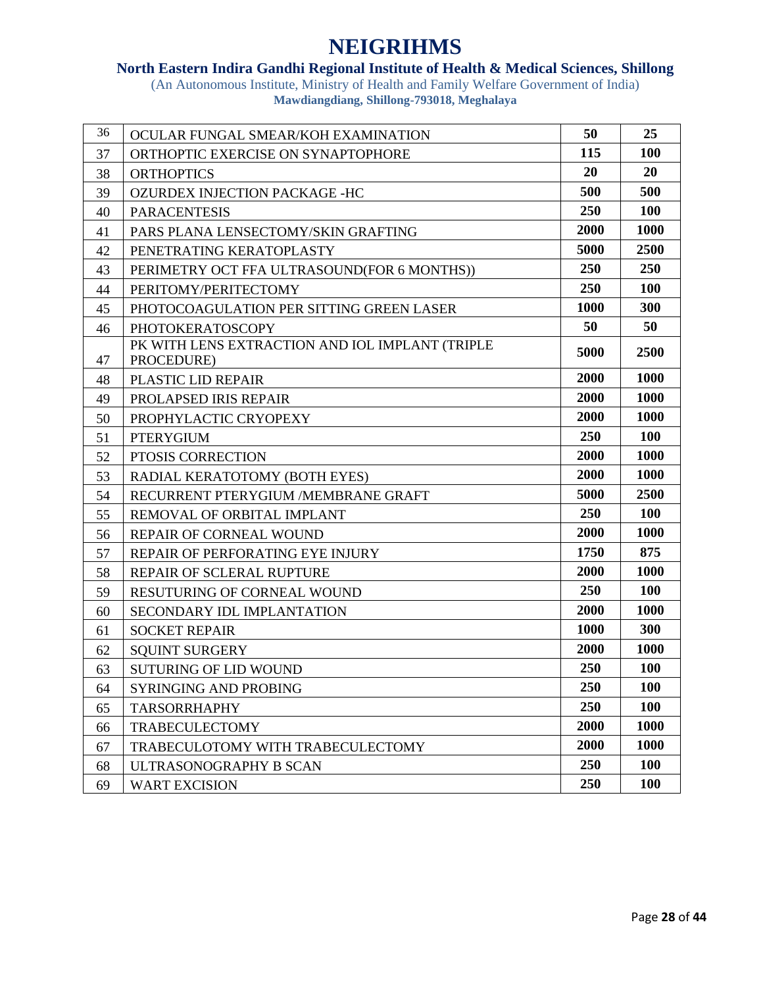### **North Eastern Indira Gandhi Regional Institute of Health & Medical Sciences, Shillong**

| 36 | OCULAR FUNGAL SMEAR/KOH EXAMINATION                           | 50   | 25         |
|----|---------------------------------------------------------------|------|------------|
| 37 | ORTHOPTIC EXERCISE ON SYNAPTOPHORE                            | 115  | 100        |
| 38 | <b>ORTHOPTICS</b>                                             | 20   | 20         |
| 39 | OZURDEX INJECTION PACKAGE -HC                                 | 500  | 500        |
| 40 | <b>PARACENTESIS</b>                                           | 250  | 100        |
| 41 | PARS PLANA LENSECTOMY/SKIN GRAFTING                           | 2000 | 1000       |
| 42 | PENETRATING KERATOPLASTY                                      | 5000 | 2500       |
| 43 | PERIMETRY OCT FFA ULTRASOUND(FOR 6 MONTHS))                   | 250  | 250        |
| 44 | PERITOMY/PERITECTOMY                                          | 250  | <b>100</b> |
| 45 | PHOTOCOAGULATION PER SITTING GREEN LASER                      | 1000 | 300        |
| 46 | <b>PHOTOKERATOSCOPY</b>                                       | 50   | 50         |
| 47 | PK WITH LENS EXTRACTION AND IOL IMPLANT (TRIPLE<br>PROCEDURE) | 5000 | 2500       |
| 48 | <b>PLASTIC LID REPAIR</b>                                     | 2000 | 1000       |
| 49 | PROLAPSED IRIS REPAIR                                         | 2000 | 1000       |
| 50 | PROPHYLACTIC CRYOPEXY                                         | 2000 | 1000       |
| 51 | <b>PTERYGIUM</b>                                              | 250  | <b>100</b> |
| 52 | PTOSIS CORRECTION                                             | 2000 | 1000       |
| 53 | RADIAL KERATOTOMY (BOTH EYES)                                 | 2000 | 1000       |
| 54 | RECURRENT PTERYGIUM /MEMBRANE GRAFT                           | 5000 | 2500       |
| 55 | REMOVAL OF ORBITAL IMPLANT                                    | 250  | <b>100</b> |
| 56 | REPAIR OF CORNEAL WOUND                                       | 2000 | 1000       |
| 57 | REPAIR OF PERFORATING EYE INJURY                              | 1750 | 875        |
| 58 | REPAIR OF SCLERAL RUPTURE                                     | 2000 | 1000       |
| 59 | RESUTURING OF CORNEAL WOUND                                   | 250  | 100        |
| 60 | SECONDARY IDL IMPLANTATION                                    | 2000 | 1000       |
| 61 | <b>SOCKET REPAIR</b>                                          | 1000 | 300        |
| 62 | <b>SQUINT SURGERY</b>                                         | 2000 | 1000       |
| 63 | <b>SUTURING OF LID WOUND</b>                                  | 250  | <b>100</b> |
| 64 | SYRINGING AND PROBING                                         | 250  | <b>100</b> |
| 65 | <b>TARSORRHAPHY</b>                                           | 250  | 100        |
| 66 | <b>TRABECULECTOMY</b>                                         | 2000 | 1000       |
| 67 | TRABECULOTOMY WITH TRABECULECTOMY                             | 2000 | 1000       |
| 68 | ULTRASONOGRAPHY B SCAN                                        | 250  | <b>100</b> |
| 69 | <b>WART EXCISION</b>                                          | 250  | <b>100</b> |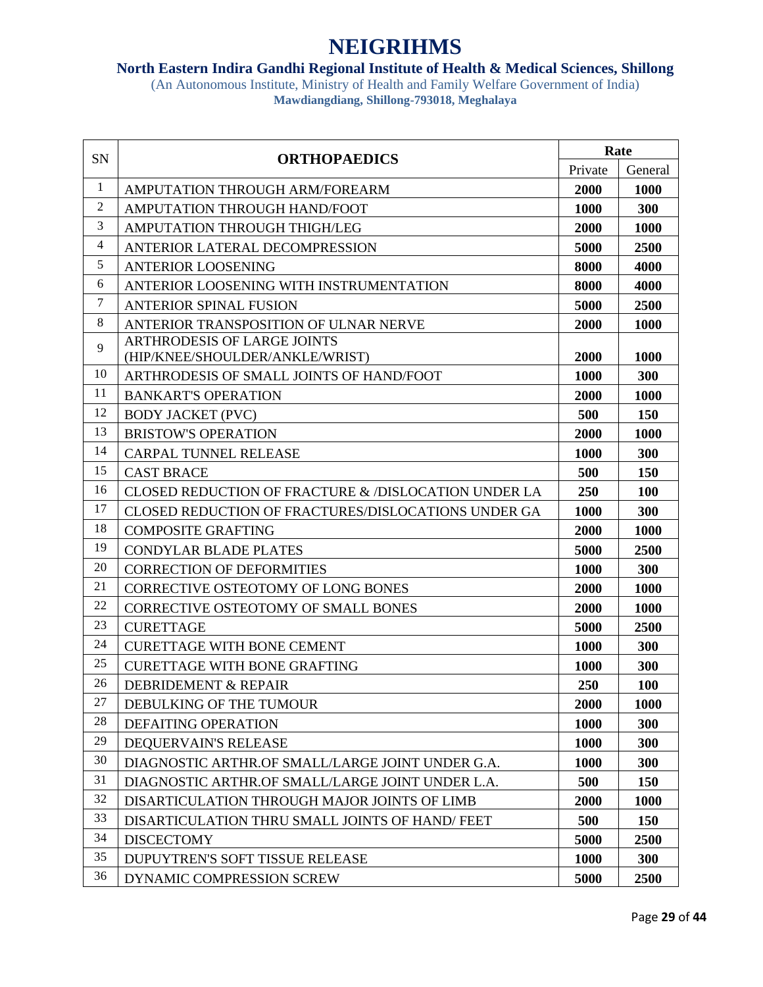#### **North Eastern Indira Gandhi Regional Institute of Health & Medical Sciences, Shillong**

| SN             | <b>ORTHOPAEDICS</b>                                             | Rate    |            |
|----------------|-----------------------------------------------------------------|---------|------------|
|                |                                                                 | Private | General    |
| $\mathbf{1}$   | AMPUTATION THROUGH ARM/FOREARM                                  | 2000    | 1000       |
| $\overline{2}$ | AMPUTATION THROUGH HAND/FOOT                                    | 1000    | 300        |
| 3              | AMPUTATION THROUGH THIGH/LEG                                    | 2000    | 1000       |
| $\overline{4}$ | ANTERIOR LATERAL DECOMPRESSION                                  | 5000    | 2500       |
| 5              | <b>ANTERIOR LOOSENING</b>                                       | 8000    | 4000       |
| 6              | ANTERIOR LOOSENING WITH INSTRUMENTATION                         | 8000    | 4000       |
| $\tau$         | <b>ANTERIOR SPINAL FUSION</b>                                   | 5000    | 2500       |
| 8              | ANTERIOR TRANSPOSITION OF ULNAR NERVE                           | 2000    | 1000       |
| 9              | <b>ARTHRODESIS OF LARGE JOINTS</b>                              |         |            |
|                | (HIP/KNEE/SHOULDER/ANKLE/WRIST)                                 | 2000    | 1000       |
| 10             | ARTHRODESIS OF SMALL JOINTS OF HAND/FOOT                        | 1000    | 300        |
| 11             | <b>BANKART'S OPERATION</b>                                      | 2000    | 1000       |
| 12             | <b>BODY JACKET (PVC)</b>                                        | 500     | 150        |
| 13             | <b>BRISTOW'S OPERATION</b>                                      | 2000    | 1000       |
| 14             | <b>CARPAL TUNNEL RELEASE</b>                                    | 1000    | 300        |
| 15             | <b>CAST BRACE</b>                                               | 500     | 150        |
| 16             | <b>CLOSED REDUCTION OF FRACTURE &amp; /DISLOCATION UNDER LA</b> | 250     | 100        |
| 17             | CLOSED REDUCTION OF FRACTURES/DISLOCATIONS UNDER GA             | 1000    | 300        |
| 18             | <b>COMPOSITE GRAFTING</b>                                       | 2000    | 1000       |
| 19             | <b>CONDYLAR BLADE PLATES</b>                                    | 5000    | 2500       |
| 20             | <b>CORRECTION OF DEFORMITIES</b>                                | 1000    | 300        |
| 21             | CORRECTIVE OSTEOTOMY OF LONG BONES                              | 2000    | 1000       |
| 22             | CORRECTIVE OSTEOTOMY OF SMALL BONES                             | 2000    | 1000       |
| 23             | <b>CURETTAGE</b>                                                | 5000    | 2500       |
| 24             | <b>CURETTAGE WITH BONE CEMENT</b>                               | 1000    | 300        |
| 25             | <b>CURETTAGE WITH BONE GRAFTING</b>                             | 1000    | 300        |
| 26             | <b>DEBRIDEMENT &amp; REPAIR</b>                                 | 250     | <b>100</b> |
| 27             | DEBULKING OF THE TUMOUR                                         | 2000    | 1000       |
| 28             | <b>DEFAITING OPERATION</b>                                      | 1000    | 300        |
| 29             | DEQUERVAIN'S RELEASE                                            | 1000    | 300        |
| 30             | DIAGNOSTIC ARTHR.OF SMALL/LARGE JOINT UNDER G.A.                | 1000    | 300        |
| 31             | DIAGNOSTIC ARTHR.OF SMALL/LARGE JOINT UNDER L.A.                | 500     | 150        |
| 32             | DISARTICULATION THROUGH MAJOR JOINTS OF LIMB                    | 2000    | 1000       |
| 33             | DISARTICULATION THRU SMALL JOINTS OF HAND/FEET                  | 500     | 150        |
| 34             | <b>DISCECTOMY</b>                                               | 5000    | 2500       |
| 35             | DUPUYTREN'S SOFT TISSUE RELEASE                                 | 1000    | 300        |
| 36             | DYNAMIC COMPRESSION SCREW                                       | 5000    | 2500       |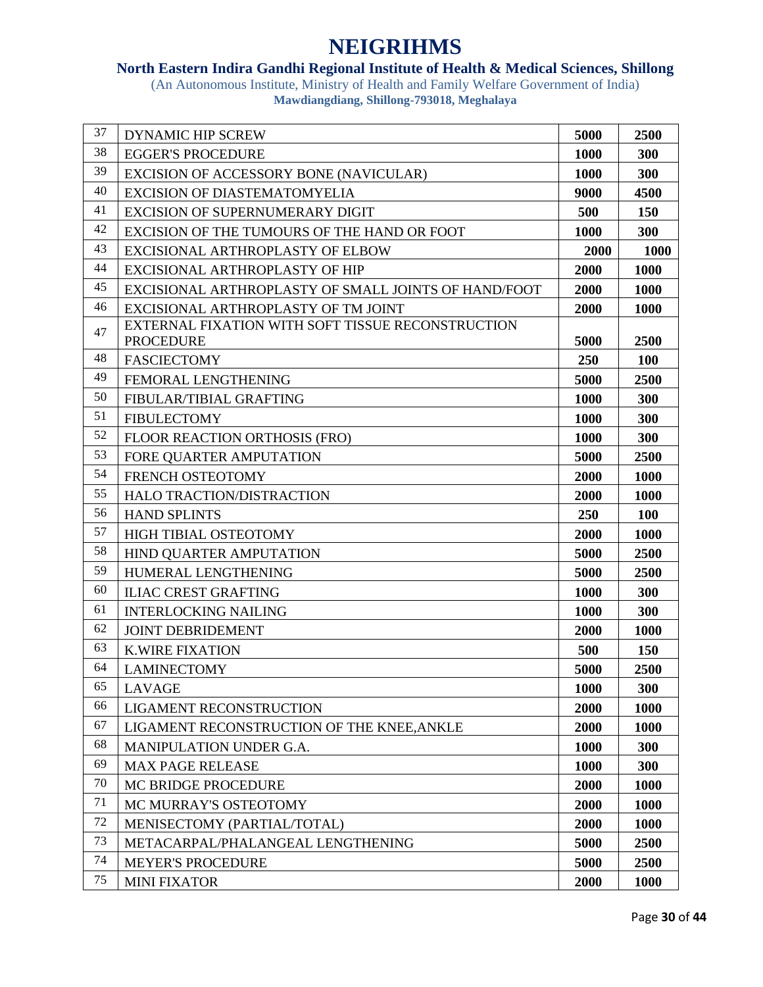### **North Eastern Indira Gandhi Regional Institute of Health & Medical Sciences, Shillong**

| 37 | <b>DYNAMIC HIP SCREW</b>                             | 5000        | 2500        |
|----|------------------------------------------------------|-------------|-------------|
| 38 | <b>EGGER'S PROCEDURE</b>                             | 1000        | 300         |
| 39 | EXCISION OF ACCESSORY BONE (NAVICULAR)               | 1000        | 300         |
| 40 | <b>EXCISION OF DIASTEMATOMYELIA</b>                  | 9000        | 4500        |
| 41 | <b>EXCISION OF SUPERNUMERARY DIGIT</b>               | 500         | <b>150</b>  |
| 42 | EXCISION OF THE TUMOURS OF THE HAND OR FOOT          | 1000        | 300         |
| 43 | EXCISIONAL ARTHROPLASTY OF ELBOW                     | 2000        | <b>1000</b> |
| 44 | <b>EXCISIONAL ARTHROPLASTY OF HIP</b>                | 2000        | 1000        |
| 45 | EXCISIONAL ARTHROPLASTY OF SMALL JOINTS OF HAND/FOOT | 2000        | 1000        |
| 46 | EXCISIONAL ARTHROPLASTY OF TM JOINT                  | 2000        | 1000        |
| 47 | EXTERNAL FIXATION WITH SOFT TISSUE RECONSTRUCTION    |             |             |
|    | <b>PROCEDURE</b>                                     | 5000        | 2500        |
| 48 | <b>FASCIECTOMY</b>                                   | <b>250</b>  | <b>100</b>  |
| 49 | FEMORAL LENGTHENING                                  | 5000        | 2500        |
| 50 | FIBULAR/TIBIAL GRAFTING                              | 1000        | 300         |
| 51 | <b>FIBULECTOMY</b>                                   | 1000        | 300         |
| 52 | FLOOR REACTION ORTHOSIS (FRO)                        | 1000        | 300         |
| 53 | FORE OUARTER AMPUTATION                              | 5000        | 2500        |
| 54 | FRENCH OSTEOTOMY                                     | 2000        | 1000        |
| 55 | HALO TRACTION/DISTRACTION                            | 2000        | 1000        |
| 56 | <b>HAND SPLINTS</b>                                  | 250         | 100         |
| 57 | HIGH TIBIAL OSTEOTOMY                                | 2000        | 1000        |
| 58 | HIND QUARTER AMPUTATION                              | 5000        | 2500        |
| 59 | HUMERAL LENGTHENING                                  | 5000        | 2500        |
| 60 | <b>ILIAC CREST GRAFTING</b>                          | 1000        | 300         |
| 61 | <b>INTERLOCKING NAILING</b>                          | 1000        | 300         |
| 62 | <b>JOINT DEBRIDEMENT</b>                             | 2000        | 1000        |
| 63 | <b>K.WIRE FIXATION</b>                               | 500         | 150         |
| 64 | <b>LAMINECTOMY</b>                                   | 5000        | 2500        |
| 65 | <b>LAVAGE</b>                                        | <b>1000</b> | 300         |
| 66 | <b>LIGAMENT RECONSTRUCTION</b>                       | 2000        | 1000        |
| 67 | LIGAMENT RECONSTRUCTION OF THE KNEE, ANKLE           | 2000        | 1000        |
| 68 | <b>MANIPULATION UNDER G.A.</b>                       | 1000        | 300         |
| 69 | <b>MAX PAGE RELEASE</b>                              | 1000        | 300         |
| 70 | MC BRIDGE PROCEDURE                                  | 2000        | 1000        |
| 71 | MC MURRAY'S OSTEOTOMY                                | 2000        | 1000        |
| 72 | MENISECTOMY (PARTIAL/TOTAL)                          | 2000        | 1000        |
| 73 | METACARPAL/PHALANGEAL LENGTHENING                    | 5000        | 2500        |
| 74 | <b>MEYER'S PROCEDURE</b>                             | 5000        | 2500        |
| 75 | <b>MINI FIXATOR</b>                                  | 2000        | 1000        |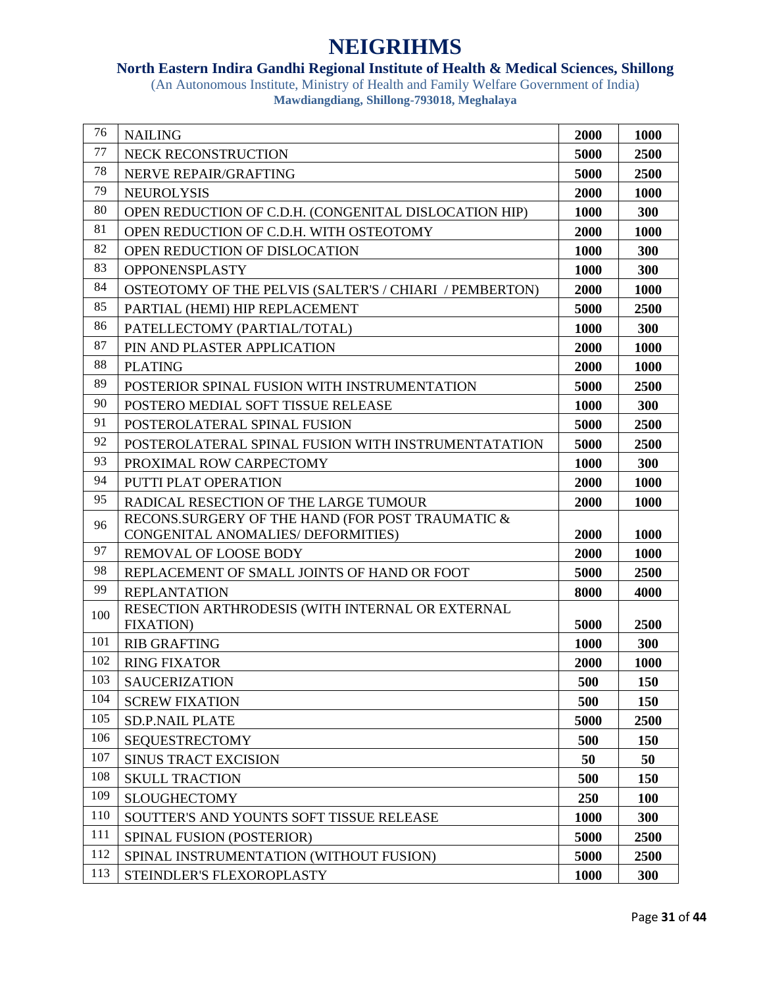### **North Eastern Indira Gandhi Regional Institute of Health & Medical Sciences, Shillong**

| 76  | <b>NAILING</b>                                                        | 2000 | 1000       |
|-----|-----------------------------------------------------------------------|------|------------|
| 77  | NECK RECONSTRUCTION                                                   | 5000 | 2500       |
| 78  | NERVE REPAIR/GRAFTING                                                 | 5000 | 2500       |
| 79  | <b>NEUROLYSIS</b>                                                     | 2000 | 1000       |
| 80  | OPEN REDUCTION OF C.D.H. (CONGENITAL DISLOCATION HIP)                 | 1000 | 300        |
| 81  | OPEN REDUCTION OF C.D.H. WITH OSTEOTOMY                               | 2000 | 1000       |
| 82  | OPEN REDUCTION OF DISLOCATION                                         | 1000 | 300        |
| 83  | OPPONENSPLASTY                                                        | 1000 | 300        |
| 84  | OSTEOTOMY OF THE PELVIS (SALTER'S / CHIARI / PEMBERTON)               | 2000 | 1000       |
| 85  | PARTIAL (HEMI) HIP REPLACEMENT                                        | 5000 | 2500       |
| 86  | PATELLECTOMY (PARTIAL/TOTAL)                                          | 1000 | 300        |
| 87  | PIN AND PLASTER APPLICATION                                           | 2000 | 1000       |
| 88  | <b>PLATING</b>                                                        | 2000 | 1000       |
| 89  | POSTERIOR SPINAL FUSION WITH INSTRUMENTATION                          | 5000 | 2500       |
| 90  | POSTERO MEDIAL SOFT TISSUE RELEASE                                    | 1000 | 300        |
| 91  | POSTEROLATERAL SPINAL FUSION                                          | 5000 | 2500       |
| 92  | POSTEROLATERAL SPINAL FUSION WITH INSTRUMENTATATION                   | 5000 | 2500       |
| 93  | PROXIMAL ROW CARPECTOMY                                               | 1000 | 300        |
| 94  | PUTTI PLAT OPERATION                                                  | 2000 | 1000       |
| 95  | RADICAL RESECTION OF THE LARGE TUMOUR                                 | 2000 | 1000       |
| 96  | RECONS.SURGERY OF THE HAND (FOR POST TRAUMATIC &                      |      |            |
|     | CONGENITAL ANOMALIES/ DEFORMITIES)                                    | 2000 | 1000       |
| 97  | REMOVAL OF LOOSE BODY                                                 | 2000 | 1000       |
| 98  | REPLACEMENT OF SMALL JOINTS OF HAND OR FOOT                           | 5000 | 2500       |
| 99  | <b>REPLANTATION</b>                                                   | 8000 | 4000       |
| 100 | RESECTION ARTHRODESIS (WITH INTERNAL OR EXTERNAL<br><b>FIXATION</b> ) | 5000 | 2500       |
| 101 | <b>RIB GRAFTING</b>                                                   | 1000 | 300        |
| 102 | <b>RING FIXATOR</b>                                                   | 2000 | 1000       |
| 103 | <b>SAUCERIZATION</b>                                                  | 500  | 150        |
| 104 | <b>SCREW FIXATION</b>                                                 | 500  | <b>150</b> |
| 105 | <b>SD.P.NAIL PLATE</b>                                                | 5000 | 2500       |
| 106 | <b>SEQUESTRECTOMY</b>                                                 | 500  | 150        |
| 107 | <b>SINUS TRACT EXCISION</b>                                           | 50   | 50         |
| 108 | <b>SKULL TRACTION</b>                                                 | 500  | 150        |
| 109 | <b>SLOUGHECTOMY</b>                                                   | 250  | <b>100</b> |
| 110 | SOUTTER'S AND YOUNTS SOFT TISSUE RELEASE                              | 1000 | 300        |
| 111 | SPINAL FUSION (POSTERIOR)                                             | 5000 | 2500       |
| 112 | SPINAL INSTRUMENTATION (WITHOUT FUSION)                               | 5000 | 2500       |
| 113 | STEINDLER'S FLEXOROPLASTY                                             | 1000 | 300        |
|     |                                                                       |      |            |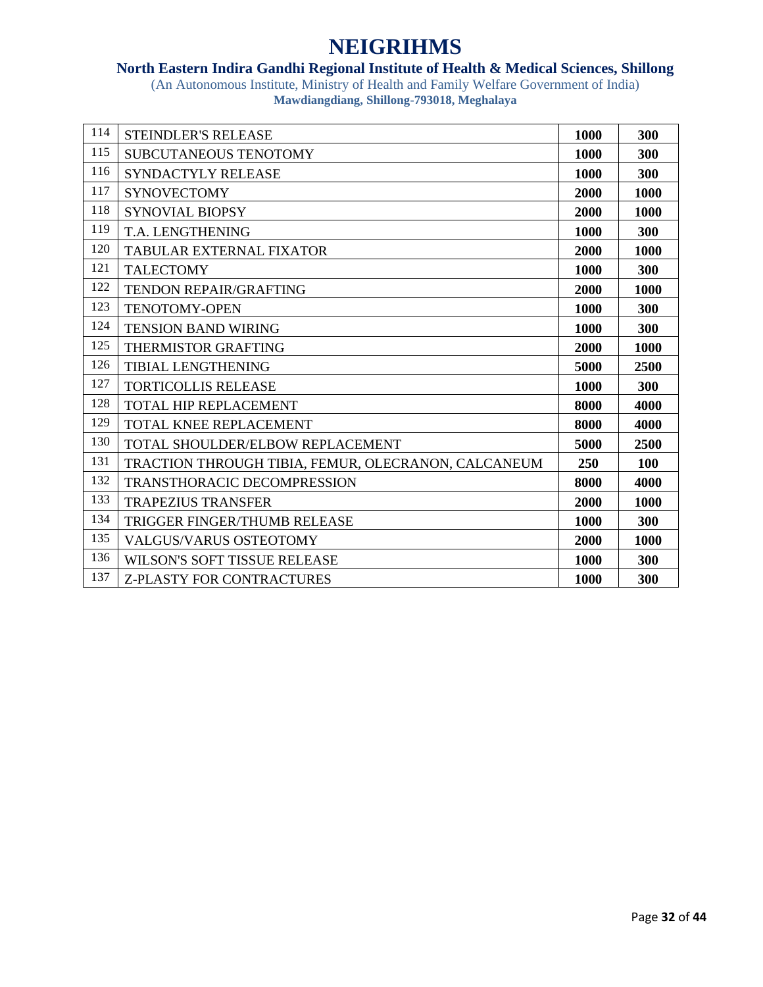### **North Eastern Indira Gandhi Regional Institute of Health & Medical Sciences, Shillong**

| 114 | <b>STEINDLER'S RELEASE</b>                          | 1000 | 300  |
|-----|-----------------------------------------------------|------|------|
| 115 | SUBCUTANEOUS TENOTOMY                               | 1000 | 300  |
| 116 | SYNDACTYLY RELEASE                                  | 1000 | 300  |
| 117 | <b>SYNOVECTOMY</b>                                  | 2000 | 1000 |
| 118 | <b>SYNOVIAL BIOPSY</b>                              | 2000 | 1000 |
| 119 | T.A. LENGTHENING                                    | 1000 | 300  |
| 120 | TABULAR EXTERNAL FIXATOR                            | 2000 | 1000 |
| 121 | <b>TALECTOMY</b>                                    | 1000 | 300  |
| 122 | <b>TENDON REPAIR/GRAFTING</b>                       | 2000 | 1000 |
| 123 | <b>TENOTOMY-OPEN</b>                                | 1000 | 300  |
| 124 | <b>TENSION BAND WIRING</b>                          | 1000 | 300  |
| 125 | <b>THERMISTOR GRAFTING</b>                          | 2000 | 1000 |
| 126 | <b>TIBIAL LENGTHENING</b>                           | 5000 | 2500 |
| 127 | <b>TORTICOLLIS RELEASE</b>                          | 1000 | 300  |
| 128 | <b>TOTAL HIP REPLACEMENT</b>                        | 8000 | 4000 |
| 129 | <b>TOTAL KNEE REPLACEMENT</b>                       | 8000 | 4000 |
| 130 | <b>TOTAL SHOULDER/ELBOW REPLACEMENT</b>             | 5000 | 2500 |
| 131 | TRACTION THROUGH TIBIA, FEMUR, OLECRANON, CALCANEUM | 250  | 100  |
| 132 | <b>TRANSTHORACIC DECOMPRESSION</b>                  | 8000 | 4000 |
| 133 | <b>TRAPEZIUS TRANSFER</b>                           | 2000 | 1000 |
| 134 | <b>TRIGGER FINGER/THUMB RELEASE</b>                 | 1000 | 300  |
| 135 | <b>VALGUS/VARUS OSTEOTOMY</b>                       | 2000 | 1000 |
| 136 | <b>WILSON'S SOFT TISSUE RELEASE</b>                 | 1000 | 300  |
| 137 | <b>Z-PLASTY FOR CONTRACTURES</b>                    | 1000 | 300  |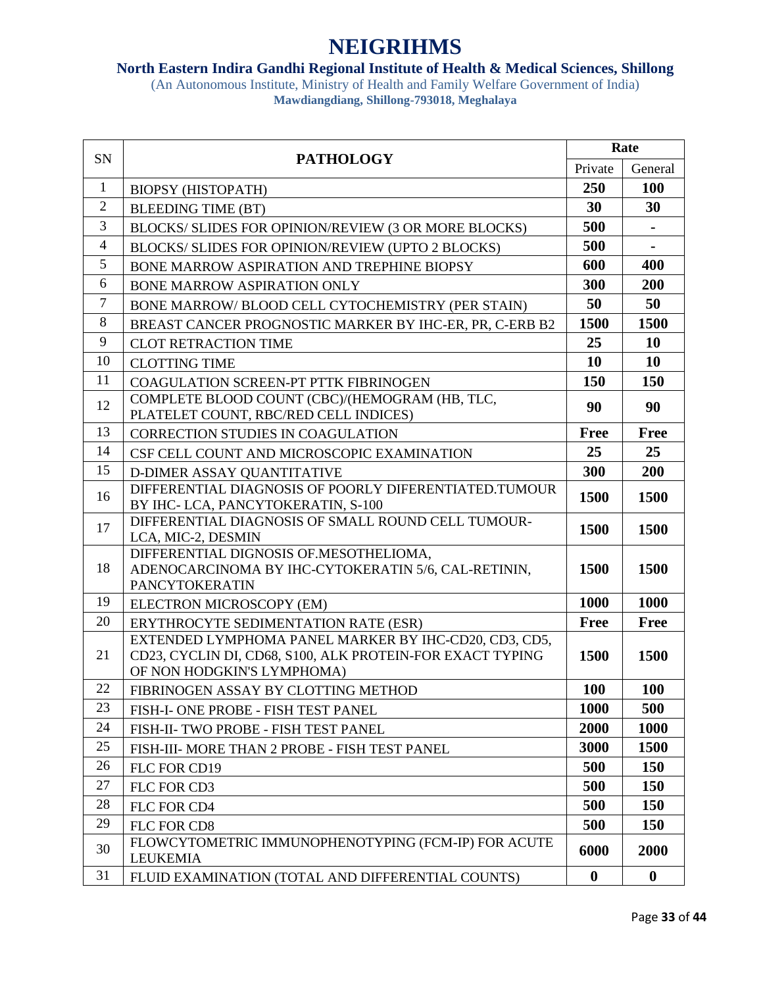### **North Eastern Indira Gandhi Regional Institute of Health & Medical Sciences, Shillong**

|                | <b>PATHOLOGY</b><br>SN                                                                                                                           | Rate             |                |
|----------------|--------------------------------------------------------------------------------------------------------------------------------------------------|------------------|----------------|
|                |                                                                                                                                                  | Private          | General        |
| $\mathbf{1}$   | <b>BIOPSY (HISTOPATH)</b>                                                                                                                        | 250              | 100            |
| $\overline{2}$ | <b>BLEEDING TIME (BT)</b>                                                                                                                        | 30               | 30             |
| 3              | BLOCKS/ SLIDES FOR OPINION/REVIEW (3 OR MORE BLOCKS)                                                                                             | 500              |                |
| 4              | BLOCKS/ SLIDES FOR OPINION/REVIEW (UPTO 2 BLOCKS)                                                                                                | 500              | $\blacksquare$ |
| 5              | BONE MARROW ASPIRATION AND TREPHINE BIOPSY                                                                                                       | 600              | 400            |
| 6              | BONE MARROW ASPIRATION ONLY                                                                                                                      | 300              | 200            |
| $\overline{7}$ | BONE MARROW/ BLOOD CELL CYTOCHEMISTRY (PER STAIN)                                                                                                | 50               | 50             |
| 8              | BREAST CANCER PROGNOSTIC MARKER BY IHC-ER, PR, C-ERB B2                                                                                          | 1500             | 1500           |
| 9              | <b>CLOT RETRACTION TIME</b>                                                                                                                      | 25               | <b>10</b>      |
| 10             | <b>CLOTTING TIME</b>                                                                                                                             | 10               | 10             |
| 11             | COAGULATION SCREEN-PT PTTK FIBRINOGEN                                                                                                            | 150              | 150            |
| 12             | COMPLETE BLOOD COUNT (CBC)/(HEMOGRAM (HB, TLC,<br>PLATELET COUNT, RBC/RED CELL INDICES)                                                          | 90               | 90             |
| 13             | <b>CORRECTION STUDIES IN COAGULATION</b>                                                                                                         | <b>Free</b>      | <b>Free</b>    |
| 14             | CSF CELL COUNT AND MICROSCOPIC EXAMINATION                                                                                                       | 25               | 25             |
| 15             | D-DIMER ASSAY QUANTITATIVE                                                                                                                       | 300              | 200            |
| 16             | DIFFERENTIAL DIAGNOSIS OF POORLY DIFERENTIATED.TUMOUR<br>BY IHC-LCA, PANCYTOKERATIN, S-100                                                       | 1500             | 1500           |
| 17             | DIFFERENTIAL DIAGNOSIS OF SMALL ROUND CELL TUMOUR-<br>LCA, MIC-2, DESMIN                                                                         | 1500             | 1500           |
| 18             | DIFFERENTIAL DIGNOSIS OF MESOTHELIOMA,<br>ADENOCARCINOMA BY IHC-CYTOKERATIN 5/6, CAL-RETININ,<br>PANCYTOKERATIN                                  | 1500             | 1500           |
| 19             | ELECTRON MICROSCOPY (EM)                                                                                                                         | 1000             | 1000           |
| 20             | ERYTHROCYTE SEDIMENTATION RATE (ESR)                                                                                                             | <b>Free</b>      | <b>Free</b>    |
| 21             | EXTENDED LYMPHOMA PANEL MARKER BY IHC-CD20, CD3, CD5,<br>CD23, CYCLIN DI, CD68, S100, ALK PROTEIN-FOR EXACT TYPING<br>OF NON HODGKIN'S LYMPHOMA) | <b>1500</b>      | 1500           |
| 22             | FIBRINOGEN ASSAY BY CLOTTING METHOD                                                                                                              | <b>100</b>       | <b>100</b>     |
| 23             | FISH-I- ONE PROBE - FISH TEST PANEL                                                                                                              | 1000             | 500            |
| 24             | FISH-II- TWO PROBE - FISH TEST PANEL                                                                                                             | 2000             | 1000           |
| 25             | FISH-III- MORE THAN 2 PROBE - FISH TEST PANEL                                                                                                    | 3000             | 1500           |
| 26             | FLC FOR CD19                                                                                                                                     | 500              | 150            |
| 27             | FLC FOR CD3                                                                                                                                      | 500              | 150            |
| 28             | FLC FOR CD4                                                                                                                                      | 500              | 150            |
| 29             | FLC FOR CD8                                                                                                                                      | 500              | 150            |
| 30             | FLOWCYTOMETRIC IMMUNOPHENOTYPING (FCM-IP) FOR ACUTE<br><b>LEUKEMIA</b>                                                                           | 6000             | 2000           |
| 31             | FLUID EXAMINATION (TOTAL AND DIFFERENTIAL COUNTS)                                                                                                | $\boldsymbol{0}$ | $\bf{0}$       |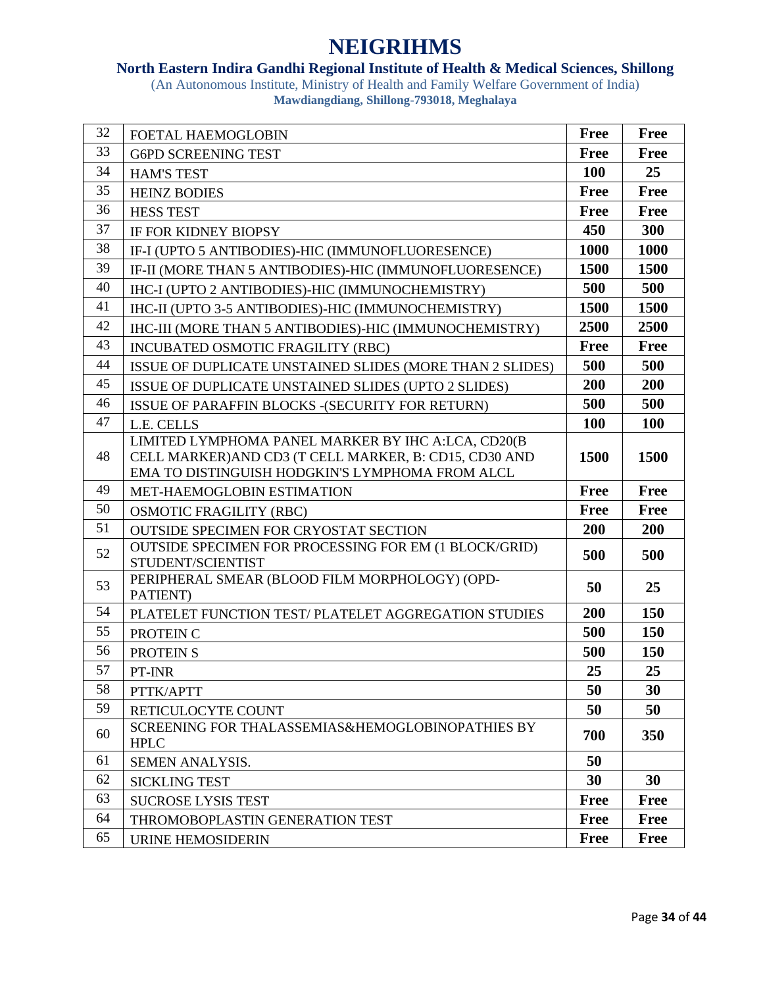### **North Eastern Indira Gandhi Regional Institute of Health & Medical Sciences, Shillong**

| 32 | FOETAL HAEMOGLOBIN                                                                                                                                              | <b>Free</b> | <b>Free</b> |
|----|-----------------------------------------------------------------------------------------------------------------------------------------------------------------|-------------|-------------|
| 33 | <b>G6PD SCREENING TEST</b>                                                                                                                                      | <b>Free</b> | <b>Free</b> |
| 34 | <b>HAM'S TEST</b>                                                                                                                                               | <b>100</b>  | 25          |
| 35 | <b>HEINZ BODIES</b>                                                                                                                                             | <b>Free</b> | <b>Free</b> |
| 36 | <b>HESS TEST</b>                                                                                                                                                | <b>Free</b> | <b>Free</b> |
| 37 | IF FOR KIDNEY BIOPSY                                                                                                                                            | 450         | 300         |
| 38 | IF-I (UPTO 5 ANTIBODIES)-HIC (IMMUNOFLUORESENCE)                                                                                                                | 1000        | 1000        |
| 39 | IF-II (MORE THAN 5 ANTIBODIES)-HIC (IMMUNOFLUORESENCE)                                                                                                          | 1500        | 1500        |
| 40 | IHC-I (UPTO 2 ANTIBODIES)-HIC (IMMUNOCHEMISTRY)                                                                                                                 | 500         | 500         |
| 41 | IHC-II (UPTO 3-5 ANTIBODIES)-HIC (IMMUNOCHEMISTRY)                                                                                                              | 1500        | 1500        |
| 42 | IHC-III (MORE THAN 5 ANTIBODIES)-HIC (IMMUNOCHEMISTRY)                                                                                                          | 2500        | 2500        |
| 43 | INCUBATED OSMOTIC FRAGILITY (RBC)                                                                                                                               | <b>Free</b> | <b>Free</b> |
| 44 | ISSUE OF DUPLICATE UNSTAINED SLIDES (MORE THAN 2 SLIDES)                                                                                                        | 500         | 500         |
| 45 | ISSUE OF DUPLICATE UNSTAINED SLIDES (UPTO 2 SLIDES)                                                                                                             | 200         | 200         |
| 46 | ISSUE OF PARAFFIN BLOCKS - (SECURITY FOR RETURN)                                                                                                                | 500         | 500         |
| 47 | L.E. CELLS                                                                                                                                                      | <b>100</b>  | <b>100</b>  |
| 48 | LIMITED LYMPHOMA PANEL MARKER BY IHC A:LCA, CD20(B<br>CELL MARKER) AND CD3 (T CELL MARKER, B: CD15, CD30 AND<br>EMA TO DISTINGUISH HODGKIN'S LYMPHOMA FROM ALCL | <b>1500</b> | 1500        |
| 49 | MET-HAEMOGLOBIN ESTIMATION                                                                                                                                      | <b>Free</b> | Free        |
| 50 | <b>OSMOTIC FRAGILITY (RBC)</b>                                                                                                                                  | <b>Free</b> | <b>Free</b> |
| 51 | <b>OUTSIDE SPECIMEN FOR CRYOSTAT SECTION</b>                                                                                                                    | 200         | 200         |
| 52 | OUTSIDE SPECIMEN FOR PROCESSING FOR EM (1 BLOCK/GRID)<br>STUDENT/SCIENTIST                                                                                      | 500         | 500         |
| 53 | PERIPHERAL SMEAR (BLOOD FILM MORPHOLOGY) (OPD-<br>PATIENT)                                                                                                      | 50          | 25          |
| 54 | PLATELET FUNCTION TEST/ PLATELET AGGREGATION STUDIES                                                                                                            | 200         | 150         |
| 55 | PROTEIN C                                                                                                                                                       | 500         | 150         |
| 56 | <b>PROTEIN S</b>                                                                                                                                                | 500         | 150         |
| 57 | PT-INR                                                                                                                                                          | 25          | 25          |
| 58 | PTTK/APTT                                                                                                                                                       | 50          | 30          |
| 59 | RETICULOCYTE COUNT                                                                                                                                              | 50          | 50          |
| 60 | SCREENING FOR THALASSEMIAS&HEMOGLOBINOPATHIES BY<br><b>HPLC</b>                                                                                                 | 700         | 350         |
| 61 | SEMEN ANALYSIS.                                                                                                                                                 | 50          |             |
| 62 | <b>SICKLING TEST</b>                                                                                                                                            | 30          | 30          |
| 63 | <b>SUCROSE LYSIS TEST</b>                                                                                                                                       | <b>Free</b> | <b>Free</b> |
| 64 | THROMOBOPLASTIN GENERATION TEST                                                                                                                                 | <b>Free</b> | <b>Free</b> |
| 65 | URINE HEMOSIDERIN                                                                                                                                               | <b>Free</b> | <b>Free</b> |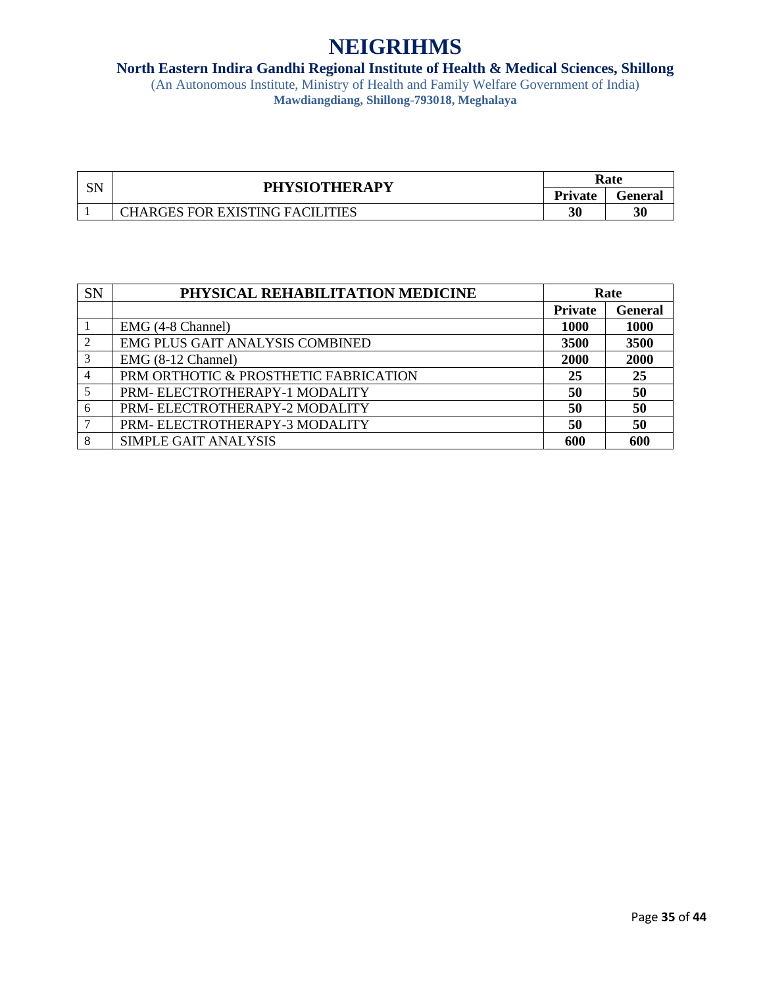#### **North Eastern Indira Gandhi Regional Institute of Health & Medical Sciences, Shillong**

| CNI<br>.J. Y | <b>PHYSIOTHERAPY</b>                   | Rate           |         |
|--------------|----------------------------------------|----------------|---------|
|              |                                        | <b>Private</b> | Feneral |
|              | <b>CHARGES FOR EXISTING FACILITIES</b> | 30             | 30      |

| <b>SN</b> | PHYSICAL REHABILITATION MEDICINE      | Rate           |                |
|-----------|---------------------------------------|----------------|----------------|
|           |                                       | <b>Private</b> | <b>General</b> |
|           | EMG (4-8 Channel)                     | 1000           | <b>1000</b>    |
|           | EMG PLUS GAIT ANALYSIS COMBINED       | 3500           | 3500           |
|           | EMG (8-12 Channel)                    | 2000           | 2000           |
| 4         | PRM ORTHOTIC & PROSTHETIC FABRICATION | 25             | 25             |
|           | PRM-ELECTROTHERAPY-1 MODALITY         | 50             | 50             |
| 6         | PRM-ELECTROTHERAPY-2 MODALITY         | 50             | 50             |
|           | PRM-ELECTROTHERAPY-3 MODALITY         | 50             | 50             |
| 8         | <b>SIMPLE GAIT ANALYSIS</b>           | 600            | 600            |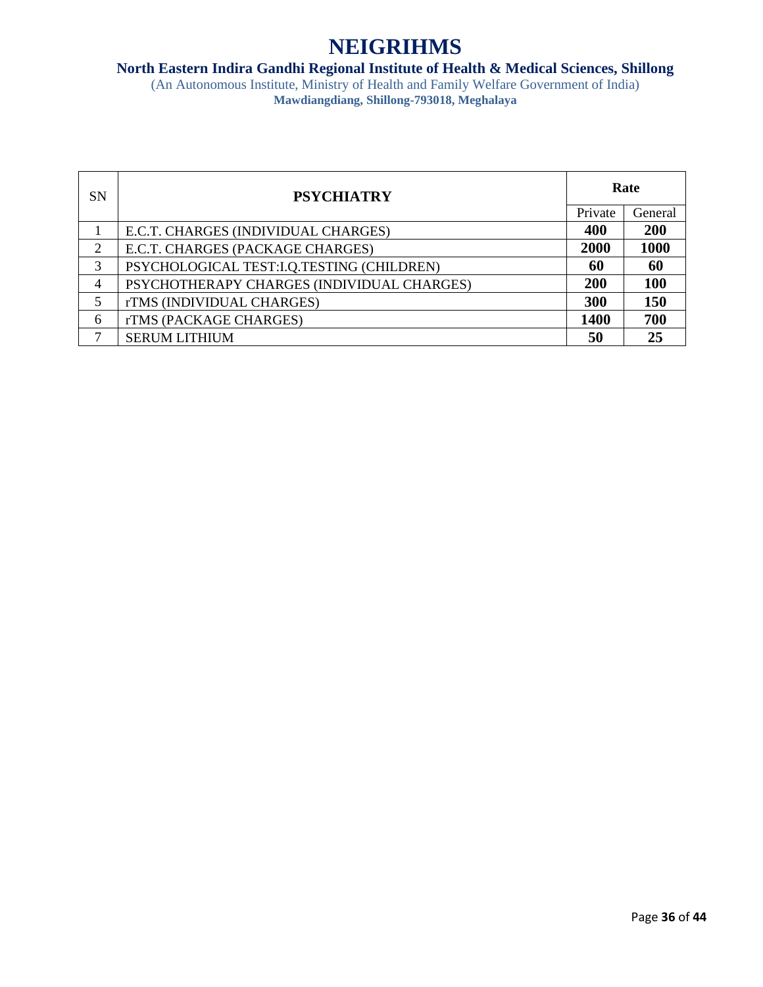#### **North Eastern Indira Gandhi Regional Institute of Health & Medical Sciences, Shillong**

| SN | <b>PSYCHIATRY</b>                          | Rate        |            |
|----|--------------------------------------------|-------------|------------|
|    |                                            | Private     | General    |
|    | E.C.T. CHARGES (INDIVIDUAL CHARGES)        | 400         | 200        |
| 2  | E.C.T. CHARGES (PACKAGE CHARGES)           | 2000        | 1000       |
| 3  | PSYCHOLOGICAL TEST:I.Q.TESTING (CHILDREN)  | 60          | 60         |
| 4  | PSYCHOTHERAPY CHARGES (INDIVIDUAL CHARGES) | 200         | <b>100</b> |
|    | rTMS (INDIVIDUAL CHARGES)                  | 300         | 150        |
| 6  | rTMS (PACKAGE CHARGES)                     | <b>1400</b> | 700        |
|    | <b>SERUM LITHIUM</b>                       | 50          | 25         |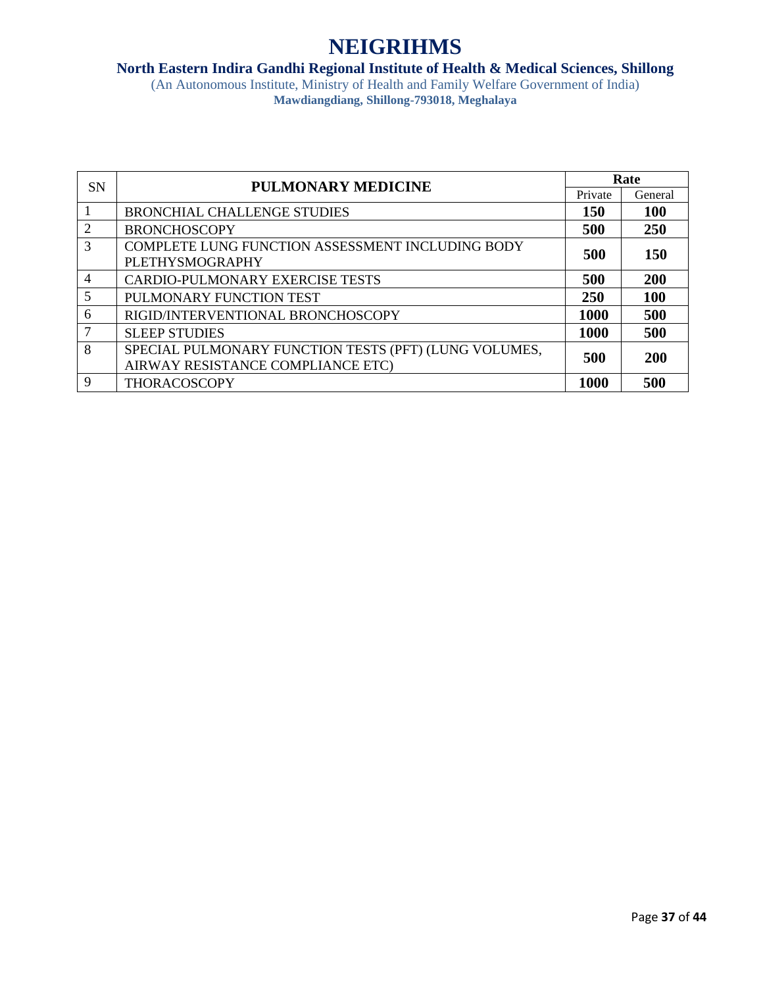#### **North Eastern Indira Gandhi Regional Institute of Health & Medical Sciences, Shillong**

| <b>SN</b>      | <b>PULMONARY MEDICINE</b>                             | Rate        |            |
|----------------|-------------------------------------------------------|-------------|------------|
|                |                                                       | Private     | General    |
|                | <b>BRONCHIAL CHALLENGE STUDIES</b>                    | <b>150</b>  | <b>100</b> |
| $\overline{2}$ | <b>BRONCHOSCOPY</b>                                   | 500         | 250        |
| 3              | COMPLETE LUNG FUNCTION ASSESSMENT INCLUDING BODY      | 500         | 150        |
|                | <b>PLETHYSMOGRAPHY</b>                                |             |            |
| $\overline{4}$ | <b>CARDIO-PULMONARY EXERCISE TESTS</b>                | 500         | 200        |
| 5              | PULMONARY FUNCTION TEST                               | 250         | <b>100</b> |
| 6              | RIGID/INTERVENTIONAL BRONCHOSCOPY                     | <b>1000</b> | 500        |
| 7              | <b>SLEEP STUDIES</b>                                  | 1000        | 500        |
| 8              | SPECIAL PULMONARY FUNCTION TESTS (PFT) (LUNG VOLUMES, | 500         | 200        |
|                | AIRWAY RESISTANCE COMPLIANCE ETC)                     |             |            |
| 9              | <b>THORACOSCOPY</b>                                   | <b>1000</b> | 500        |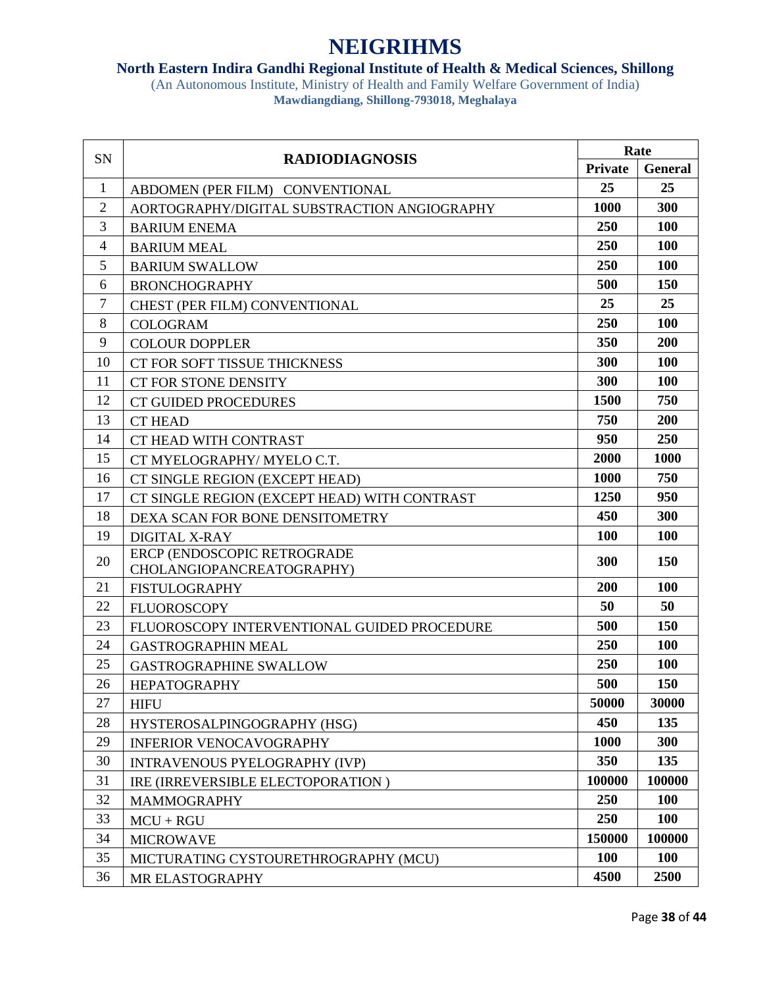### **North Eastern Indira Gandhi Regional Institute of Health & Medical Sciences, Shillong**

| <b>Private</b><br><b>General</b><br>25<br>25<br>1<br>ABDOMEN (PER FILM) CONVENTIONAL<br>$\overline{2}$<br>300<br>1000<br>AORTOGRAPHY/DIGITAL SUBSTRACTION ANGIOGRAPHY<br>3<br>250<br>100<br><b>BARIUM ENEMA</b><br>250<br>100<br>4<br><b>BARIUM MEAL</b><br>5<br>250<br>100<br><b>BARIUM SWALLOW</b><br>500<br>6<br>150<br><b>BRONCHOGRAPHY</b><br>25<br>$\tau$<br>25<br><b>CHEST (PER FILM) CONVENTIONAL</b><br>8<br>250<br>100<br><b>COLOGRAM</b><br>9<br>200<br>350<br><b>COLOUR DOPPLER</b><br>300<br>100<br>10<br>CT FOR SOFT TISSUE THICKNESS<br>300<br>100<br>11<br><b>CT FOR STONE DENSITY</b><br>750<br>12<br>1500<br><b>CT GUIDED PROCEDURES</b><br>750<br>200<br>13<br><b>CT HEAD</b><br>950<br>250<br>14<br>CT HEAD WITH CONTRAST<br>2000<br>1000<br>15<br>CT MYELOGRAPHY/ MYELO C.T.<br>1000<br>750<br>16<br>CT SINGLE REGION (EXCEPT HEAD)<br>17<br>1250<br>950<br>CT SINGLE REGION (EXCEPT HEAD) WITH CONTRAST<br>300<br>450<br>18<br>DEXA SCAN FOR BONE DENSITOMETRY<br>19<br><b>100</b><br>100<br><b>DIGITAL X-RAY</b><br>ERCP (ENDOSCOPIC RETROGRADE<br>150<br>20<br>300<br>CHOLANGIOPANCREATOGRAPHY)<br>200<br>100<br>21<br><b>FISTULOGRAPHY</b><br>22<br>50<br>50<br><b>FLUOROSCOPY</b><br>500<br>150<br>23<br>FLUOROSCOPY INTERVENTIONAL GUIDED PROCEDURE<br>250<br>100<br>24<br><b>GASTROGRAPHIN MEAL</b><br>250<br>100<br>25<br><b>GASTROGRAPHINE SWALLOW</b><br>26<br>500<br>150<br><b>HEPATOGRAPHY</b><br>30000<br>50000<br>27<br><b>HIFU</b><br>135<br>28<br>450<br>HYSTEROSALPINGOGRAPHY (HSG)<br>1000<br>300<br>29<br><b>INFERIOR VENOCAVOGRAPHY</b><br>30<br>350<br>135<br><b>INTRAVENOUS PYELOGRAPHY (IVP)</b><br>31<br>100000<br>100000<br>IRE (IRREVERSIBLE ELECTOPORATION)<br>32<br>250<br>100<br><b>MAMMOGRAPHY</b><br>33<br>250<br>100<br>$MCU + RGU$<br>150000<br>100000<br>34<br><b>MICROWAVE</b><br>35<br><b>100</b><br><b>100</b><br>MICTURATING CYSTOURETHROGRAPHY (MCU)<br>4500<br>36<br>2500<br>MR ELASTOGRAPHY | SN | <b>RADIODIAGNOSIS</b> | Rate |  |
|-----------------------------------------------------------------------------------------------------------------------------------------------------------------------------------------------------------------------------------------------------------------------------------------------------------------------------------------------------------------------------------------------------------------------------------------------------------------------------------------------------------------------------------------------------------------------------------------------------------------------------------------------------------------------------------------------------------------------------------------------------------------------------------------------------------------------------------------------------------------------------------------------------------------------------------------------------------------------------------------------------------------------------------------------------------------------------------------------------------------------------------------------------------------------------------------------------------------------------------------------------------------------------------------------------------------------------------------------------------------------------------------------------------------------------------------------------------------------------------------------------------------------------------------------------------------------------------------------------------------------------------------------------------------------------------------------------------------------------------------------------------------------------------------------------------------------------------------------------------------------------------------------------------------------------------------------------------|----|-----------------------|------|--|
|                                                                                                                                                                                                                                                                                                                                                                                                                                                                                                                                                                                                                                                                                                                                                                                                                                                                                                                                                                                                                                                                                                                                                                                                                                                                                                                                                                                                                                                                                                                                                                                                                                                                                                                                                                                                                                                                                                                                                           |    |                       |      |  |
|                                                                                                                                                                                                                                                                                                                                                                                                                                                                                                                                                                                                                                                                                                                                                                                                                                                                                                                                                                                                                                                                                                                                                                                                                                                                                                                                                                                                                                                                                                                                                                                                                                                                                                                                                                                                                                                                                                                                                           |    |                       |      |  |
|                                                                                                                                                                                                                                                                                                                                                                                                                                                                                                                                                                                                                                                                                                                                                                                                                                                                                                                                                                                                                                                                                                                                                                                                                                                                                                                                                                                                                                                                                                                                                                                                                                                                                                                                                                                                                                                                                                                                                           |    |                       |      |  |
|                                                                                                                                                                                                                                                                                                                                                                                                                                                                                                                                                                                                                                                                                                                                                                                                                                                                                                                                                                                                                                                                                                                                                                                                                                                                                                                                                                                                                                                                                                                                                                                                                                                                                                                                                                                                                                                                                                                                                           |    |                       |      |  |
|                                                                                                                                                                                                                                                                                                                                                                                                                                                                                                                                                                                                                                                                                                                                                                                                                                                                                                                                                                                                                                                                                                                                                                                                                                                                                                                                                                                                                                                                                                                                                                                                                                                                                                                                                                                                                                                                                                                                                           |    |                       |      |  |
|                                                                                                                                                                                                                                                                                                                                                                                                                                                                                                                                                                                                                                                                                                                                                                                                                                                                                                                                                                                                                                                                                                                                                                                                                                                                                                                                                                                                                                                                                                                                                                                                                                                                                                                                                                                                                                                                                                                                                           |    |                       |      |  |
|                                                                                                                                                                                                                                                                                                                                                                                                                                                                                                                                                                                                                                                                                                                                                                                                                                                                                                                                                                                                                                                                                                                                                                                                                                                                                                                                                                                                                                                                                                                                                                                                                                                                                                                                                                                                                                                                                                                                                           |    |                       |      |  |
|                                                                                                                                                                                                                                                                                                                                                                                                                                                                                                                                                                                                                                                                                                                                                                                                                                                                                                                                                                                                                                                                                                                                                                                                                                                                                                                                                                                                                                                                                                                                                                                                                                                                                                                                                                                                                                                                                                                                                           |    |                       |      |  |
|                                                                                                                                                                                                                                                                                                                                                                                                                                                                                                                                                                                                                                                                                                                                                                                                                                                                                                                                                                                                                                                                                                                                                                                                                                                                                                                                                                                                                                                                                                                                                                                                                                                                                                                                                                                                                                                                                                                                                           |    |                       |      |  |
|                                                                                                                                                                                                                                                                                                                                                                                                                                                                                                                                                                                                                                                                                                                                                                                                                                                                                                                                                                                                                                                                                                                                                                                                                                                                                                                                                                                                                                                                                                                                                                                                                                                                                                                                                                                                                                                                                                                                                           |    |                       |      |  |
|                                                                                                                                                                                                                                                                                                                                                                                                                                                                                                                                                                                                                                                                                                                                                                                                                                                                                                                                                                                                                                                                                                                                                                                                                                                                                                                                                                                                                                                                                                                                                                                                                                                                                                                                                                                                                                                                                                                                                           |    |                       |      |  |
|                                                                                                                                                                                                                                                                                                                                                                                                                                                                                                                                                                                                                                                                                                                                                                                                                                                                                                                                                                                                                                                                                                                                                                                                                                                                                                                                                                                                                                                                                                                                                                                                                                                                                                                                                                                                                                                                                                                                                           |    |                       |      |  |
|                                                                                                                                                                                                                                                                                                                                                                                                                                                                                                                                                                                                                                                                                                                                                                                                                                                                                                                                                                                                                                                                                                                                                                                                                                                                                                                                                                                                                                                                                                                                                                                                                                                                                                                                                                                                                                                                                                                                                           |    |                       |      |  |
|                                                                                                                                                                                                                                                                                                                                                                                                                                                                                                                                                                                                                                                                                                                                                                                                                                                                                                                                                                                                                                                                                                                                                                                                                                                                                                                                                                                                                                                                                                                                                                                                                                                                                                                                                                                                                                                                                                                                                           |    |                       |      |  |
|                                                                                                                                                                                                                                                                                                                                                                                                                                                                                                                                                                                                                                                                                                                                                                                                                                                                                                                                                                                                                                                                                                                                                                                                                                                                                                                                                                                                                                                                                                                                                                                                                                                                                                                                                                                                                                                                                                                                                           |    |                       |      |  |
|                                                                                                                                                                                                                                                                                                                                                                                                                                                                                                                                                                                                                                                                                                                                                                                                                                                                                                                                                                                                                                                                                                                                                                                                                                                                                                                                                                                                                                                                                                                                                                                                                                                                                                                                                                                                                                                                                                                                                           |    |                       |      |  |
|                                                                                                                                                                                                                                                                                                                                                                                                                                                                                                                                                                                                                                                                                                                                                                                                                                                                                                                                                                                                                                                                                                                                                                                                                                                                                                                                                                                                                                                                                                                                                                                                                                                                                                                                                                                                                                                                                                                                                           |    |                       |      |  |
|                                                                                                                                                                                                                                                                                                                                                                                                                                                                                                                                                                                                                                                                                                                                                                                                                                                                                                                                                                                                                                                                                                                                                                                                                                                                                                                                                                                                                                                                                                                                                                                                                                                                                                                                                                                                                                                                                                                                                           |    |                       |      |  |
|                                                                                                                                                                                                                                                                                                                                                                                                                                                                                                                                                                                                                                                                                                                                                                                                                                                                                                                                                                                                                                                                                                                                                                                                                                                                                                                                                                                                                                                                                                                                                                                                                                                                                                                                                                                                                                                                                                                                                           |    |                       |      |  |
|                                                                                                                                                                                                                                                                                                                                                                                                                                                                                                                                                                                                                                                                                                                                                                                                                                                                                                                                                                                                                                                                                                                                                                                                                                                                                                                                                                                                                                                                                                                                                                                                                                                                                                                                                                                                                                                                                                                                                           |    |                       |      |  |
|                                                                                                                                                                                                                                                                                                                                                                                                                                                                                                                                                                                                                                                                                                                                                                                                                                                                                                                                                                                                                                                                                                                                                                                                                                                                                                                                                                                                                                                                                                                                                                                                                                                                                                                                                                                                                                                                                                                                                           |    |                       |      |  |
|                                                                                                                                                                                                                                                                                                                                                                                                                                                                                                                                                                                                                                                                                                                                                                                                                                                                                                                                                                                                                                                                                                                                                                                                                                                                                                                                                                                                                                                                                                                                                                                                                                                                                                                                                                                                                                                                                                                                                           |    |                       |      |  |
|                                                                                                                                                                                                                                                                                                                                                                                                                                                                                                                                                                                                                                                                                                                                                                                                                                                                                                                                                                                                                                                                                                                                                                                                                                                                                                                                                                                                                                                                                                                                                                                                                                                                                                                                                                                                                                                                                                                                                           |    |                       |      |  |
|                                                                                                                                                                                                                                                                                                                                                                                                                                                                                                                                                                                                                                                                                                                                                                                                                                                                                                                                                                                                                                                                                                                                                                                                                                                                                                                                                                                                                                                                                                                                                                                                                                                                                                                                                                                                                                                                                                                                                           |    |                       |      |  |
|                                                                                                                                                                                                                                                                                                                                                                                                                                                                                                                                                                                                                                                                                                                                                                                                                                                                                                                                                                                                                                                                                                                                                                                                                                                                                                                                                                                                                                                                                                                                                                                                                                                                                                                                                                                                                                                                                                                                                           |    |                       |      |  |
|                                                                                                                                                                                                                                                                                                                                                                                                                                                                                                                                                                                                                                                                                                                                                                                                                                                                                                                                                                                                                                                                                                                                                                                                                                                                                                                                                                                                                                                                                                                                                                                                                                                                                                                                                                                                                                                                                                                                                           |    |                       |      |  |
|                                                                                                                                                                                                                                                                                                                                                                                                                                                                                                                                                                                                                                                                                                                                                                                                                                                                                                                                                                                                                                                                                                                                                                                                                                                                                                                                                                                                                                                                                                                                                                                                                                                                                                                                                                                                                                                                                                                                                           |    |                       |      |  |
|                                                                                                                                                                                                                                                                                                                                                                                                                                                                                                                                                                                                                                                                                                                                                                                                                                                                                                                                                                                                                                                                                                                                                                                                                                                                                                                                                                                                                                                                                                                                                                                                                                                                                                                                                                                                                                                                                                                                                           |    |                       |      |  |
|                                                                                                                                                                                                                                                                                                                                                                                                                                                                                                                                                                                                                                                                                                                                                                                                                                                                                                                                                                                                                                                                                                                                                                                                                                                                                                                                                                                                                                                                                                                                                                                                                                                                                                                                                                                                                                                                                                                                                           |    |                       |      |  |
|                                                                                                                                                                                                                                                                                                                                                                                                                                                                                                                                                                                                                                                                                                                                                                                                                                                                                                                                                                                                                                                                                                                                                                                                                                                                                                                                                                                                                                                                                                                                                                                                                                                                                                                                                                                                                                                                                                                                                           |    |                       |      |  |
|                                                                                                                                                                                                                                                                                                                                                                                                                                                                                                                                                                                                                                                                                                                                                                                                                                                                                                                                                                                                                                                                                                                                                                                                                                                                                                                                                                                                                                                                                                                                                                                                                                                                                                                                                                                                                                                                                                                                                           |    |                       |      |  |
|                                                                                                                                                                                                                                                                                                                                                                                                                                                                                                                                                                                                                                                                                                                                                                                                                                                                                                                                                                                                                                                                                                                                                                                                                                                                                                                                                                                                                                                                                                                                                                                                                                                                                                                                                                                                                                                                                                                                                           |    |                       |      |  |
|                                                                                                                                                                                                                                                                                                                                                                                                                                                                                                                                                                                                                                                                                                                                                                                                                                                                                                                                                                                                                                                                                                                                                                                                                                                                                                                                                                                                                                                                                                                                                                                                                                                                                                                                                                                                                                                                                                                                                           |    |                       |      |  |
|                                                                                                                                                                                                                                                                                                                                                                                                                                                                                                                                                                                                                                                                                                                                                                                                                                                                                                                                                                                                                                                                                                                                                                                                                                                                                                                                                                                                                                                                                                                                                                                                                                                                                                                                                                                                                                                                                                                                                           |    |                       |      |  |
|                                                                                                                                                                                                                                                                                                                                                                                                                                                                                                                                                                                                                                                                                                                                                                                                                                                                                                                                                                                                                                                                                                                                                                                                                                                                                                                                                                                                                                                                                                                                                                                                                                                                                                                                                                                                                                                                                                                                                           |    |                       |      |  |
|                                                                                                                                                                                                                                                                                                                                                                                                                                                                                                                                                                                                                                                                                                                                                                                                                                                                                                                                                                                                                                                                                                                                                                                                                                                                                                                                                                                                                                                                                                                                                                                                                                                                                                                                                                                                                                                                                                                                                           |    |                       |      |  |
|                                                                                                                                                                                                                                                                                                                                                                                                                                                                                                                                                                                                                                                                                                                                                                                                                                                                                                                                                                                                                                                                                                                                                                                                                                                                                                                                                                                                                                                                                                                                                                                                                                                                                                                                                                                                                                                                                                                                                           |    |                       |      |  |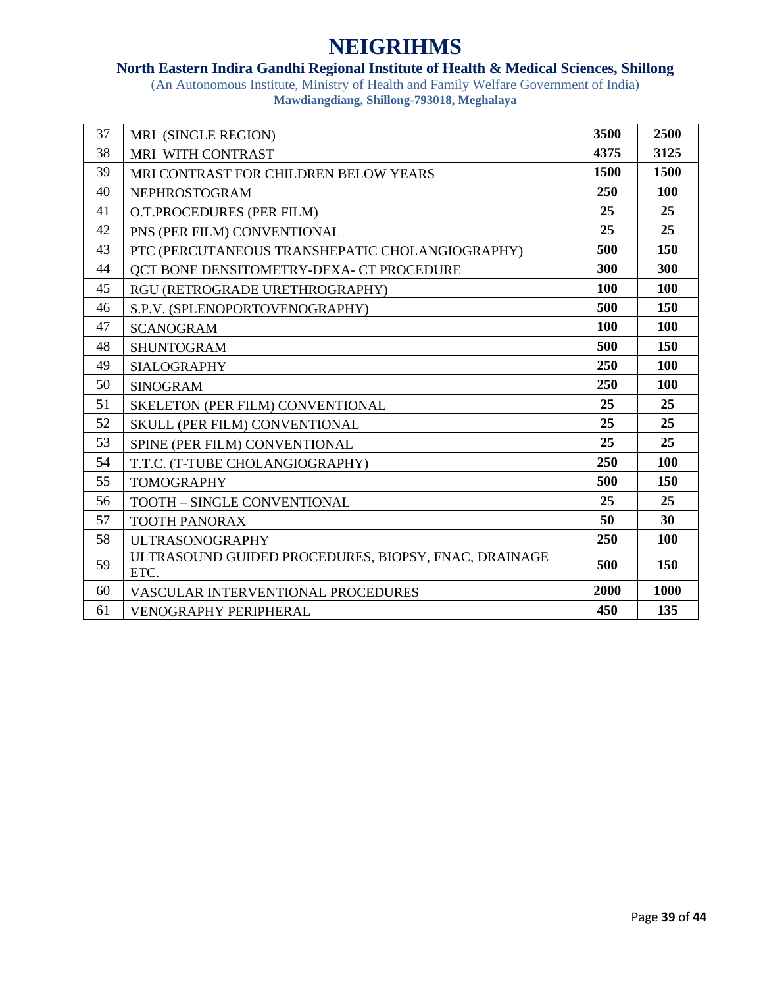### **North Eastern Indira Gandhi Regional Institute of Health & Medical Sciences, Shillong**

| 37 | MRI (SINGLE REGION)                                          | 3500       | 2500 |
|----|--------------------------------------------------------------|------------|------|
| 38 | MRI WITH CONTRAST                                            | 4375       | 3125 |
| 39 | MRI CONTRAST FOR CHILDREN BELOW YEARS                        | 1500       | 1500 |
| 40 | <b>NEPHROSTOGRAM</b>                                         | 250        | 100  |
| 41 | O.T.PROCEDURES (PER FILM)                                    | 25         | 25   |
| 42 | PNS (PER FILM) CONVENTIONAL                                  | 25         | 25   |
| 43 | PTC (PERCUTANEOUS TRANSHEPATIC CHOLANGIOGRAPHY)              | 500        | 150  |
| 44 | <b>QCT BONE DENSITOMETRY-DEXA- CT PROCEDURE</b>              | 300        | 300  |
| 45 | RGU (RETROGRADE URETHROGRAPHY)                               | <b>100</b> | 100  |
| 46 | S.P.V. (SPLENOPORTOVENOGRAPHY)                               | 500        | 150  |
| 47 | <b>SCANOGRAM</b>                                             | <b>100</b> | 100  |
| 48 | <b>SHUNTOGRAM</b>                                            | 500        | 150  |
| 49 | <b>SIALOGRAPHY</b>                                           | 250        | 100  |
| 50 | <b>SINOGRAM</b>                                              | 250        | 100  |
| 51 | SKELETON (PER FILM) CONVENTIONAL                             | 25         | 25   |
| 52 | <b>SKULL (PER FILM) CONVENTIONAL</b>                         | 25         | 25   |
| 53 | SPINE (PER FILM) CONVENTIONAL                                | 25         | 25   |
| 54 | T.T.C. (T-TUBE CHOLANGIOGRAPHY)                              | 250        | 100  |
| 55 | <b>TOMOGRAPHY</b>                                            | 500        | 150  |
| 56 | TOOTH - SINGLE CONVENTIONAL                                  | 25         | 25   |
| 57 | <b>TOOTH PANORAX</b>                                         | 50         | 30   |
| 58 | <b>ULTRASONOGRAPHY</b>                                       | 250        | 100  |
| 59 | ULTRASOUND GUIDED PROCEDURES, BIOPSY, FNAC, DRAINAGE<br>ETC. | 500        | 150  |
| 60 | VASCULAR INTERVENTIONAL PROCEDURES                           | 2000       | 1000 |
| 61 | VENOGRAPHY PERIPHERAL                                        | 450        | 135  |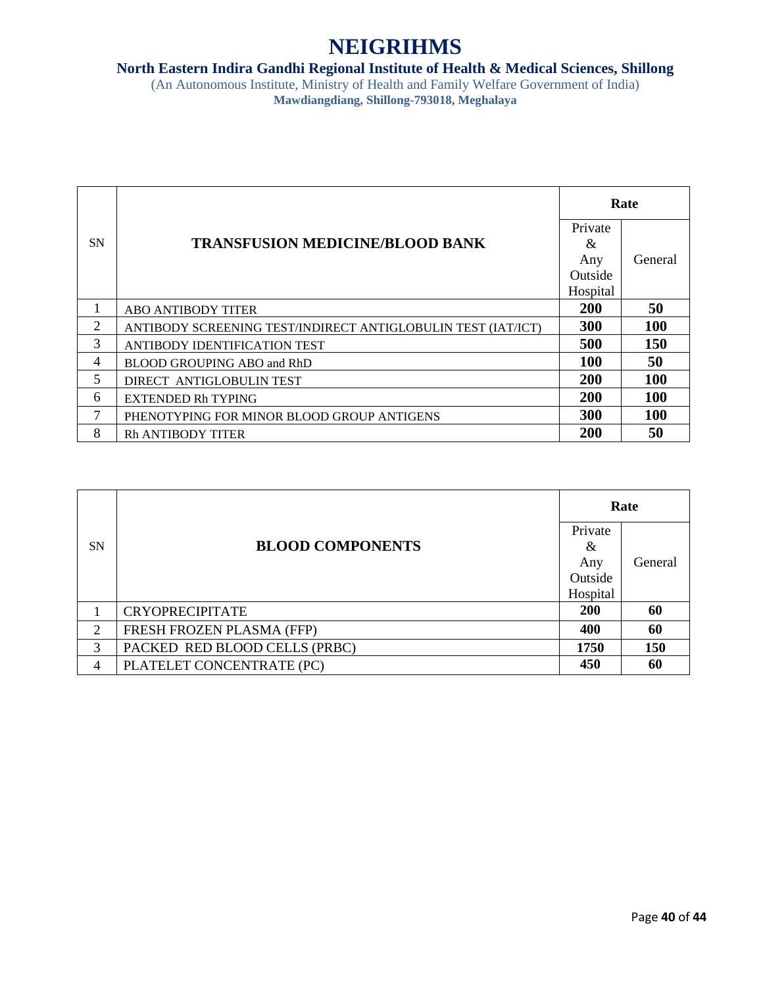### **North Eastern Indira Gandhi Regional Institute of Health & Medical Sciences, Shillong**

| <b>SN</b> | <b>TRANSFUSION MEDICINE/BLOOD BANK</b>                       | Rate       |            |
|-----------|--------------------------------------------------------------|------------|------------|
|           |                                                              | Private    |            |
|           |                                                              | &          | General    |
|           |                                                              | Any        |            |
|           |                                                              | Outside    |            |
|           |                                                              | Hospital   |            |
| 1         | <b>ABO ANTIBODY TITER</b>                                    | <b>200</b> | 50         |
| 2         | ANTIBODY SCREENING TEST/INDIRECT ANTIGLOBULIN TEST (IAT/ICT) | 300        | <b>100</b> |
| 3         | ANTIBODY IDENTIFICATION TEST                                 | 500        | <b>150</b> |
| 4         | BLOOD GROUPING ABO and RhD                                   | <b>100</b> | 50         |
| 5         | DIRECT ANTIGLOBULIN TEST                                     | <b>200</b> | 100        |
| 6         | <b>EXTENDED Rh TYPING</b>                                    | 200        | <b>100</b> |
| 7         | PHENOTYPING FOR MINOR BLOOD GROUP ANTIGENS                   | 300        | <b>100</b> |
| 8         | <b>Rh ANTIBODY TITER</b>                                     | 200        | 50         |

| <b>SN</b> | <b>BLOOD COMPONENTS</b>       | Rate                |            |
|-----------|-------------------------------|---------------------|------------|
|           |                               | Private<br>&<br>Any | General    |
|           |                               | Outside<br>Hospital |            |
|           | <b>CRYOPRECIPITATE</b>        | 200                 | 60         |
| 2         | FRESH FROZEN PLASMA (FFP)     | 400                 | 60         |
| 3         | PACKED RED BLOOD CELLS (PRBC) | 1750                | <b>150</b> |
| 4         | PLATELET CONCENTRATE (PC)     | 450                 | 60         |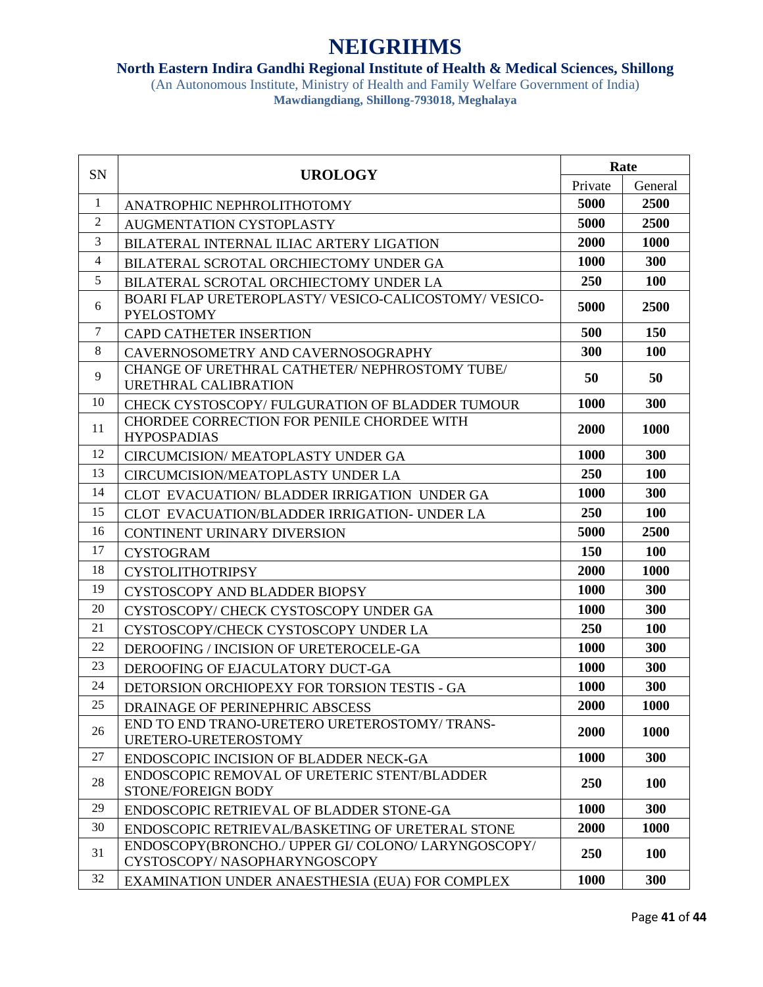#### **North Eastern Indira Gandhi Regional Institute of Health & Medical Sciences, Shillong**

| SN             | <b>UROLOGY</b>                                                                      | Rate        |             |
|----------------|-------------------------------------------------------------------------------------|-------------|-------------|
|                |                                                                                     | Private     | General     |
| 1              | ANATROPHIC NEPHROLITHOTOMY                                                          | 5000        | 2500        |
| 2              | <b>AUGMENTATION CYSTOPLASTY</b>                                                     | 5000        | 2500        |
| 3              | BILATERAL INTERNAL ILIAC ARTERY LIGATION                                            | 2000        | 1000        |
| $\overline{4}$ | BILATERAL SCROTAL ORCHIECTOMY UNDER GA                                              | 1000        | 300         |
| 5              | BILATERAL SCROTAL ORCHIECTOMY UNDER LA                                              | 250         | 100         |
| 6              | BOARI FLAP URETEROPLASTY/VESICO-CALICOSTOMY/VESICO-<br><b>PYELOSTOMY</b>            | 5000        | 2500        |
| $\tau$         | <b>CAPD CATHETER INSERTION</b>                                                      | 500         | 150         |
| 8              | CAVERNOSOMETRY AND CAVERNOSOGRAPHY                                                  | 300         | <b>100</b>  |
| 9              | CHANGE OF URETHRAL CATHETER/ NEPHROSTOMY TUBE/<br>URETHRAL CALIBRATION              | 50          | 50          |
| 10             | CHECK CYSTOSCOPY/FULGURATION OF BLADDER TUMOUR                                      | 1000        | <b>300</b>  |
| 11             | CHORDEE CORRECTION FOR PENILE CHORDEE WITH<br><b>HYPOSPADIAS</b>                    | 2000        | 1000        |
| 12             | <b>CIRCUMCISION/ MEATOPLASTY UNDER GA</b>                                           | 1000        | 300         |
| 13             | CIRCUMCISION/MEATOPLASTY UNDER LA                                                   | <b>250</b>  | <b>100</b>  |
| 14             | CLOT EVACUATION/BLADDER IRRIGATION UNDER GA                                         | 1000        | 300         |
| 15             | CLOT EVACUATION/BLADDER IRRIGATION- UNDER LA                                        | 250         | 100         |
| 16             | <b>CONTINENT URINARY DIVERSION</b>                                                  | 5000        | <b>2500</b> |
| 17             | <b>CYSTOGRAM</b>                                                                    | 150         | 100         |
| 18             | <b>CYSTOLITHOTRIPSY</b>                                                             | 2000        | 1000        |
| 19             | CYSTOSCOPY AND BLADDER BIOPSY                                                       | 1000        | 300         |
| 20             | CYSTOSCOPY/ CHECK CYSTOSCOPY UNDER GA                                               | 1000        | 300         |
| 21             | CYSTOSCOPY/CHECK CYSTOSCOPY UNDER LA                                                | 250         | <b>100</b>  |
| 22             | DEROOFING / INCISION OF URETEROCELE-GA                                              | <b>1000</b> | 300         |
| 23             | DEROOFING OF EJACULATORY DUCT-GA                                                    | <b>1000</b> | 300         |
| 24             | DETORSION ORCHIOPEXY FOR TORSION TESTIS - GA                                        | 1000        | 300         |
| 25             | DRAINAGE OF PERINEPHRIC ABSCESS                                                     | 2000        | 1000        |
| 26             | END TO END TRANO-URETERO URETEROSTOMY/ TRANS-<br>URETERO-URETEROSTOMY               | 2000        | 1000        |
| 27             | ENDOSCOPIC INCISION OF BLADDER NECK-GA                                              | 1000        | 300         |
| 28             | ENDOSCOPIC REMOVAL OF URETERIC STENT/BLADDER<br>STONE/FOREIGN BODY                  | 250         | <b>100</b>  |
| 29             | ENDOSCOPIC RETRIEVAL OF BLADDER STONE-GA                                            | 1000        | 300         |
| 30             | ENDOSCOPIC RETRIEVAL/BASKETING OF URETERAL STONE                                    | 2000        | <b>1000</b> |
| 31             | ENDOSCOPY(BRONCHO./ UPPER GI/ COLONO/ LARYNGOSCOPY/<br>CYSTOSCOPY/NASOPHARYNGOSCOPY | 250         | 100         |
| 32             | EXAMINATION UNDER ANAESTHESIA (EUA) FOR COMPLEX                                     | 1000        | 300         |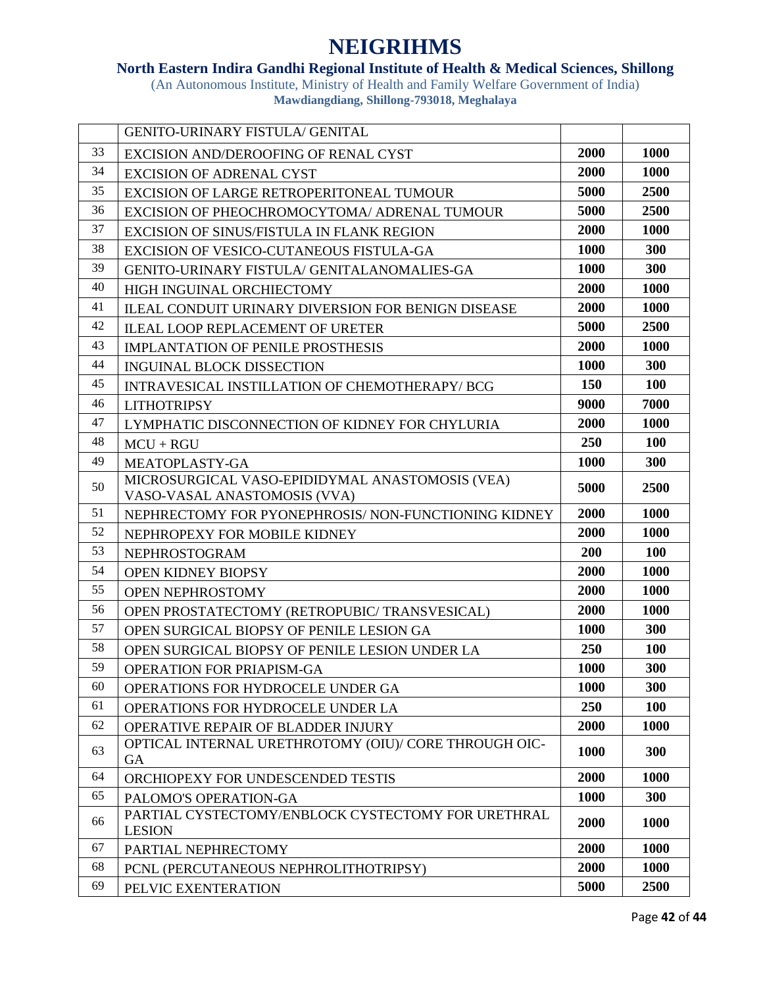### **North Eastern Indira Gandhi Regional Institute of Health & Medical Sciences, Shillong**

|    | <b>GENITO-URINARY FISTULA/ GENITAL</b>                                          |      |             |
|----|---------------------------------------------------------------------------------|------|-------------|
| 33 | EXCISION AND/DEROOFING OF RENAL CYST                                            | 2000 | 1000        |
| 34 | <b>EXCISION OF ADRENAL CYST</b>                                                 | 2000 | <b>1000</b> |
| 35 | EXCISION OF LARGE RETROPERITONEAL TUMOUR                                        | 5000 | 2500        |
| 36 | EXCISION OF PHEOCHROMOCYTOMA/ ADRENAL TUMOUR                                    | 5000 | 2500        |
| 37 | EXCISION OF SINUS/FISTULA IN FLANK REGION                                       | 2000 | 1000        |
| 38 | EXCISION OF VESICO-CUTANEOUS FISTULA-GA                                         | 1000 | 300         |
| 39 | <b>GENITO-URINARY FISTULA/ GENITALANOMALIES-GA</b>                              | 1000 | 300         |
| 40 | HIGH INGUINAL ORCHIECTOMY                                                       | 2000 | 1000        |
| 41 | ILEAL CONDUIT URINARY DIVERSION FOR BENIGN DISEASE                              | 2000 | 1000        |
| 42 | <b>ILEAL LOOP REPLACEMENT OF URETER</b>                                         | 5000 | 2500        |
| 43 | <b>IMPLANTATION OF PENILE PROSTHESIS</b>                                        | 2000 | 1000        |
| 44 | <b>INGUINAL BLOCK DISSECTION</b>                                                | 1000 | 300         |
| 45 | INTRAVESICAL INSTILLATION OF CHEMOTHERAPY/BCG                                   | 150  | <b>100</b>  |
| 46 | <b>LITHOTRIPSY</b>                                                              | 9000 | 7000        |
| 47 | LYMPHATIC DISCONNECTION OF KIDNEY FOR CHYLURIA                                  | 2000 | 1000        |
| 48 | $MCU + RGU$                                                                     | 250  | 100         |
| 49 | MEATOPLASTY-GA                                                                  | 1000 | 300         |
| 50 | MICROSURGICAL VASO-EPIDIDYMAL ANASTOMOSIS (VEA)<br>VASO-VASAL ANASTOMOSIS (VVA) | 5000 | 2500        |
| 51 | NEPHRECTOMY FOR PYONEPHROSIS/ NON-FUNCTIONING KIDNEY                            | 2000 | 1000        |
| 52 | NEPHROPEXY FOR MOBILE KIDNEY                                                    | 2000 | 1000        |
| 53 | <b>NEPHROSTOGRAM</b>                                                            | 200  | 100         |
| 54 | OPEN KIDNEY BIOPSY                                                              | 2000 | 1000        |
| 55 | <b>OPEN NEPHROSTOMY</b>                                                         | 2000 | 1000        |
| 56 | OPEN PROSTATECTOMY (RETROPUBIC/ TRANSVESICAL)                                   | 2000 | 1000        |
| 57 | OPEN SURGICAL BIOPSY OF PENILE LESION GA                                        | 1000 | 300         |
| 58 | OPEN SURGICAL BIOPSY OF PENILE LESION UNDER LA                                  | 250  | 100         |
| 59 | <b>OPERATION FOR PRIAPISM-GA</b>                                                | 1000 | 300         |
| 60 | OPERATIONS FOR HYDROCELE UNDER GA                                               | 1000 | 300         |
| 61 | OPERATIONS FOR HYDROCELE UNDER LA                                               | 250  | 100         |
| 62 | OPERATIVE REPAIR OF BLADDER INJURY                                              | 2000 | 1000        |
| 63 | OPTICAL INTERNAL URETHROTOMY (OIU)/ CORE THROUGH OIC-<br>GA                     | 1000 | 300         |
| 64 | ORCHIOPEXY FOR UNDESCENDED TESTIS                                               | 2000 | 1000        |
| 65 | PALOMO'S OPERATION-GA                                                           | 1000 | 300         |
| 66 | PARTIAL CYSTECTOMY/ENBLOCK CYSTECTOMY FOR URETHRAL<br><b>LESION</b>             | 2000 | 1000        |
| 67 | PARTIAL NEPHRECTOMY                                                             | 2000 | 1000        |
| 68 | PCNL (PERCUTANEOUS NEPHROLITHOTRIPSY)                                           | 2000 | 1000        |
| 69 | PELVIC EXENTERATION                                                             | 5000 | 2500        |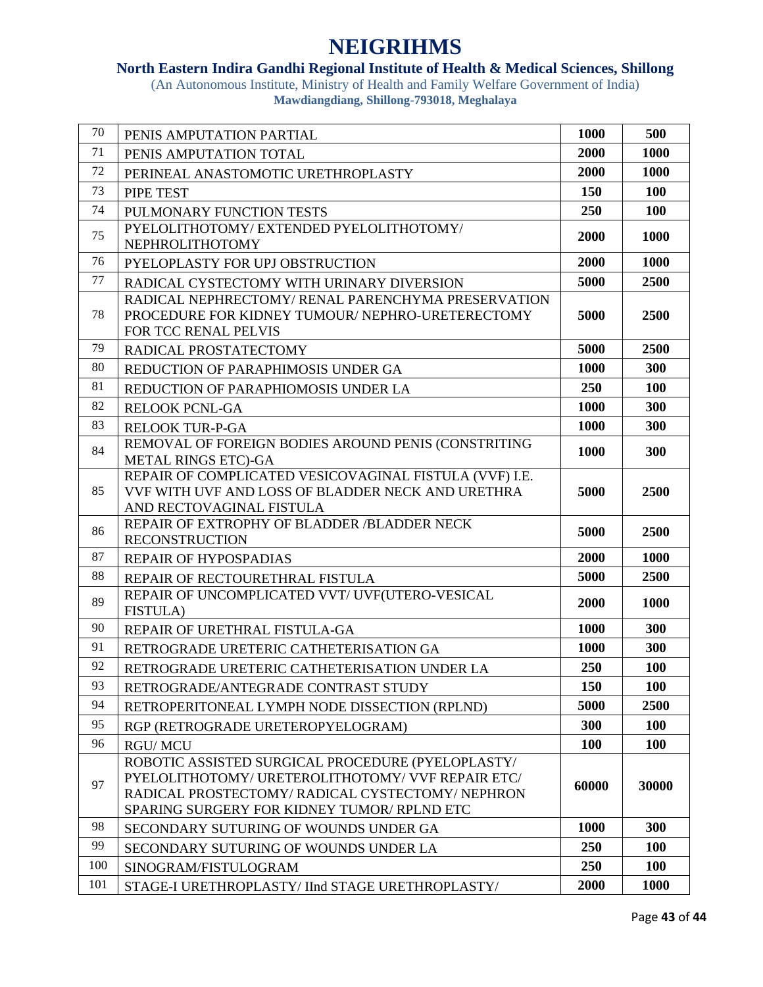### **North Eastern Indira Gandhi Regional Institute of Health & Medical Sciences, Shillong**

| 70  | PENIS AMPUTATION PARTIAL                                                                                                                                                                               | 1000  | 500        |
|-----|--------------------------------------------------------------------------------------------------------------------------------------------------------------------------------------------------------|-------|------------|
| 71  | PENIS AMPUTATION TOTAL                                                                                                                                                                                 | 2000  | 1000       |
| 72  | PERINEAL ANASTOMOTIC URETHROPLASTY                                                                                                                                                                     | 2000  | 1000       |
| 73  | PIPE TEST                                                                                                                                                                                              | 150   | 100        |
| 74  | PULMONARY FUNCTION TESTS                                                                                                                                                                               | 250   | 100        |
| 75  | PYELOLITHOTOMY/EXTENDED PYELOLITHOTOMY/<br>NEPHROLITHOTOMY                                                                                                                                             | 2000  | 1000       |
| 76  | PYELOPLASTY FOR UPJ OBSTRUCTION                                                                                                                                                                        | 2000  | 1000       |
| 77  | RADICAL CYSTECTOMY WITH URINARY DIVERSION                                                                                                                                                              | 5000  | 2500       |
| 78  | RADICAL NEPHRECTOMY/RENAL PARENCHYMA PRESERVATION<br>PROCEDURE FOR KIDNEY TUMOUR/ NEPHRO-URETERECTOMY<br>FOR TCC RENAL PELVIS                                                                          | 5000  | 2500       |
| 79  | RADICAL PROSTATECTOMY                                                                                                                                                                                  | 5000  | 2500       |
| 80  | REDUCTION OF PARAPHIMOSIS UNDER GA                                                                                                                                                                     | 1000  | 300        |
| 81  | REDUCTION OF PARAPHIOMOSIS UNDER LA                                                                                                                                                                    | 250   | 100        |
| 82  | <b>RELOOK PCNL-GA</b>                                                                                                                                                                                  | 1000  | 300        |
| 83  | <b>RELOOK TUR-P-GA</b>                                                                                                                                                                                 | 1000  | 300        |
| 84  | REMOVAL OF FOREIGN BODIES AROUND PENIS (CONSTRITING<br><b>METAL RINGS ETC)-GA</b>                                                                                                                      | 1000  | 300        |
| 85  | REPAIR OF COMPLICATED VESICOVAGINAL FISTULA (VVF) I.E.<br>VVF WITH UVF AND LOSS OF BLADDER NECK AND URETHRA<br>AND RECTOVAGINAL FISTULA                                                                | 5000  | 2500       |
| 86  | REPAIR OF EXTROPHY OF BLADDER /BLADDER NECK<br><b>RECONSTRUCTION</b>                                                                                                                                   | 5000  | 2500       |
| 87  | REPAIR OF HYPOSPADIAS                                                                                                                                                                                  | 2000  | 1000       |
| 88  | REPAIR OF RECTOURETHRAL FISTULA                                                                                                                                                                        | 5000  | 2500       |
| 89  | REPAIR OF UNCOMPLICATED VVT/ UVF(UTERO-VESICAL<br><b>FISTULA</b> )                                                                                                                                     | 2000  | 1000       |
| 90  | REPAIR OF URETHRAL FISTULA-GA                                                                                                                                                                          | 1000  | 300        |
| 91  | RETROGRADE URETERIC CATHETERISATION GA                                                                                                                                                                 | 1000  | 300        |
| 92  | RETROGRADE URETERIC CATHETERISATION UNDER LA                                                                                                                                                           | 250   | <b>100</b> |
| 93  | RETROGRADE/ANTEGRADE CONTRAST STUDY                                                                                                                                                                    | 150   | 100        |
| 94  | RETROPERITONEAL LYMPH NODE DISSECTION (RPLND)                                                                                                                                                          | 5000  | 2500       |
| 95  | RGP (RETROGRADE URETEROPYELOGRAM)                                                                                                                                                                      | 300   | 100        |
| 96  | <b>RGU/MCU</b>                                                                                                                                                                                         | 100   | 100        |
| 97  | ROBOTIC ASSISTED SURGICAL PROCEDURE (PYELOPLASTY/<br>PYELOLITHOTOMY/URETEROLITHOTOMY/ VVF REPAIR ETC/<br>RADICAL PROSTECTOMY/RADICAL CYSTECTOMY/NEPHRON<br>SPARING SURGERY FOR KIDNEY TUMOR/ RPLND ETC | 60000 | 30000      |
| 98  | SECONDARY SUTURING OF WOUNDS UNDER GA                                                                                                                                                                  | 1000  | 300        |
| 99  | SECONDARY SUTURING OF WOUNDS UNDER LA                                                                                                                                                                  | 250   | 100        |
| 100 | SINOGRAM/FISTULOGRAM                                                                                                                                                                                   | 250   | <b>100</b> |
| 101 | STAGE-I URETHROPLASTY/ IInd STAGE URETHROPLASTY/                                                                                                                                                       | 2000  | 1000       |